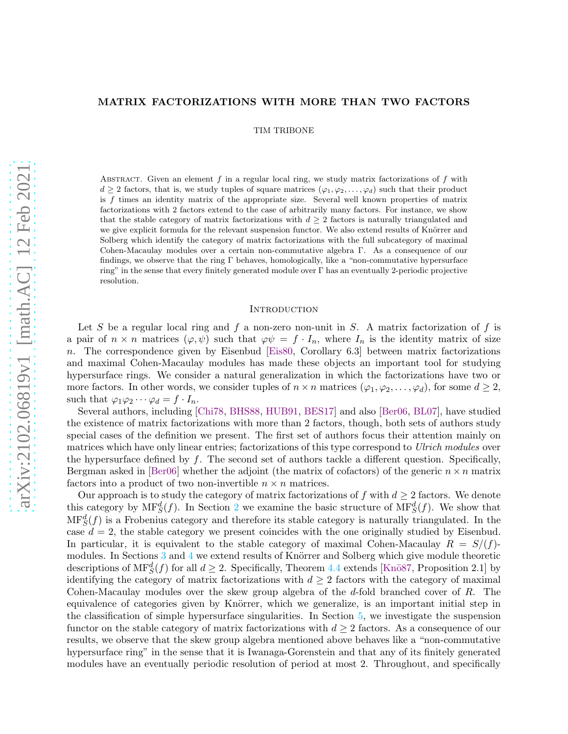## MATRIX FACTORIZATIONS WITH MORE THAN TWO FACTORS

TIM TRIBONE

ABSTRACT. Given an element f in a regular local ring, we study matrix factorizations of f with  $d \geq 2$  factors, that is, we study tuples of square matrices  $(\varphi_1, \varphi_2, \ldots, \varphi_d)$  such that their product is  $f$  times an identity matrix of the appropriate size. Several well known properties of matrix factorizations with 2 factors extend to the case of arbitrarily many factors. For instance, we show that the stable category of matrix factorizations with  $d \geq 2$  factors is naturally triangulated and we give explicit formula for the relevant suspension functor. We also extend results of Knörrer and Solberg which identify the category of matrix factorizations with the full subcategory of maximal Cohen-Macaulay modules over a certain non-commutative algebra Γ. As a consequence of our findings, we observe that the ring Γ behaves, homologically, like a "non-commutative hypersurface ring" in the sense that every finitely generated module over Γ has an eventually 2-periodic projective resolution.

#### **INTRODUCTION**

Let S be a regular local ring and f a non-zero non-unit in S. A matrix factorization of f is a pair of  $n \times n$  matrices  $(\varphi, \psi)$  such that  $\varphi \psi = f \cdot I_n$ , where  $I_n$  is the identity matrix of size  $n.$  The correspondence given by Eisenbud [\[Eis80,](#page-35-0) Corollary 6.3] between matrix factorizations and maximal Cohen-Macaulay modules has made these objects an important tool for studying hypersurface rings. We consider a natural generalization in which the factorizations have two or more factors. In other words, we consider tuples of  $n \times n$  matrices  $(\varphi_1, \varphi_2, \dots, \varphi_d)$ , for some  $d \geq 2$ , such that  $\varphi_1\varphi_2\cdots\varphi_d=f\cdot I_n$ .

Several authors, including [\[Chi78,](#page-35-1) [BHS88,](#page-35-2) [HUB91,](#page-35-3) [BES17\]](#page-35-4) and also [\[Ber06,](#page-35-5) [BL07\]](#page-35-6), have studied the existence of matrix factorizations with more than 2 factors, though, both sets of authors study special cases of the definition we present. The first set of authors focus their attention mainly on matrices which have only linear entries; factorizations of this type correspond to *Ulrich modules* over the hypersurface defined by  $f$ . The second set of authors tackle a different question. Specifically, Bergman asked in [\[Ber06\]](#page-35-5) whether the adjoint (the matrix of cofactors) of the generic  $n \times n$  matrix factors into a product of two non-invertible  $n \times n$  matrices.

Our approach is to study the category of matrix factorizations of f with  $d \geq 2$  factors. We denote this category by  $MF_S^d(f)$ . In Section [2](#page-3-0) we examine the basic structure of  $MF_S^d(f)$ . We show that  $\text{MF}^d_S(f)$  is a Frobenius category and therefore its stable category is naturally triangulated. In the case  $d = 2$ , the stable category we present coincides with the one originally studied by Eisenbud. In particular, it is equivalent to the stable category of maximal Cohen-Macaulay  $R = S/(f)$ modules. In Sections  $3$  and  $4$  we extend results of Knörrer and Solberg which give module theoretic descriptions of  $\text{MF}_S^d(f)$  for all  $d \geq 2$ . Specifically, Theorem [4.4](#page-23-0) extends [Knö87, Proposition 2.1] by identifying the category of matrix factorizations with  $d \geq 2$  factors with the category of maximal Cohen-Macaulay modules over the skew group algebra of the d-fold branched cover of R. The equivalence of categories given by Knörrer, which we generalize, is an important initial step in the classification of simple hypersurface singularities. In Section [5,](#page-25-0) we investigate the suspension functor on the stable category of matrix factorizations with  $d \geq 2$  factors. As a consequence of our results, we observe that the skew group algebra mentioned above behaves like a "non-commutative hypersurface ring" in the sense that it is Iwanaga-Gorenstein and that any of its finitely generated modules have an eventually periodic resolution of period at most 2. Throughout, and specifically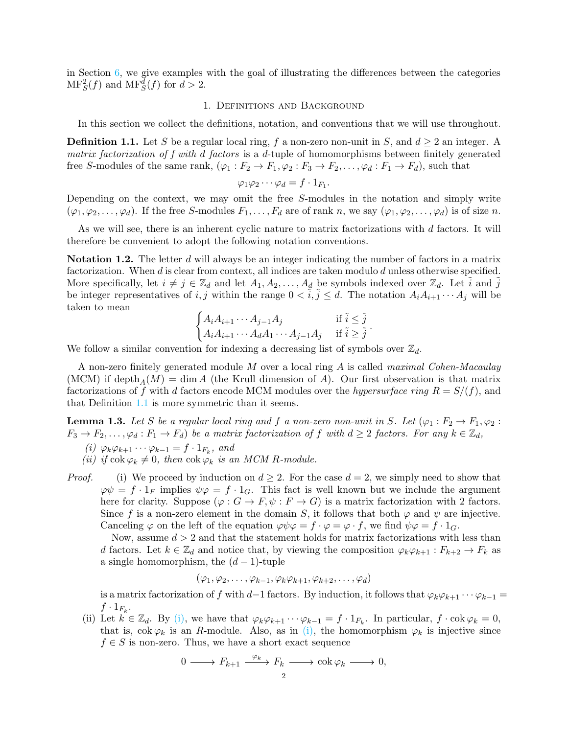in Section [6,](#page-31-0) we give examples with the goal of illustrating the differences between the categories  $\text{MF}^2_S(f)$  and  $\text{MF}^d_S(f)$  for  $d > 2$ .

### 1. Definitions and Background

In this section we collect the definitions, notation, and conventions that we will use throughout.

<span id="page-1-0"></span>**Definition 1.1.** Let S be a regular local ring, f a non-zero non-unit in S, and  $d \ge 2$  an integer. A *matrix factorization of f with* d *factors* is a d-tuple of homomorphisms between finitely generated free S-modules of the same rank,  $(\varphi_1 : F_2 \to F_1, \varphi_2 : F_3 \to F_2, \ldots, \varphi_d : F_1 \to F_d)$ , such that

$$
\varphi_1 \varphi_2 \cdots \varphi_d = f \cdot 1_{F_1}.
$$

Depending on the context, we may omit the free S-modules in the notation and simply write  $(\varphi_1, \varphi_2, \ldots, \varphi_d)$ . If the free S-modules  $F_1, \ldots, F_d$  are of rank n, we say  $(\varphi_1, \varphi_2, \ldots, \varphi_d)$  is of size n.

As we will see, there is an inherent cyclic nature to matrix factorizations with d factors. It will therefore be convenient to adopt the following notation conventions.

Notation 1.2. The letter d will always be an integer indicating the number of factors in a matrix factorization. When  $d$  is clear from context, all indices are taken modulo  $d$  unless otherwise specified. More specifically, let  $i \neq j \in \mathbb{Z}_d$  and let  $A_1, A_2, \ldots, A_d$  be symbols indexed over  $\mathbb{Z}_d$ . Let  $\tilde{i}$  and  $\tilde{j}$ be integer representatives of i, j within the range  $0 < i, j \le d$ . The notation  $A_i A_{i+1} \cdots A_j$  will be taken to mean

$$
\begin{cases} A_i A_{i+1} \cdots A_{j-1} A_j & \text{if } \tilde{i} \leq \tilde{j} \\ A_i A_{i+1} \cdots A_d A_1 \cdots A_{j-1} A_j & \text{if } \tilde{i} \geq \tilde{j} \end{cases}.
$$

We follow a similar convention for indexing a decreasing list of symbols over  $\mathbb{Z}_d$ .

A non-zero finitely generated module M over a local ring A is called *maximal Cohen-Macaulay* (MCM) if depth<sub>A</sub>(M) = dim A (the Krull dimension of A). Our first observation is that matrix factorizations of f with d factors encode MCM modules over the *hypersurface ring*  $R = S/(f)$ , and that Definition [1.1](#page-1-0) is more symmetric than it seems.

<span id="page-1-2"></span><span id="page-1-1"></span>**Lemma 1.3.** Let S be a regular local ring and f a non-zero non-unit in S. Let  $(\varphi_1 : F_2 \to F_1, \varphi_2 :$  $F_3 \to F_2, \ldots, \varphi_d : F_1 \to F_d$  *be a matrix factorization of* f *with*  $d \geq 2$  factors. For any  $k \in \mathbb{Z}_d$ ,

- $(i) \varphi_k \varphi_{k+1} \cdots \varphi_{k-1} = f \cdot 1_{F_k}, \text{ and}$
- *(ii)* if  $\cosh \varphi_k \neq 0$ , then  $\cosh \varphi_k$  *is an MCM* R-module.
- *Proof.* (i) We proceed by induction on  $d \geq 2$ . For the case  $d = 2$ , we simply need to show that  $\varphi\psi = f \cdot 1_F$  implies  $\psi\varphi = f \cdot 1_G$ . This fact is well known but we include the argument here for clarity. Suppose  $(\varphi : G \to F, \psi : F \to G)$  is a matrix factorization with 2 factors. Since f is a non-zero element in the domain S, it follows that both  $\varphi$  and  $\psi$  are injective. Canceling  $\varphi$  on the left of the equation  $\varphi \psi \varphi = f \cdot \varphi = \varphi \cdot f$ , we find  $\psi \varphi = f \cdot 1_G$ .

Now, assume  $d > 2$  and that the statement holds for matrix factorizations with less than d factors. Let  $k \in \mathbb{Z}_d$  and notice that, by viewing the composition  $\varphi_k \varphi_{k+1} : F_{k+2} \to F_k$  as a single homomorphism, the  $(d-1)$ -tuple

$$
(\varphi_1, \varphi_2, \ldots, \varphi_{k-1}, \varphi_k \varphi_{k+1}, \varphi_{k+2}, \ldots, \varphi_d)
$$

is a matrix factorization of f with d−1 factors. By induction, it follows that  $\varphi_k\varphi_{k+1}\cdots\varphi_{k-1} =$  $f \cdot 1_{F_k}$ .

(ii) Let  $k \in \mathbb{Z}_d$ . By [\(i\),](#page-1-1) we have that  $\varphi_k \varphi_{k+1} \cdots \varphi_{k-1} = f \cdot 1_{F_k}$ . In particular,  $f \cdot \cosh \varphi_k = 0$ , that is,  $\cot \varphi_k$  is an R-module. Also, as in [\(i\),](#page-1-1) the homomorphism  $\varphi_k$  is injective since  $f \in S$  is non-zero. Thus, we have a short exact sequence

$$
0 \longrightarrow F_{k+1} \xrightarrow{\varphi_k} F_k \longrightarrow \operatorname{cok} \varphi_k \longrightarrow 0,
$$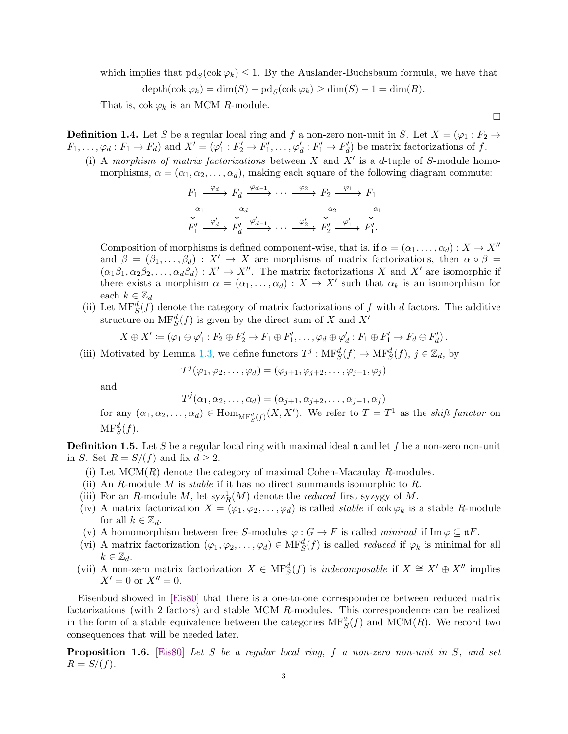which implies that  $\text{pd}_S(\text{cok }\varphi_k) \leq 1$ . By the Auslander-Buchsbaum formula, we have that

$$
\operatorname{depth}(\operatorname{cok} \varphi_k) = \dim(S) - \operatorname{pd}_S(\operatorname{cok} \varphi_k) \ge \dim(S) - 1 = \dim(R).
$$

That is,  $\text{cok } \varphi_k$  is an MCM R-module.

**Definition 1.4.** Let S be a regular local ring and f a non-zero non-unit in S. Let  $X = (\varphi_1 : F_2 \to$  $F_1,\ldots,\varphi_d: F_1\to F_d$  and  $X'=(\varphi_1':F_2'\to F_1',\ldots,\varphi_d':F_1'\to F_d')$  be matrix factorizations of f.

(i) A *morphism of matrix factorizations* between X and X′ is a d-tuple of S-module homomorphisms,  $\alpha = (\alpha_1, \alpha_2, \dots, \alpha_d)$ , making each square of the following diagram commute:

$$
F_1 \xrightarrow{\varphi_d} F_d \xrightarrow{\varphi_{d-1}} \cdots \xrightarrow{\varphi_2} F_2 \xrightarrow{\varphi_1} F_1
$$
  
\n
$$
\downarrow \alpha_1 \qquad \qquad \downarrow \alpha_d \qquad \qquad \downarrow \alpha_2 \qquad \qquad \downarrow \alpha_1
$$
  
\n
$$
F'_1 \xrightarrow{\varphi'_d} F'_d \xrightarrow{\varphi'_{d-1}} \cdots \xrightarrow{\varphi'_2} F'_2 \xrightarrow{\varphi'_1} F'_1.
$$

Composition of morphisms is defined component-wise, that is, if  $\alpha = (\alpha_1, \dots, \alpha_d) : X \to X''$ and  $\beta = (\beta_1, \ldots, \beta_d) : X' \to X$  are morphisms of matrix factorizations, then  $\alpha \circ \beta =$  $(\alpha_1\beta_1, \alpha_2\beta_2, \ldots, \alpha_d\beta_d) : X' \to X''$ . The matrix factorizations X and X' are isomorphic if there exists a morphism  $\alpha = (\alpha_1, \ldots, \alpha_d) : X \to X'$  such that  $\alpha_k$  is an isomorphism for each  $k \in \mathbb{Z}_d$ .

(ii) Let  $\text{MF}^d_S(f)$  denote the category of matrix factorizations of f with d factors. The additive structure on  $\mathrm{MF}^d_S(f)$  is given by the direct sum of X and X'

$$
X \oplus X' \coloneqq (\varphi_1 \oplus \varphi_1' : F_2 \oplus F_2' \to F_1 \oplus F_1', \dots, \varphi_d \oplus \varphi_d' : F_1 \oplus F_1' \to F_d \oplus F_d').
$$

(iii) Motivated by Lemma [1.3,](#page-1-2) we define functors  $T^j$ :  $\text{MF}^d_S(f) \to \text{MF}^d_S(f)$ ,  $j \in \mathbb{Z}_d$ , by

$$
T^{j}(\varphi_1, \varphi_2, \dots, \varphi_d) = (\varphi_{j+1}, \varphi_{j+2}, \dots, \varphi_{j-1}, \varphi_j)
$$

and

$$
T^j(\alpha_1, \alpha_2, \dots, \alpha_d) = (\alpha_{j+1}, \alpha_{j+2}, \dots, \alpha_{j-1}, \alpha_j)
$$

for any  $(\alpha_1, \alpha_2, \ldots, \alpha_d) \in \text{Hom}_{\text{MF}^d_S(f)}(X, X')$ . We refer to  $T = T^1$  as the *shift functor* on  $\mathrm{MF}^d_S(f).$ 

**Definition 1.5.** Let S be a regular local ring with maximal ideal  $\mathfrak n$  and let f be a non-zero non-unit in S. Set  $R = S/(f)$  and fix  $d \geq 2$ .

- (i) Let  $MCM(R)$  denote the category of maximal Cohen-Macaulay R-modules.
- (ii) An R-module M is *stable* if it has no direct summands isomorphic to R.
- (iii) For an R-module M, let  $syz_R^1(M)$  denote the *reduced* first syzygy of M.
- (iv) A matrix factorization  $X = (\varphi_1, \varphi_2, \ldots, \varphi_d)$  is called *stable* if  $\text{cok } \varphi_k$  is a stable R-module for all  $k \in \mathbb{Z}_d$ .
- (v) A homomorphism between free S-modules  $\varphi : G \to F$  is called *minimal* if  $\text{Im } \varphi \subseteq \mathfrak{n}F$ .
- (vi) A matrix factorization  $(\varphi_1, \varphi_2, \dots, \varphi_d) \in \text{MF}^d_S(f)$  is called *reduced* if  $\varphi_k$  is minimal for all  $k \in \mathbb{Z}_d$ .
- (vii) A non-zero matrix factorization  $X \in \mathrm{MF}^d_S(f)$  is *indecomposable* if  $X \cong X' \oplus X''$  implies  $X' = 0$  or  $X'' = 0$ .

Eisenbud showed in [\[Eis80\]](#page-35-0) that there is a one-to-one correspondence between reduced matrix factorizations (with 2 factors) and stable MCM R-modules. This correspondence can be realized in the form of a stable equivalence between the categories  $\text{MF}^2_S(f)$  and  $\text{MCM}(R)$ . We record two consequences that will be needed later.

<span id="page-2-0"></span>Proposition 1.6. [\[Eis80\]](#page-35-0) *Let* S *be a regular local ring,* f *a non-zero non-unit in* S*, and set*  $R = S/(f)$ .

 $\Box$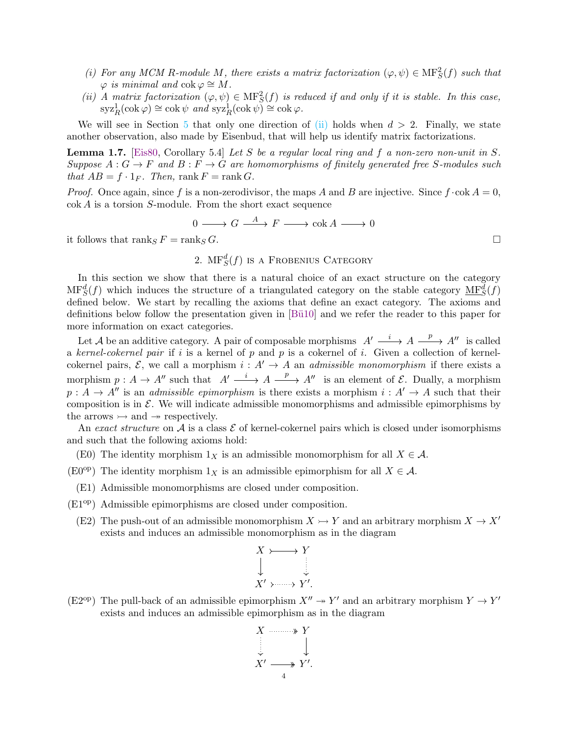- <span id="page-3-3"></span>(*i*) For any MCM R-module M, there exists a matrix factorization  $(\varphi, \psi) \in \mathcal{MF}^2_S(f)$  such that  $\varphi$  *is minimal and* cok  $\varphi \cong M$ .
- <span id="page-3-1"></span>(*ii*) *A matrix factorization*  $(\varphi, \psi) \in \mathbf{MF}^2_S(f)$  *is reduced if and only if it is stable. In this case,*  $\mathrm{syz}_R^1(\mathrm{cok}\,\varphi) \cong \mathrm{cok}\,\psi \text{ and } \mathrm{syz}_R^1(\mathrm{cok}\,\psi) \cong \mathrm{cok}\,\varphi.$

We will see in Section [5](#page-25-0) that only one direction of [\(ii\)](#page-3-1) holds when  $d > 2$ . Finally, we state another observation, also made by Eisenbud, that will help us identify matrix factorizations.

<span id="page-3-2"></span>Lemma 1.7. [\[Eis80,](#page-35-0) Corollary 5.4] *Let* S *be a regular local ring and* f *a non-zero non-unit in* S*.*  $Suppose A: G \to F and B: F \to G are homomorphisms of finitely generated free S-modules such$ *that*  $AB = f \cdot 1_F$ *. Then,* rank  $F = \text{rank } G$ *.* 

*Proof.* Once again, since f is a non-zerodivisor, the maps A and B are injective. Since  $f \cdot \csc A = 0$ , cok A is a torsion S-module. From the short exact sequence

$$
0 \longrightarrow G \stackrel{A}{\longrightarrow} F \longrightarrow \operatorname{cok} A \longrightarrow 0
$$

<span id="page-3-0"></span>it follows that  $\text{rank}_S F = \text{rank}_S G$ .

2.  $\text{MF}^d_S(f)$  is a Frobenius Category

In this section we show that there is a natural choice of an exact structure on the category  $MF_S^d(f)$  which induces the structure of a triangulated category on the stable category  $\underline{MF}_S^d(f)$ defined below. We start by recalling the axioms that define an exact category. The axioms and definitions below follow the presentation given in [Bü10] and we refer the reader to this paper for more information on exact categories.

Let A be an additive category. A pair of composable morphisms  $A' \longrightarrow A \longrightarrow A''$  is called a *kernel-cokernel pair* if i is a kernel of p and p is a cokernel of i. Given a collection of kernelcokernel pairs,  $\mathcal{E}$ , we call a morphism  $i : A' \to A$  an *admissible monomorphism* if there exists a morphism  $p: A \to A''$  such that  $A' \longrightarrow A \longrightarrow A''$  is an element of  $\mathcal{E}$ . Dually, a morphism  $p: A \to A''$  is an *admissible epimorphism* is there exists a morphism  $i: A' \to A$  such that their composition is in  $\mathcal E$ . We will indicate admissible monomorphisms and admissible epimorphisms by the arrows  $\rightarrow$  and  $\rightarrow$  respectively.

An *exact structure* on  $\mathcal A$  is a class  $\mathcal E$  of kernel-cokernel pairs which is closed under isomorphisms and such that the following axioms hold:

- (E0) The identity morphism  $1_X$  is an admissible monomorphism for all  $X \in \mathcal{A}$ .
- (E0<sup>op</sup>) The identity morphism  $1_X$  is an admissible epimorphism for all  $X \in \mathcal{A}$ .
- (E1) Admissible monomorphisms are closed under composition.
- (E1op) Admissible epimorphisms are closed under composition.
	- (E2) The push-out of an admissible monomorphism  $X \rightarrow Y$  and an arbitrary morphism  $X \rightarrow X'$ exists and induces an admissible monomorphism as in the diagram

$$
X \rightarrow Y
$$
  

$$
\downarrow \qquad \qquad \downarrow
$$
  

$$
X' \rightarrow \cdots \rightarrow Y'.
$$

(E2<sup>op</sup>) The pull-back of an admissible epimorphism  $X'' \to Y'$  and an arbitrary morphism  $Y \to Y'$ exists and induces an admissible epimorphism as in the diagram

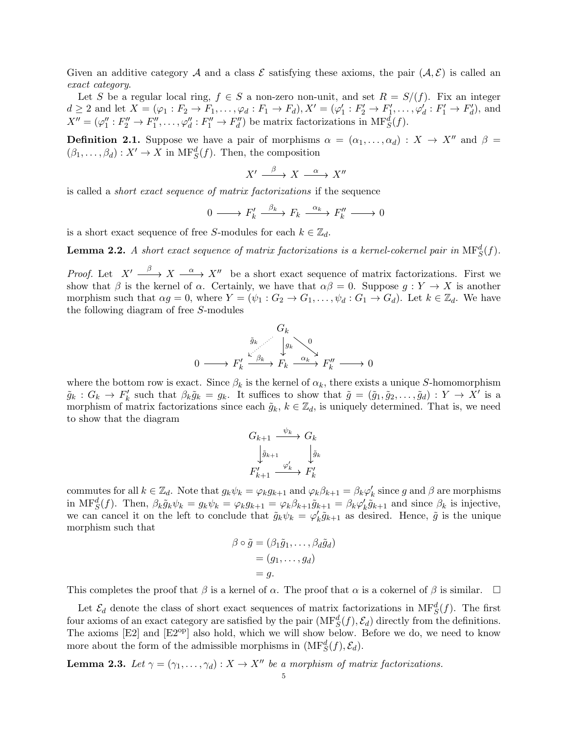Given an additive category A and a class  $\mathcal E$  satisfying these axioms, the pair  $(\mathcal A, \mathcal E)$  is called an *exact category*.

Let S be a regular local ring,  $f \in S$  a non-zero non-unit, and set  $R = S/(f)$ . Fix an integer  $d \geq 2$  and let  $X = (\varphi_1 : F_2 \to F_1, \ldots, \varphi_d : F_1 \to F_d), X' = (\varphi_1' : F_2' \to F_1', \ldots, \varphi_d' : F_1' \to F_d'),$  and  $X'' = (\varphi_1'' : F_2'' \to F_1'', \ldots, \varphi_d' : F_1'' \to F_d'')$  be matrix factorizations in  $\text{MF}^d_S(f)$ .

**Definition 2.1.** Suppose we have a pair of morphisms  $\alpha = (\alpha_1, \dots, \alpha_d) : X \to X''$  and  $\beta =$  $(\beta_1, \ldots, \beta_d) : X' \to X$  in  $\mathrm{MF}^d_S(f)$ . Then, the composition

$$
X' \xrightarrow{\beta} X \xrightarrow{\alpha} X''
$$

is called a *short exact sequence of matrix factorizations* if the sequence

$$
0 \longrightarrow F'_k \xrightarrow{\beta_k} F_k \xrightarrow{\alpha_k} F''_k \longrightarrow 0
$$

is a short exact sequence of free S-modules for each  $k \in \mathbb{Z}_d$ .

**Lemma 2.2.** A short exact sequence of matrix factorizations is a kernel-cokernel pair in  $\text{MF}^d_S(f)$ .

*Proof.* Let  $X' \longrightarrow X \longrightarrow X''$  be a short exact sequence of matrix factorizations. First we show that  $\beta$  is the kernel of  $\alpha$ . Certainly, we have that  $\alpha\beta = 0$ . Suppose  $g: Y \to X$  is another morphism such that  $\alpha g = 0$ , where  $Y = (\psi_1 : G_2 \to G_1, \ldots, \psi_d : G_1 \to G_d)$ . Let  $k \in \mathbb{Z}_d$ . We have the following diagram of free S-modules

$$
\begin{array}{ccc}\n & G_k & \\
 & \tilde{g}_k & \downarrow g_k & \\
0 & \longrightarrow F'_k & \xrightarrow{\kappa} F_k & \xrightarrow{\alpha_k} F''_k & \longrightarrow 0\n\end{array}
$$

where the bottom row is exact. Since  $\beta_k$  is the kernel of  $\alpha_k$ , there exists a unique S-homomorphism  $\tilde{g}_k: G_k \to F'_k$  such that  $\beta_k \tilde{g}_k = g_k$ . It suffices to show that  $\tilde{g} = (\tilde{g}_1, \tilde{g}_2, \dots, \tilde{g}_d) : Y \to X'$  is a morphism of matrix factorizations since each  $\tilde{g}_k$ ,  $k \in \mathbb{Z}_d$ , is uniquely determined. That is, we need to show that the diagram

$$
G_{k+1} \xrightarrow{\psi_k} G_k
$$

$$
\downarrow \tilde{g}_{k+1} \xrightarrow{\varphi'_k} \downarrow \tilde{g}_k
$$

$$
F'_{k+1} \xrightarrow{\varphi'_k} F'_k
$$

commutes for all  $k \in \mathbb{Z}_d$ . Note that  $g_k \psi_k = \varphi_k g_{k+1}$  and  $\varphi_k \beta_{k+1} = \beta_k \varphi'_k$  since g and  $\beta$  are morphisms in MF<sup>d</sup><sub>S</sub>(f). Then,  $\beta_k \tilde{g}_k \psi_k = g_k \psi_k = \varphi_k g_{k+1} = \varphi_k \beta_{k+1} \tilde{g}_{k+1} = \beta_k \varphi'_k \tilde{g}_{k+1}$  and since  $\beta_k$  is injective, we can cancel it on the left to conclude that  $\tilde{g}_k \psi_k = \varphi'_k \tilde{g}_{k+1}$  as desired. Hence,  $\tilde{g}$  is the unique morphism such that

$$
\beta \circ \tilde{g} = (\beta_1 \tilde{g}_1, \dots, \beta_d \tilde{g}_d)
$$
  
= (g\_1, \dots, g\_d)  
= g.

This completes the proof that  $\beta$  is a kernel of  $\alpha$ . The proof that  $\alpha$  is a cokernel of  $\beta$  is similar.  $\Box$ 

Let  $\mathcal{E}_d$  denote the class of short exact sequences of matrix factorizations in  $\text{MF}^d_S(f)$ . The first four axioms of an exact category are satisfied by the pair  $(MF_S^d(f), \mathcal{E}_d)$  directly from the definitions. The axioms [E2] and [E2<sup>op</sup>] also hold, which we will show below. Before we do, we need to know more about the form of the admissible morphisms in  $(MF_S^d(f), \mathcal{E}_d)$ .

<span id="page-4-0"></span>**Lemma 2.3.** Let  $\gamma = (\gamma_1, \dots, \gamma_d) : X \to X''$  be a morphism of matrix factorizations.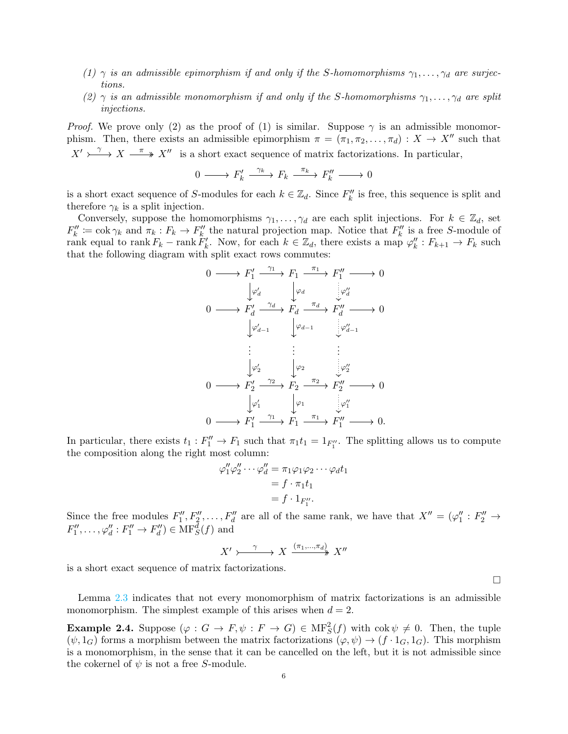- *(1)*  $\gamma$  *is an admissible epimorphism if and only if the S-homomorphisms*  $\gamma_1, \ldots, \gamma_d$  *are surjections.*
- (2)  $\gamma$  *is an admissible monomorphism if and only if the S-homomorphisms*  $\gamma_1, \ldots, \gamma_d$  *are split injections.*

*Proof.* We prove only (2) as the proof of (1) is similar. Suppose  $\gamma$  is an admissible monomorphism. Then, there exists an admissible epimorphism  $\pi = (\pi_1, \pi_2, ..., \pi_d) : X \to X''$  such that  $X' \rightarrow \longrightarrow X \longrightarrow X''$  is a short exact sequence of matrix factorizations. In particular,

$$
0 \longrightarrow F'_k \xrightarrow{\gamma_k} F_k \xrightarrow{\pi_k} F''_k \longrightarrow 0
$$

is a short exact sequence of S-modules for each  $k \in \mathbb{Z}_d$ . Since  $F_k''$  is free, this sequence is split and therefore  $\gamma_k$  is a split injection.

Conversely, suppose the homomorphisms  $\gamma_1, \ldots, \gamma_d$  are each split injections. For  $k \in \mathbb{Z}_d$ , set  $F''_k := \cosh \gamma_k$  and  $\pi_k : F_k \to F''_k$  the natural projection map. Notice that  $F''_k$  is a free S-module of rank equal to rank  $F_k$  – rank  $F'_k$ . Now, for each  $k \in \mathbb{Z}_d$ , there exists a map  $\varphi''_k : F_{k+1} \to F_k$  such that the following diagram with split exact rows commutes:

$$
0 \longrightarrow F'_1 \xrightarrow{\gamma_1} F_1 \xrightarrow{\pi_1} F''_1 \longrightarrow 0
$$
  
\n
$$
\downarrow \varphi'_d \qquad \downarrow \varphi_d
$$
  
\n
$$
0 \longrightarrow F'_d \xrightarrow{\gamma_d} F_d \xrightarrow{\pi_d} F''_d \longrightarrow 0
$$
  
\n
$$
\downarrow \varphi'_{d-1} \qquad \downarrow \varphi_{d-1}
$$
  
\n
$$
\vdots \qquad \vdots
$$
  
\n
$$
\downarrow \varphi'_2 \qquad \downarrow \varphi_2
$$
  
\n
$$
0 \longrightarrow F'_2 \xrightarrow{\gamma_2} F_2 \xrightarrow{\pi_2} F''_2 \longrightarrow 0
$$
  
\n
$$
\downarrow \varphi'_1 \qquad \downarrow \varphi_1
$$
  
\n
$$
0 \longrightarrow F'_1 \xrightarrow{\gamma_1} F_1 \xrightarrow{\pi_1} F''_1 \longrightarrow 0.
$$

In particular, there exists  $t_1 : F''_1 \to F_1$  such that  $\pi_1 t_1 = 1_{F''_1}$ . The splitting allows us to compute the composition along the right most column:

$$
\varphi_1'' \varphi_2'' \cdots \varphi_d'' = \pi_1 \varphi_1 \varphi_2 \cdots \varphi_d t_1
$$
  
=  $f \cdot \pi_1 t_1$   
=  $f \cdot 1_{F_1''}$ .

Since the free modules  $F''_1, F''_2, \ldots, F''_d$  are all of the same rank, we have that  $X'' = (\varphi_1'' : F''_2 \to$  $F''_1, \ldots, \varphi''_d : F''_1 \to F''_d \in \text{MF}^d_S(f)$  and

$$
X' \rightarrow \xrightarrow{\gamma} X \xrightarrow{(\pi_1, ..., \pi_d)} X''
$$

is a short exact sequence of matrix factorizations.

 $\Box$ 

Lemma [2.3](#page-4-0) indicates that not every monomorphism of matrix factorizations is an admissible monomorphism. The simplest example of this arises when  $d = 2$ .

**Example 2.4.** Suppose  $(\varphi : G \to F, \psi : F \to G) \in MF_S^2(f)$  with  $\text{cok } \psi \neq 0$ . Then, the tuple  $(\psi, 1_G)$  forms a morphism between the matrix factorizations  $(\varphi, \psi) \to (f \cdot 1_G, 1_G)$ . This morphism is a monomorphism, in the sense that it can be cancelled on the left, but it is not admissible since the cokernel of  $\psi$  is not a free S-module.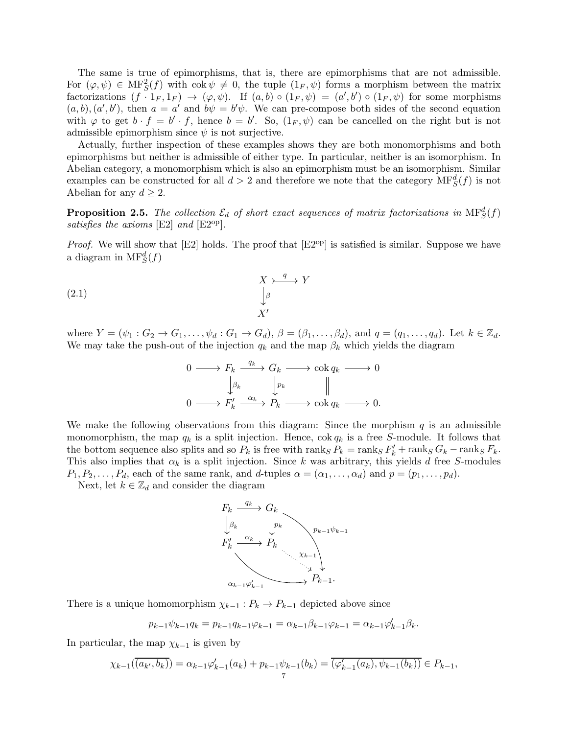The same is true of epimorphisms, that is, there are epimorphisms that are not admissible. For  $(\varphi, \psi) \in \text{MF}^2_S(f)$  with  $\text{cok } \psi \neq 0$ , the tuple  $(1_F, \psi)$  forms a morphism between the matrix factorizations  $(f \cdot 1_F, 1_F) \to (\varphi, \psi)$ . If  $(a, b) \circ (1_F, \psi) = (a', b') \circ (1_F, \psi)$  for some morphisms  $(a, b), (a', b')$ , then  $a = a'$  and  $b\psi = b'\psi$ . We can pre-compose both sides of the second equation with  $\varphi$  to get  $b \cdot f = b' \cdot f$ , hence  $b = b'$ . So,  $(1_F, \psi)$  can be cancelled on the right but is not admissible epimorphism since  $\psi$  is not surjective.

Actually, further inspection of these examples shows they are both monomorphisms and both epimorphisms but neither is admissible of either type. In particular, neither is an isomorphism. In Abelian category, a monomorphism which is also an epimorphism must be an isomorphism. Similar examples can be constructed for all  $d > 2$  and therefore we note that the category  $\text{MF}^d_S(f)$  is not Abelian for any  $d \geq 2$ .

**Proposition 2.5.** The collection  $\mathcal{E}_d$  of short exact sequences of matrix factorizations in  $\text{MF}^d_S(f)$ *satisfies the axioms* [E2] *and* [E2<sup>op</sup>].

*Proof.* We will show that [E2] holds. The proof that [E2<sup>op</sup>] is satisfied is similar. Suppose we have a diagram in  $\mathrm{MF}^d_S(f)$ 

$$
\begin{array}{ccc}\n & X \rightarrow^q Y \\
 & \downarrow^g \\
 & X' \n\end{array}
$$
\n
$$
(2.1)
$$

where  $Y = (\psi_1 : G_2 \to G_1, \ldots, \psi_d : G_1 \to G_d)$ ,  $\beta = (\beta_1, \ldots, \beta_d)$ , and  $q = (q_1, \ldots, q_d)$ . Let  $k \in \mathbb{Z}_d$ . We may take the push-out of the injection  $q_k$  and the map  $\beta_k$  which yields the diagram

<span id="page-6-0"></span>
$$
\begin{array}{ccc}\n0 & \longrightarrow & F_k \xrightarrow{q_k} & G_k \longrightarrow \operatorname{cok} q_k \longrightarrow 0 \\
& \downarrow_{\beta_k} & \downarrow_{p_k} & \parallel \\
0 & \longrightarrow & F'_k \xrightarrow{\alpha_k} & P_k \longrightarrow \operatorname{cok} q_k \longrightarrow 0.\n\end{array}
$$

We make the following observations from this diagram: Since the morphism  $q$  is an admissible monomorphism, the map  $q_k$  is a split injection. Hence,  $\cos q_k$  is a free S-module. It follows that the bottom sequence also splits and so  $P_k$  is free with  $\text{rank}_S P_k = \text{rank}_S F'_k + \text{rank}_S G_k - \text{rank}_S F_k$ . This also implies that  $\alpha_k$  is a split injection. Since k was arbitrary, this yields d free S-modules  $P_1, P_2, \ldots, P_d$ , each of the same rank, and d-tuples  $\alpha = (\alpha_1, \ldots, \alpha_d)$  and  $p = (p_1, \ldots, p_d)$ .

Next, let  $k \in \mathbb{Z}_d$  and consider the diagram



There is a unique homomorphism  $\chi_{k-1}: P_k \to P_{k-1}$  depicted above since

$$
p_{k-1}\psi_{k-1}q_k = p_{k-1}q_{k-1}\varphi_{k-1} = \alpha_{k-1}\beta_{k-1}\varphi_{k-1} = \alpha_{k-1}\varphi'_{k-1}\beta_k.
$$

In particular, the map  $\chi_{k-1}$  is given by

$$
\chi_{k-1}(\overline{(a_{k'},b_k)}) = \alpha_{k-1}\varphi'_{k-1}(a_k) + p_{k-1}\psi_{k-1}(b_k) = \overline{(\varphi'_{k-1}(a_k), \psi_{k-1}(b_k))} \in P_{k-1},
$$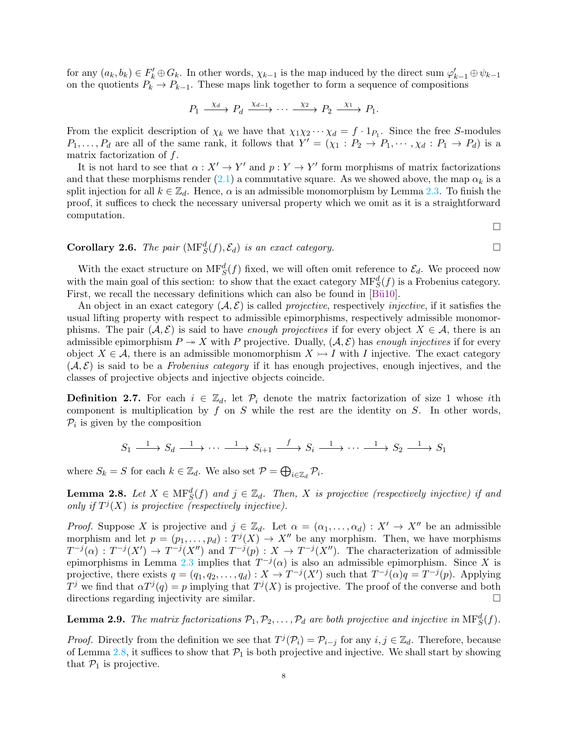for any  $(a_k, b_k) \in F'_k \oplus G_k$ . In other words,  $\chi_{k-1}$  is the map induced by the direct sum  $\varphi'_{k-1} \oplus \psi_{k-1}$ on the quotients  $P_k \to P_{k-1}$ . These maps link together to form a sequence of compositions

$$
P_1 \xrightarrow{\chi_d} P_d \xrightarrow{\chi_{d-1}} \cdots \xrightarrow{\chi_2} P_2 \xrightarrow{\chi_1} P_1.
$$

From the explicit description of  $\chi_k$  we have that  $\chi_1 \chi_2 \cdots \chi_d = f \cdot 1_{P_1}$ . Since the free S-modules  $P_1,\ldots,P_d$  are all of the same rank, it follows that  $Y'=(\chi_1:P_2\to P_1,\cdots,\chi_d:P_1\to P_d)$  is a matrix factorization of f.

It is not hard to see that  $\alpha: X' \to Y'$  and  $p: Y \to Y'$  form morphisms of matrix factorizations and that these morphisms render [\(2.1\)](#page-6-0) a commutative square. As we showed above, the map  $\alpha_k$  is a split injection for all  $k \in \mathbb{Z}_d$ . Hence,  $\alpha$  is an admissible monomorphism by Lemma [2.3.](#page-4-0) To finish the proof, it suffices to check the necessary universal property which we omit as it is a straightforward computation.

 $\Box$ 

# **Corollary 2.6.** *The pair*  $(MF_S^d(f), \mathcal{E}_d)$  *is an exact category.*

With the exact structure on  $\text{MF}^d_S(f)$  fixed, we will often omit reference to  $\mathcal{E}_d$ . We proceed now with the main goal of this section: to show that the exact category  $MF_S^d(f)$  is a Frobenius category. First, we recall the necessary definitions which can also be found in [Bü10].

An object in an exact category  $(\mathcal{A}, \mathcal{E})$  is called *projective*, respectively *injective*, if it satisfies the usual lifting property with respect to admissible epimorphisms, respectively admissible monomorphisms. The pair  $(A, \mathcal{E})$  is said to have *enough projectives* if for every object  $X \in \mathcal{A}$ , there is an admissible epimorphism  $P \rightarrow X$  with P projective. Dually,  $(A, \mathcal{E})$  has *enough injectives* if for every object  $X \in \mathcal{A}$ , there is an admissible monomorphism  $X \rightarrow I$  with I injective. The exact category  $(\mathcal{A}, \mathcal{E})$  is said to be a *Frobenius category* if it has enough projectives, enough injectives, and the classes of projective objects and injective objects coincide.

**Definition 2.7.** For each  $i \in \mathbb{Z}_d$ , let  $\mathcal{P}_i$  denote the matrix factorization of size 1 whose ith component is multiplication by  $f$  on  $S$  while the rest are the identity on  $S$ . In other words,  $P_i$  is given by the composition

$$
S_1 \xrightarrow{1} S_d \xrightarrow{1} \cdots \xrightarrow{1} S_{i+1} \xrightarrow{f} S_i \xrightarrow{1} \cdots \xrightarrow{1} S_2 \xrightarrow{1} S_1
$$

where  $S_k = S$  for each  $k \in \mathbb{Z}_d$ . We also set  $\mathcal{P} = \bigoplus_{i \in \mathbb{Z}_d} \mathcal{P}_i$ .

<span id="page-7-0"></span>**Lemma 2.8.** Let  $X \in \text{MF}^d_S(f)$  and  $j \in \mathbb{Z}_d$ . Then, X is projective (respectively injective) if and only if  $T^j(X)$  is projective (respectively injective).

*Proof.* Suppose X is projective and  $j \in \mathbb{Z}_d$ . Let  $\alpha = (\alpha_1, \dots, \alpha_d) : X' \to X''$  be an admissible morphism and let  $p = (p_1, \ldots, p_d) : T^j(X) \to X''$  be any morphism. Then, we have morphisms  $T^{-j}(\alpha) : T^{-j}(X') \to T^{-j}(X'')$  and  $T^{-j}(p) : X \to T^{-j}(X'')$ . The characterization of admissible epimorphisms in Lemma [2.3](#page-4-0) implies that  $T^{-j}(\alpha)$  is also an admissible epimorphism. Since X is projective, there exists  $q = (q_1, q_2, \dots, q_d) : X \to T^{-j}(X')$  such that  $T^{-j}(\alpha)q = T^{-j}(p)$ . Applying  $T^j$  we find that  $\alpha T^j(q) = p$  implying that  $T^j(X)$  is projective. The proof of the converse and both directions regarding injectivity are similar.

<span id="page-7-1"></span>**Lemma 2.9.** The matrix factorizations  $P_1, P_2, \ldots, P_d$  are both projective and injective in  $\text{MF}^d_S(f)$ .

*Proof.* Directly from the definition we see that  $T^j(\mathcal{P}_i) = \mathcal{P}_{i-j}$  for any  $i, j \in \mathbb{Z}_d$ . Therefore, because of Lemma [2.8,](#page-7-0) it suffices to show that  $P_1$  is both projective and injective. We shall start by showing that  $P_1$  is projective.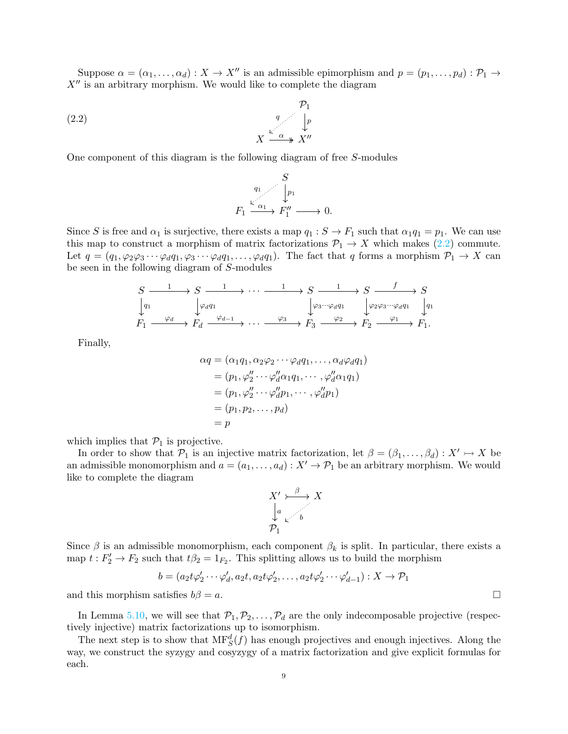Suppose  $\alpha = (\alpha_1, \dots, \alpha_d) : X \to X''$  is an admissible epimorphism and  $p = (p_1, \dots, p_d) : \mathcal{P}_1 \to$  $X''$  is an arbitrary morphism. We would like to complete the diagram

(2.2) 
$$
X \xrightarrow{q} \begin{array}{c} \mathcal{P}_1 \\ \downarrow p \\ X \xrightarrow{\alpha} X'' \end{array}
$$

One component of this diagram is the following diagram of free S-modules

<span id="page-8-0"></span>
$$
F_1 \xrightarrow{\iota_1} F_1 \xrightarrow{\iota_2} F_1'' \longrightarrow 0.
$$

Since S is free and  $\alpha_1$  is surjective, there exists a map  $q_1 : S \to F_1$  such that  $\alpha_1 q_1 = p_1$ . We can use this map to construct a morphism of matrix factorizations  $\mathcal{P}_1 \to X$  which makes [\(2.2\)](#page-8-0) commute. Let  $q = (q_1, \varphi_2\varphi_3 \cdots \varphi_d q_1, \varphi_3 \cdots \varphi_d q_1, \ldots, \varphi_d q_1)$ . The fact that q forms a morphism  $\mathcal{P}_1 \to X$  can be seen in the following diagram of S-modules

$$
\begin{array}{ccc}\nS & \xrightarrow{1} & S & \xrightarrow{1} & \cdots & \xrightarrow{1} & S & \xrightarrow{1} & S & \xrightarrow{f} & S \\
\downarrow^{q_1} & & \downarrow^{\varphi_d q_1} & & \downarrow^{\varphi_3 \cdots \varphi_d q_1} & \downarrow^{\varphi_2 \varphi_3 \cdots \varphi_d q_1} & \downarrow^{q_1} \\
F_1 & \xrightarrow{\varphi_d} & F_d & \xrightarrow{\varphi_{d-1}} & \cdots & \xrightarrow{\varphi_3} & F_3 & \xrightarrow{\varphi_2} & F_2 & \xrightarrow{\varphi_1} & F_1.\n\end{array}
$$

Finally,

$$
\alpha q = (\alpha_1 q_1, \alpha_2 \varphi_2 \cdots \varphi_d q_1, \dots, \alpha_d \varphi_d q_1)
$$
  
= 
$$
(p_1, \varphi_2' \cdots \varphi_d' \alpha_1 q_1, \cdots, \varphi_d'' \alpha_1 q_1)
$$
  
= 
$$
(p_1, \varphi_2' \cdots \varphi_d'' p_1, \cdots, \varphi_d'' p_1)
$$
  
= 
$$
(p_1, p_2, \dots, p_d)
$$
  
= 
$$
p
$$

which implies that  $\mathcal{P}_1$  is projective.

In order to show that  $\mathcal{P}_1$  is an injective matrix factorization, let  $\beta = (\beta_1, \ldots, \beta_d) : X' \rightarrow X$  be an admissible monomorphism and  $a = (a_1, \ldots, a_d) : X' \to \mathcal{P}_1$  be an arbitrary morphism. We would like to complete the diagram

$$
X' \rightarrow B \rightarrow X
$$
  
\n
$$
\downarrow a
$$
  
\n
$$
\rho_1
$$
  
\n
$$
\rho_2
$$

Since  $\beta$  is an admissible monomorphism, each component  $\beta_k$  is split. In particular, there exists a map  $t: F_2' \to F_2$  such that  $t\beta_2 = 1_{F_2}$ . This splitting allows us to build the morphism

$$
b = (a_2 t \varphi_2' \cdots \varphi_d', a_2 t, a_2 t \varphi_2', \dots, a_2 t \varphi_2' \cdots \varphi_{d-1}') : X \to \mathcal{P}_1
$$

and this morphism satisfies  $b\beta = a$ .

In Lemma [5.10,](#page-30-0) we will see that  $\mathcal{P}_1, \mathcal{P}_2, \ldots, \mathcal{P}_d$  are the only indecomposable projective (respectively injective) matrix factorizations up to isomorphism.

The next step is to show that  $MF_S^d(f)$  has enough projectives and enough injectives. Along the way, we construct the syzygy and cosyzygy of a matrix factorization and give explicit formulas for each.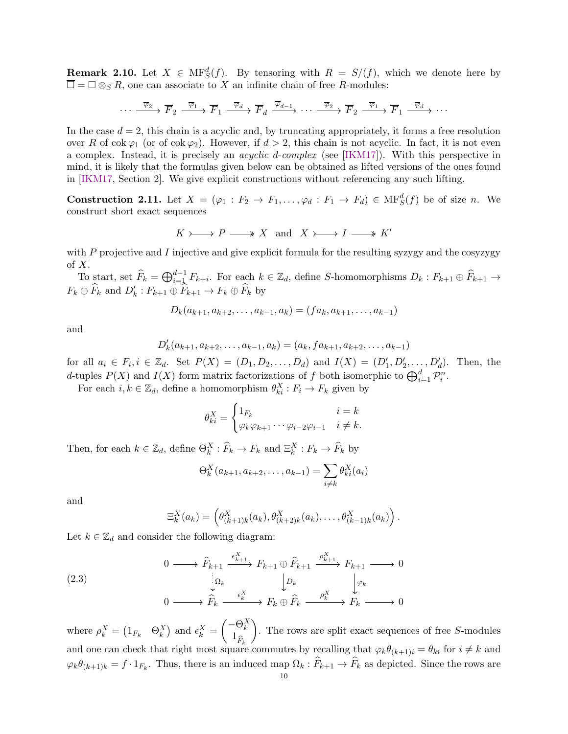**Remark 2.10.** Let  $X \in \mathrm{MF}^d_S(f)$ . By tensoring with  $R = S/(f)$ , which we denote here by  $\square = \square \otimes_S R$ , one can associate to X an infinite chain of free R-modules:

$$
\cdots \xrightarrow{\overline{\varphi}_2} \overline{F}_2 \xrightarrow{\overline{\varphi}_1} \overline{F}_1 \xrightarrow{\overline{\varphi}_d} \overline{F}_d \xrightarrow{\overline{\varphi}_{d-1}} \cdots \xrightarrow{\overline{\varphi}_2} \overline{F}_2 \xrightarrow{\overline{\varphi}_1} \overline{F}_1 \xrightarrow{\overline{\varphi}_d} \cdots
$$

In the case  $d = 2$ , this chain is a acyclic and, by truncating appropriately, it forms a free resolution over R of cok  $\varphi_1$  (or of cok  $\varphi_2$ ). However, if  $d > 2$ , this chain is not acyclic. In fact, it is not even a complex. Instead, it is precisely an *acyclic* d-*complex* (see [\[IKM17\]](#page-35-9)). With this perspective in mind, it is likely that the formulas given below can be obtained as lifted versions of the ones found in [\[IKM17,](#page-35-9) Section 2]. We give explicit constructions without referencing any such lifting.

<span id="page-9-1"></span>**Construction 2.11.** Let  $X = (\varphi_1 : F_2 \to F_1, \ldots, \varphi_d : F_1 \to F_d) \in \text{MF}^d_S(f)$  be of size *n*. We construct short exact sequences

$$
K \rightarrow \longrightarrow P \longrightarrow X \text{ and } X \rightarrow \longrightarrow I \longrightarrow K'
$$

with  $P$  projective and  $I$  injective and give explicit formula for the resulting syzygy and the cosyzygy of  $X$ .

To start, set  $\widehat{F}_k = \bigoplus_{i=1}^{d-1} F_{k+i}$ . For each  $k \in \mathbb{Z}_d$ , define S-homomorphisms  $D_k : F_{k+1} \oplus \widehat{F}_{k+1} \to$  $F_k \oplus \widehat{F}_k$  and  $D'_k : F_{k+1} \oplus \widehat{F}_{k+1} \to F_k \oplus \widehat{F}_k$  by

$$
D_k(a_{k+1}, a_{k+2}, \dots, a_{k-1}, a_k) = (fa_k, a_{k+1}, \dots, a_{k-1})
$$

and

$$
D'_{k}(a_{k+1}, a_{k+2}, \ldots, a_{k-1}, a_{k}) = (a_{k}, fa_{k+1}, a_{k+2}, \ldots, a_{k-1})
$$

for all  $a_i \in F_i, i \in \mathbb{Z}_d$ . Set  $P(X) = (D_1, D_2, \ldots, D_d)$  and  $I(X) = (D'_1, D'_2, \ldots, D'_d)$ . Then, the d-tuples  $P(X)$  and  $I(X)$  form matrix factorizations of f both isomorphic to  $\bigoplus_{i=1}^{d} \mathcal{P}_{i}^{n}$ .

For each  $i, k \in \mathbb{Z}_d$ , define a homomorphism  $\theta_{ki}^X : F_i \to F_k$  given by

$$
\theta_{ki}^X = \begin{cases} 1_{F_k} & i = k \\ \varphi_k \varphi_{k+1} \cdots \varphi_{i-2} \varphi_{i-1} & i \neq k. \end{cases}
$$

Then, for each  $k \in \mathbb{Z}_d$ , define  $\Theta_k^X : \widehat{F}_k \to F_k$  and  $\Xi_k^X : F_k \to \widehat{F}_k$  by

$$
\Theta_k^X(a_{k+1}, a_{k+2}, \dots, a_{k-1}) = \sum_{i \neq k} \theta_{ki}^X(a_i)
$$

and

<span id="page-9-0"></span>
$$
\Xi_k^X(a_k) = \left(\theta_{(k+1)k}^X(a_k), \theta_{(k+2)k}^X(a_k), \ldots, \theta_{(k-1)k}^X(a_k)\right).
$$

Let  $k \in \mathbb{Z}_d$  and consider the following diagram:

(2.3) 0 Fb <sup>k</sup>+1 Fk+1 ⊕ Fb <sup>k</sup>+1 Fk+1 0 0 Fb <sup>k</sup> F<sup>k</sup> ⊕ Fb <sup>k</sup> F<sup>k</sup> 0 Ω<sup>k</sup> ǫ<sup>X</sup> k+1 D<sup>k</sup> ρ<sup>X</sup> k+1 ϕ<sup>k</sup> ǫ<sup>X</sup> k ρ<sup>X</sup> k

where  $\rho_k^X = \begin{pmatrix} 1_{F_k} & \Theta_k^X \end{pmatrix}$  and  $\epsilon_k^X =$  $\begin{pmatrix} -\Theta^X_k \\ 1_{\widehat{F}_k} \end{pmatrix}$  $\setminus$ . The rows are split exact sequences of free S-modules and one can check that right most square commutes by recalling that  $\varphi_k \theta_{(k+1)i} = \theta_{ki}$  for  $i \neq k$  and  $\varphi_k \theta_{(k+1)k} = f \cdot 1_{F_k}$ . Thus, there is an induced map  $\Omega_k : F_{k+1} \to F_k$  as depicted. Since the rows are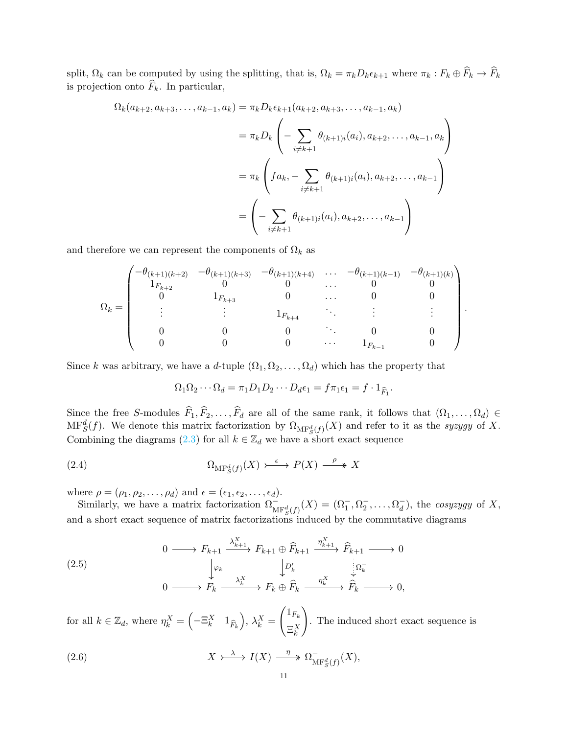split,  $\Omega_k$  can be computed by using the splitting, that is,  $\Omega_k = \pi_k D_k \epsilon_{k+1}$  where  $\pi_k : F_k \oplus F_k \to F_k$ is projection onto  $F_k$ . In particular,

$$
\Omega_k(a_{k+2}, a_{k+3}, \dots, a_{k-1}, a_k) = \pi_k D_k \epsilon_{k+1}(a_{k+2}, a_{k+3}, \dots, a_{k-1}, a_k)
$$
  

$$
= \pi_k D_k \left( - \sum_{i \neq k+1} \theta_{(k+1)i}(a_i), a_{k+2}, \dots, a_{k-1}, a_k \right)
$$
  

$$
= \pi_k \left( fa_k, - \sum_{i \neq k+1} \theta_{(k+1)i}(a_i), a_{k+2}, \dots, a_{k-1} \right)
$$
  

$$
= \left( - \sum_{i \neq k+1} \theta_{(k+1)i}(a_i), a_{k+2}, \dots, a_{k-1} \right)
$$

and therefore we can represent the components of  $\Omega_k$  as

$$
\Omega_k = \begin{pmatrix}\n-\theta_{(k+1)(k+2)} & -\theta_{(k+1)(k+3)} & -\theta_{(k+1)(k+4)} & \cdots & -\theta_{(k+1)(k-1)} & -\theta_{(k+1)(k)} \\
1_{F_{k+2}} & 0 & 0 & \cdots & 0 & 0 \\
0 & 1_{F_{k+3}} & 0 & \cdots & 0 & 0 \\
\vdots & \vdots & \vdots & \ddots & \vdots & \vdots \\
0 & 0 & 0 & \cdots & 0 & 0 \\
0 & 0 & 0 & \cdots & 1_{F_{k-1}} & 0\n\end{pmatrix}.
$$

Since k was arbitrary, we have a d-tuple  $(\Omega_1, \Omega_2, \ldots, \Omega_d)$  which has the property that

<span id="page-10-0"></span>
$$
\Omega_1 \Omega_2 \cdots \Omega_d = \pi_1 D_1 D_2 \cdots D_d \epsilon_1 = f \pi_1 \epsilon_1 = f \cdot 1_{\widehat{F}_1}.
$$

Since the free S-modules  $F_1, F_2, \ldots, F_d$  are all of the same rank, it follows that  $(\Omega_1, \ldots, \Omega_d) \in$  $\text{MF}_S^d(f)$ . We denote this matrix factorization by  $\Omega_{\text{MF}_S^d(f)}(X)$  and refer to it as the *syzygy* of X. Combining the diagrams [\(2.3\)](#page-9-0) for all  $k \in \mathbb{Z}_d$  we have a short exact sequence

(2.4) 
$$
\Omega_{\mathrm{MF}^d_S(f)}(X) \rightarrow \stackrel{\epsilon}{\longrightarrow} P(X) \stackrel{\rho}{\longrightarrow} X
$$

where  $\rho = (\rho_1, \rho_2, \dots, \rho_d)$  and  $\epsilon = (\epsilon_1, \epsilon_2, \dots, \epsilon_d)$ .

Similarly, we have a matrix factorization  $\Omega_{\text{MF}^d_S(f)}^-(X) = (\Omega_1^-, \Omega_2^-, \dots, \Omega_d^-)$ , the *cosyzygy* of X, and a short exact sequence of matrix factorizations induced by the commutative diagrams

$$
(2.5)
$$
\n
$$
\begin{array}{ccc}\n & 0 \longrightarrow F_{k+1} \xrightarrow{\lambda_{k+1}^X} F_{k+1} \oplus \widehat{F}_{k+1} \xrightarrow{\eta_{k+1}^X} \widehat{F}_{k+1} \longrightarrow 0 \\
 & \downarrow \varphi_k & \downarrow \varphi'_k \\
 & 0 \longrightarrow F_k \xrightarrow{\lambda_k^X} F_k \oplus \widehat{F}_k \xrightarrow{\eta_k^X} \widehat{F}_k \longrightarrow 0,\n\end{array}
$$

for all  $k \in \mathbb{Z}_d$ , where  $\eta_k^X = \left(-\Xi_k^X \quad 1_{\widehat{F}_k}\right), \lambda_k^X =$  $\sqrt{1_{F_k}}$  $\Xi_k^X$ ! . The induced short exact sequence is

<span id="page-10-1"></span>(2.6) 
$$
X \rightarrow \longrightarrow I(X) \xrightarrow{\eta} \Omega_{\text{MF}^d_S(f)}^{-}(X),
$$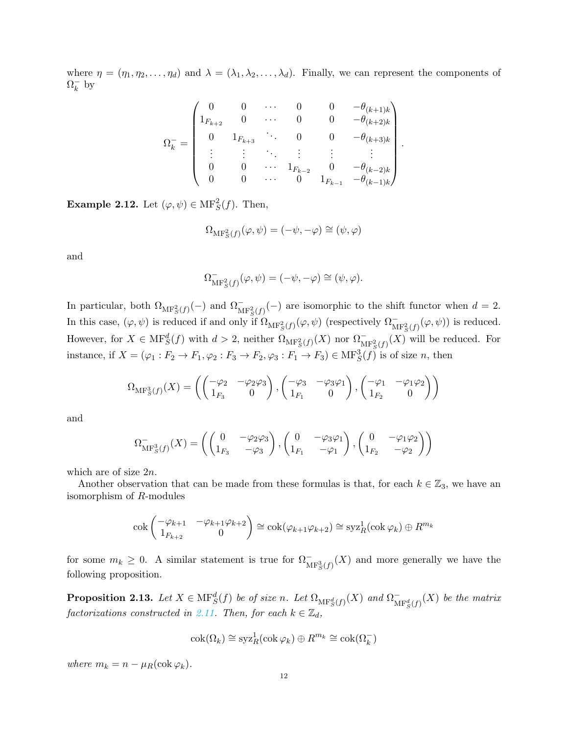where  $\eta = (\eta_1, \eta_2, \dots, \eta_d)$  and  $\lambda = (\lambda_1, \lambda_2, \dots, \lambda_d)$ . Finally, we can represent the components of  $\Omega_k^ \frac{1}{k}$  by

$$
\Omega_k^-=\begin{pmatrix} 0 & 0 & \cdots & 0 & 0 & -\theta_{(k+1)k} \\ 1_{F_{k+2}} & 0 & \cdots & 0 & 0 & -\theta_{(k+2)k} \\ 0 & 1_{F_{k+3}} & \ddots & 0 & 0 & -\theta_{(k+3)k} \\ \vdots & \vdots & \ddots & \vdots & \vdots & \vdots \\ 0 & 0 & \cdots & 1_{F_{k-2}} & 0 & -\theta_{(k-2)k} \\ 0 & 0 & \cdots & 0 & 1_{F_{k-1}} & -\theta_{(k-1)k} \end{pmatrix}
$$

.

<span id="page-11-0"></span>**Example 2.12.** Let  $(\varphi, \psi) \in \mathrm{MF}^2_S(f)$ . Then,

$$
\Omega_{\mathrm{MF}^2_S(f)}(\varphi,\psi)=(-\psi,-\varphi)\cong(\psi,\varphi)
$$

and

$$
\Omega_{\mathrm{MF}^2_S(f)}^-(\varphi,\psi)=(-\psi,-\varphi)\cong(\psi,\varphi).
$$

In particular, both  $\Omega_{\text{MF}^2_S(f)}(-)$  and  $\Omega_{\text{MF}^2_S(f)}(-)$  are isomorphic to the shift functor when  $d=2$ . In this case,  $(\varphi, \psi)$  is reduced if and only if  $\Omega_{\text{MF}^2_S(f)}(\varphi, \psi)$  (respectively  $\Omega_{\text{MF}^2_S(f)}^-(\varphi, \psi)$ ) is reduced. However, for  $X \in \mathrm{MF}^d_S(f)$  with  $d > 2$ , neither  $\Omega_{\mathrm{MF}^2_S(f)}(X)$  nor  $\Omega_{\mathrm{MF}^2_S(f)}^-(X)$  will be reduced. For instance, if  $X = (\varphi_1 : F_2 \to F_1, \varphi_2 : F_3 \to F_2, \varphi_3 : F_1 \to F_3) \in \text{MF}^3_S(f)$  is of size n, then

$$
\Omega_{\mathrm{MF}^3_S(f)}(X) = \left( \begin{pmatrix} -\varphi_2 & -\varphi_2 \varphi_3 \\ 1_{F_3} & 0 \end{pmatrix}, \begin{pmatrix} -\varphi_3 & -\varphi_3 \varphi_1 \\ 1_{F_1} & 0 \end{pmatrix}, \begin{pmatrix} -\varphi_1 & -\varphi_1 \varphi_2 \\ 1_{F_2} & 0 \end{pmatrix} \right)
$$

and

$$
\Omega_{\mathrm{MF}^3_S(f)}^-(X) = \left( \begin{pmatrix} 0 & -\varphi_2 \varphi_3 \\ 1_{F_3} & -\varphi_3 \end{pmatrix}, \begin{pmatrix} 0 & -\varphi_3 \varphi_1 \\ 1_{F_1} & -\varphi_1 \end{pmatrix}, \begin{pmatrix} 0 & -\varphi_1 \varphi_2 \\ 1_{F_2} & -\varphi_2 \end{pmatrix} \right)
$$

which are of size 2n.

Another observation that can be made from these formulas is that, for each  $k \in \mathbb{Z}_3$ , we have an isomorphism of R-modules

$$
\operatorname{cok}\begin{pmatrix} -\varphi_{k+1} & -\varphi_{k+1}\varphi_{k+2} \\ 1_{F_{k+2}} & 0 \end{pmatrix} \cong \operatorname{cok}(\varphi_{k+1}\varphi_{k+2}) \cong \operatorname{syz}^1_R(\operatorname{cok}\varphi_k) \oplus R^{m_k}
$$

for some  $m_k \geq 0$ . A similar statement is true for  $\Omega_{\text{MF}^3_S(f)}^-(X)$  and more generally we have the following proposition.

<span id="page-11-1"></span>**Proposition 2.13.** Let  $X \in \text{MF}^d_S(f)$  be of size n. Let  $\Omega_{\text{MF}^d_S(f)}(X)$  and  $\Omega_{\text{M}}^ \int_{\mathrm{MF}^d_S(f)}^{+}(X)$  be the matrix *factorizations constructed in* [2.11.](#page-9-1) Then, for each  $k \in \mathbb{Z}_d$ ,

$$
\operatorname{cok}(\Omega_k) \cong \operatorname{syz}^1_R(\operatorname{cok} \varphi_k) \oplus R^{m_k} \cong \operatorname{cok}(\Omega_k^-)
$$

*where*  $m_k = n - \mu_R(\text{cok }\varphi_k)$ .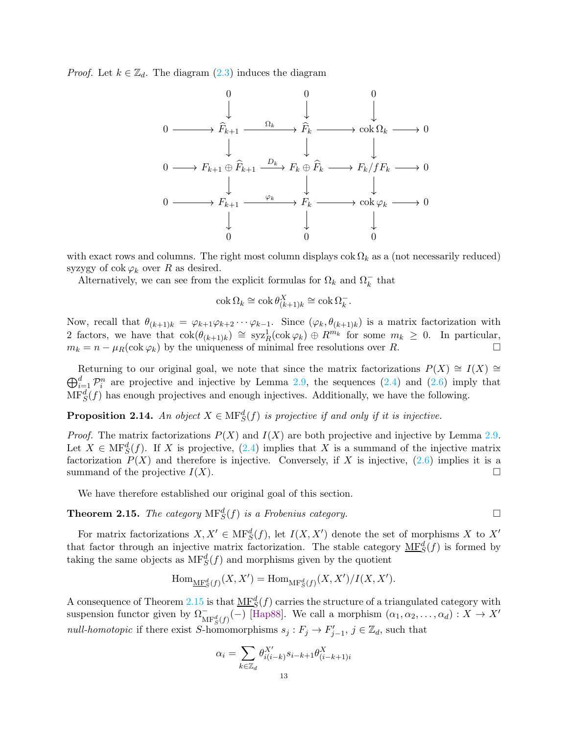*Proof.* Let  $k \in \mathbb{Z}_d$ . The diagram  $(2.3)$  induces the diagram



with exact rows and columns. The right most column displays  $\cosh \Omega_k$  as a (not necessarily reduced) syzygy of  $\operatorname{cok} \varphi_k$  over R as desired.

Alternatively, we can see from the explicit formulas for  $\Omega_k$  and  $\Omega_k^-$  that

$$
\operatorname{cok} \Omega_k \cong \operatorname{cok} \theta_{(k+1)k}^X \cong \operatorname{cok} \Omega_k^-.
$$

Now, recall that  $\theta_{(k+1)k} = \varphi_{k+1}\varphi_{k+2}\cdots\varphi_{k-1}$ . Since  $(\varphi_k, \theta_{(k+1)k})$  is a matrix factorization with 2 factors, we have that  $\text{cok}(\theta_{(k+1)k}) \cong \text{syz}^1_R(\text{cok }\varphi_k) \oplus R^{m_k}$  for some  $m_k \geq 0$ . In particular,  $m_k = n - \mu_R(\text{cok }\varphi_k)$  by the uniqueness of minimal free resolutions over R.

 $\bigoplus_{i=1}^d \mathcal{P}_i^n$  are projective and injective by Lemma [2.9,](#page-7-1) the sequences [\(2.4\)](#page-10-0) and [\(2.6\)](#page-10-1) imply that Returning to our original goal, we note that since the matrix factorizations  $P(X) \cong I(X)$  $\text{MF}^d_S(f)$  has enough projectives and enough injectives. Additionally, we have the following.

<span id="page-12-1"></span>**Proposition 2.14.** An object  $X \in \text{MF}^d_S(f)$  is projective if and only if it is injective.

*Proof.* The matrix factorizations  $P(X)$  and  $I(X)$  are both projective and injective by Lemma [2.9.](#page-7-1) Let  $X \in \text{MF}^d_S(f)$ . If X is projective,  $(2.4)$  implies that X is a summand of the injective matrix factorization  $P(X)$  and therefore is injective. Conversely, if X is injective,  $(2.6)$  implies it is a summand of the projective  $I(X)$ .

We have therefore established our original goal of this section.

<span id="page-12-0"></span>**Theorem 2.15.** *The category*  $\text{MF}^d_S(f)$  *is a Frobenius category.* 

For matrix factorizations  $X, X' \in \mathrm{MF}^d_S(f)$ , let  $I(X, X')$  denote the set of morphisms X to X' that factor through an injective matrix factorization. The stable category  $M\underline{F}_{S}^{d}(f)$  is formed by taking the same objects as  $\mathrm{MF}^d_S(f)$  and morphisms given by the quotient

$$
\operatorname{Hom}_{\operatorname{\mathbf{MF}}^d_S(f)}(X,X') = \operatorname{Hom}_{\operatorname{\mathbf{MF}}^d_S(f)}(X,X')/I(X,X').
$$

A consequence of Theorem [2.15](#page-12-0) is that  $\underline{\text{MF}}^d_S(f)$  carries the structure of a triangulated category with suspension functor given by  $\Omega_{\text{MF}^d_S(f)}^{\mathcal{I}}(-)$  [\[Hap88\]](#page-35-10). We call a morphism  $(\alpha_1, \alpha_2, \ldots, \alpha_d) : X \to X'$ *null-homotopic* if there exist S-homomorphisms  $s_j : F_j \to F'_{j-1}, j \in \mathbb{Z}_d$ , such that

$$
\alpha_i = \sum_{k \in \mathbb{Z}_d} \theta_{i(i-k)}^{X'} s_{i-k+1} \theta_{(i-k+1)i}^X
$$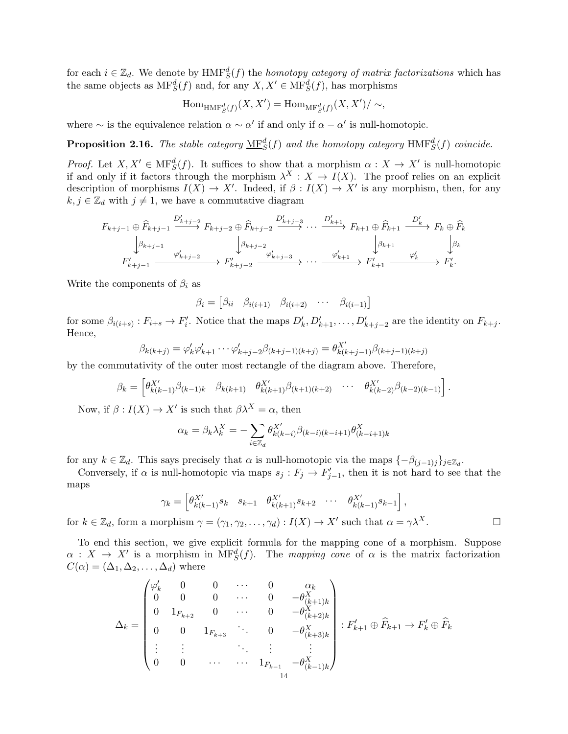for each  $i \in \mathbb{Z}_d$ . We denote by  $HMF_S^d(f)$  the *homotopy category of matrix factorizations* which has the same objects as  $\text{MF}^d_S(f)$  and, for any  $X, X' \in \text{MF}^d_S(f)$ , has morphisms

$$
\operatorname{Hom}_{\operatorname{HMF}^d_S(f)}(X, X') = \operatorname{Hom}_{\operatorname{MF}^d_S(f)}(X, X') / \sim,
$$

where  $\sim$  is the equivalence relation  $\alpha \sim \alpha'$  if and only if  $\alpha - \alpha'$  is null-homotopic.

<span id="page-13-0"></span>**Proposition 2.16.** The stable category  $\mathbf{MF}^d_S(f)$  and the homotopy category  $\mathrm{HMF}^d_S(f)$  coincide.

*Proof.* Let  $X, X' \in \text{MF}^d_S(f)$ . It suffices to show that a morphism  $\alpha : X \to X'$  is null-homotopic if and only if it factors through the morphism  $\lambda^X : X \to I(X)$ . The proof relies on an explicit description of morphisms  $I(X) \to X'$ . Indeed, if  $\beta : I(X) \to X'$  is any morphism, then, for any  $k, j \in \mathbb{Z}_d$  with  $j \neq 1$ , we have a commutative diagram

$$
F_{k+j-1} \oplus \widehat{F}_{k+j-1} \xrightarrow{D'_{k+j-2}} F_{k+j-2} \oplus \widehat{F}_{k+j-2} \xrightarrow{D'_{k+j-3}} \cdots \xrightarrow{D'_{k+1}} F_{k+1} \oplus \widehat{F}_{k+1} \xrightarrow{D'_{k}} F_{k} \oplus \widehat{F}_{k}
$$

$$
\downarrow \beta_{k+j-1} \xrightarrow{\varphi'_{k+j-2}} F'_{k+j-2} \xrightarrow{\varphi'_{k+j-3}} \cdots \xrightarrow{\varphi'_{k+1}} F'_{k+1} \xrightarrow{\varphi'_{k}} F'_{k}.
$$

Write the components of  $\beta_i$  as

$$
\beta_i = \begin{bmatrix} \beta_{ii} & \beta_{i(i+1)} & \beta_{i(i+2)} & \cdots & \beta_{i(i-1)} \end{bmatrix}
$$

for some  $\beta_{i(i+s)} : F_{i+s} \to F'_i$ . Notice that the maps  $D'_k, D'_{k+1}, \ldots, D'_{k+j-2}$  are the identity on  $F_{k+j}$ . Hence,

$$
\beta_{k(k+j)} = \varphi'_{k}\varphi'_{k+1}\cdots\varphi'_{k+j-2}\beta_{(k+j-1)(k+j)} = \theta_{k(k+j-1)}^{X'}\beta_{(k+j-1)(k+j)}
$$

by the commutativity of the outer most rectangle of the diagram above. Therefore,

$$
\beta_k = \begin{bmatrix} \theta_{k(k-1)}^{X'} \beta_{(k-1)k} & \beta_{k(k+1)} & \theta_{k(k+1)}^{X'} \beta_{(k+1)(k+2)} & \cdots & \theta_{k(k-2)}^{X'} \beta_{(k-2)(k-1)} \end{bmatrix}.
$$

Now, if  $\beta: I(X) \to X'$  is such that  $\beta \lambda^X = \alpha$ , then

$$
\alpha_k = \beta_k \lambda_k^X = -\sum_{i \in \mathbb{Z}_d} \theta_{k(k-i)}^{X'} \beta_{(k-i)(k-i+1)} \theta_{(k-i+1)k}^X
$$

for any  $k \in \mathbb{Z}_d$ . This says precisely that  $\alpha$  is null-homotopic via the maps  $\{-\beta_{(j-1)j}\}_{j\in\mathbb{Z}_d}$ .

Conversely, if  $\alpha$  is null-homotopic via maps  $s_j : F_j \to F'_{j-1}$ , then it is not hard to see that the maps

$$
\gamma_k = \begin{bmatrix} \theta_{k(k-1)}^{X'} s_{k} & s_{k+1} & \theta_{k(k+1)}^{X'} s_{k+2} & \cdots & \theta_{k(k-1)}^{X'} s_{k-1} \end{bmatrix},
$$

for  $k \in \mathbb{Z}_d$ , form a morphism  $\gamma = (\gamma_1, \gamma_2, \dots, \gamma_d) : I(X) \to X'$  such that  $\alpha = \gamma \lambda^X$ .

To end this section, we give explicit formula for the mapping cone of a morphism. Suppose  $\alpha : X \to X'$  is a morphism in  $\text{MF}^d_S(f)$ . The *mapping cone* of  $\alpha$  is the matrix factorization  $C(\alpha) = (\Delta_1, \Delta_2, \ldots, \Delta_d)$  where

$$
\Delta_k = \begin{pmatrix}\n\varphi_k' & 0 & 0 & \cdots & 0 & \alpha_k \\
0 & 0 & 0 & \cdots & 0 & -\theta_{(k+1)k}^X \\
0 & 1_{F_{k+2}} & 0 & \cdots & 0 & -\theta_{(k+2)k}^X \\
0 & 0 & 1_{F_{k+3}} & & 0 & -\theta_{(k+3)k}^X \\
\vdots & \vdots & & \ddots & \vdots & \vdots \\
0 & 0 & \cdots & \cdots & 1_{F_{k-1}} & -\theta_{(k-1)k}^X\n\end{pmatrix} : F'_{k+1} \oplus \widehat{F}_{k+1} \to F'_k \oplus \widehat{F}_k
$$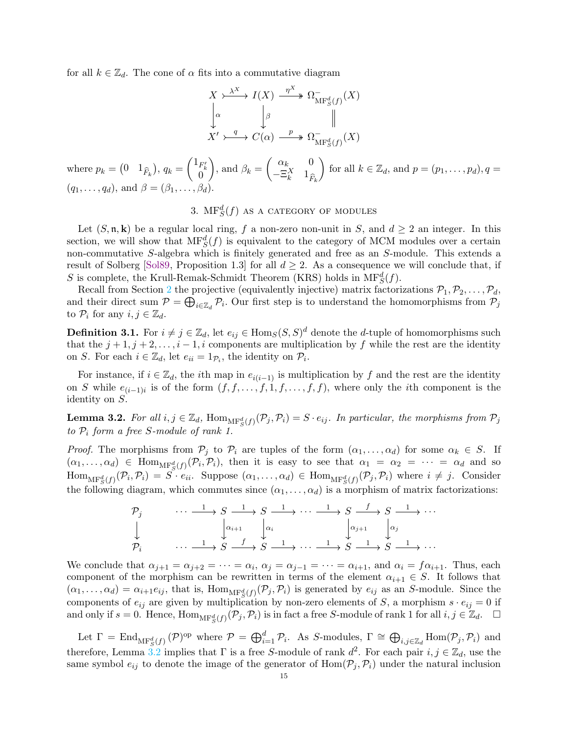for all  $k \in \mathbb{Z}_d$ . The cone of  $\alpha$  fits into a commutative diagram

$$
X \xrightarrow{\lambda^{X}} I(X) \xrightarrow{\eta^{X}} \Omega_{\text{MF}^{d}_{S}(f)}^{-}(X)
$$
  
\n
$$
\downarrow^{\alpha} \qquad \qquad \downarrow^{\beta} \qquad \qquad \parallel
$$
  
\n
$$
X' \xleftarrow{q} C(\alpha) \xrightarrow{p} \Omega_{\text{MF}^{d}_{S}(f)}^{-}(X)
$$

where  $p_k = \begin{pmatrix} 0 & 1_{\widehat{F}_k} \end{pmatrix}$ ,  $q_k =$  $\begin{pmatrix} 1_{F'_k} \\ 0 \end{pmatrix}$  $\setminus$ , and  $\beta_k =$  $\int \alpha_k = 0$  $-\Xi_k^X$  1<sub> $\hat{F}_k$ </sub> for all  $k \in \mathbb{Z}_d$ , and  $p = (p_1, \ldots, p_d)$ ,  $q =$  $(q_1, \ldots, q_d)$ , and  $\beta = (\beta_1, \ldots, \beta_d)$ .

# 3.  $\mathrm{MF}^d_S(f)$  as a category of modules

<span id="page-14-0"></span>Let  $(S, \mathfrak{n}, \mathbf{k})$  be a regular local ring, f a non-zero non-unit in S, and  $d \geq 2$  an integer. In this section, we will show that  $\text{MF}^d_S(f)$  is equivalent to the category of MCM modules over a certain non-commutative S-algebra which is finitely generated and free as an S-module. This extends a result of Solberg [\[Sol89,](#page-35-11) Proposition 1.3] for all  $d \geq 2$ . As a consequence we will conclude that, if S is complete, the Krull-Remak-Schmidt Theorem (KRS) holds in  $\mathrm{MF}^d_S(f)$ .

Recall from Section [2](#page-3-0) the projective (equivalently injective) matrix factorizations  $P_1, P_2, \ldots, P_d$ , and their direct sum  $P = \bigoplus_{i \in \mathbb{Z}_d} P_i$ . Our first step is to understand the homomorphisms from  $P_j$ to  $\mathcal{P}_i$  for any  $i, j \in \mathbb{Z}_d$ .

**Definition 3.1.** For  $i \neq j \in \mathbb{Z}_d$ , let  $e_{ij} \in \text{Hom}_S(S, S)^d$  denote the *d*-tuple of homomorphisms such that the  $j + 1, j + 2, \ldots, i - 1, i$  components are multiplication by f while the rest are the identity on S. For each  $i \in \mathbb{Z}_d$ , let  $e_{ii} = 1_{\mathcal{P}_i}$ , the identity on  $\mathcal{P}_i$ .

For instance, if  $i \in \mathbb{Z}_d$ , the *i*th map in  $e_{i(i-1)}$  is multiplication by f and the rest are the identity on S while  $e_{(i-1)i}$  is of the form  $(f, f, \ldots, f, 1, f, \ldots, f, f)$ , where only the *i*th component is the identity on S.

<span id="page-14-1"></span>**Lemma 3.2.** *For all*  $i, j \in \mathbb{Z}_d$ ,  $\text{Hom}_{\text{MF}_S^d(f)}(\mathcal{P}_j, \mathcal{P}_i) = S \cdot e_{ij}$ . In particular, the morphisms from  $\mathcal{P}_j$ *to* P<sup>i</sup> *form a free* S*-module of rank 1.*

*Proof.* The morphisms from  $P_j$  to  $P_i$  are tuples of the form  $(\alpha_1, \ldots, \alpha_d)$  for some  $\alpha_k \in S$ . If  $(\alpha_1,\ldots,\alpha_d) \in \text{Hom}_{\text{MF}^d_S(f)}(\mathcal{P}_i,\mathcal{P}_i)$ , then it is easy to see that  $\alpha_1 = \alpha_2 = \cdots = \alpha_d$  and so  $\text{Hom}_{\text{MF}^d_S(f)}(\mathcal{P}_i, \mathcal{P}_i) = S \cdot e_{ii}$ . Suppose  $(\alpha_1, \ldots, \alpha_d) \in \text{Hom}_{\text{MF}^d_S(f)}(\mathcal{P}_j, \mathcal{P}_i)$  where  $i \neq j$ . Consider the following diagram, which commutes since  $(\alpha_1, \ldots, \alpha_d)$  is a morphism of matrix factorizations:

$$
\begin{array}{ccccccc}\n\mathcal{P}_j & \cdots & \xrightarrow{1} & S & \xrightarrow{1} & S & \xrightarrow{1} & \cdots & \xrightarrow{1} & S & \xrightarrow{f} & S & \xrightarrow{1} & \cdots \\
\downarrow & & & & & & & & & & \\
\downarrow & & & & & & & & & & \\
\mathcal{P}_i & & & & & & & & & & \\
\end{array}
$$
\n
$$
\begin{array}{ccccccc}\n\downarrow & & & & & & & & \\
\downarrow & & & & & & & & & \\
\downarrow & & & & & & & & & \\
\downarrow & & & & & & & & & \\
\mathcal{P}_i & & & & & & & & & & \\
\end{array}
$$
\n
$$
\begin{array}{ccccccc}\n\downarrow & & & & & & & & & \\
\downarrow & & & & & & & & & & \\
\downarrow & & & & & & & & & & & \\
\downarrow & & & & & & & & & & & \\
\downarrow & & & & & & & & & & & & \\
\downarrow & & & & & & & & & & & & \\
\downarrow & & & & & & & & & & & & \\
\downarrow & & & & & & & & & & & & \\
\downarrow & & & & & & & & & & & & & \\
\downarrow &
$$

We conclude that  $\alpha_{j+1} = \alpha_{j+2} = \cdots = \alpha_i$ ,  $\alpha_j = \alpha_{j-1} = \cdots = \alpha_{i+1}$ , and  $\alpha_i = f\alpha_{i+1}$ . Thus, each component of the morphism can be rewritten in terms of the element  $\alpha_{i+1} \in S$ . It follows that  $(\alpha_1,\ldots,\alpha_d) = \alpha_{i+1}e_{ij}$ , that is,  $\text{Hom}_{\text{MF}^d_S(f)}(\mathcal{P}_j, \mathcal{P}_i)$  is generated by  $e_{ij}$  as an S-module. Since the components of  $e_{ij}$  are given by multiplication by non-zero elements of S, a morphism  $s \cdot e_{ij} = 0$  if and only if  $s = 0$ . Hence,  $\text{Hom}_{\text{MF}^d_S(f)}(\mathcal{P}_j, \mathcal{P}_i)$  is in fact a free S-module of rank 1 for all  $i, j \in \mathbb{Z}_d$ .  $\Box$ 

Let  $\Gamma = \text{End}_{\text{MF}^d_S(f)}(\mathcal{P})^{\text{op}}$  where  $\mathcal{P} = \bigoplus_{i=1}^d \mathcal{P}_i$ . As S-modules,  $\Gamma \cong \bigoplus_{i,j \in \mathbb{Z}_d} \text{Hom}(\mathcal{P}_j, \mathcal{P}_i)$  and therefore, Lemma [3.2](#page-14-1) implies that  $\Gamma$  is a free S-module of rank  $d^2$ . For each pair  $i, j \in \mathbb{Z}_d$ , use the same symbol  $e_{ij}$  to denote the image of the generator of  $Hom(\mathcal{P}_i, \mathcal{P}_i)$  under the natural inclusion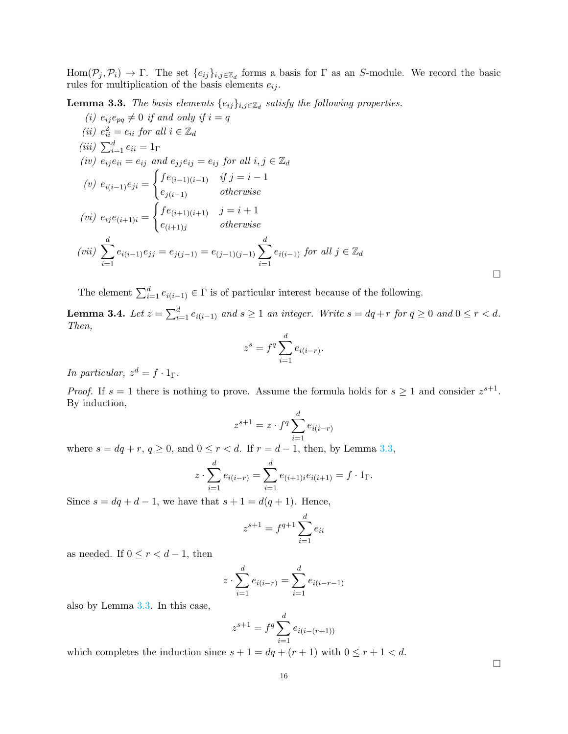$Hom(\mathcal{P}_j, \mathcal{P}_i) \to \Gamma$ . The set  $\{e_{ij}\}_{i,j\in\mathbb{Z}_d}$  forms a basis for  $\Gamma$  as an S-module. We record the basic rules for multiplication of the basis elements  $e_{ij}$ .

<span id="page-15-2"></span><span id="page-15-0"></span>**Lemma 3.3.** *The basis elements*  $\{e_{ij}\}_{i,j\in\mathbb{Z}_d}$  *satisfy the following properties.* 

<span id="page-15-6"></span><span id="page-15-3"></span><span id="page-15-1"></span>(i) 
$$
e_{ij}e_{pq} \neq 0
$$
 if and only if  $i = q$   
\n(ii)  $e_{ii}^2 = e_{ii}$  for all  $i \in \mathbb{Z}_d$   
\n(iii)  $\sum_{i=1}^d e_{ii} = 1_\Gamma$   
\n(iv)  $e_{ij}e_{ii} = e_{ij}$  and  $e_{jj}e_{ij} = e_{ij}$  for all  $i, j \in \mathbb{Z}_d$   
\n(v)  $e_{i(i-1)}e_{ji} = \begin{cases} fe_{(i-1)(i-1)} & \text{if } j = i-1\\ e_{j(i-1)} & \text{otherwise} \end{cases}$   
\n(vi)  $e_{ij}e_{(i+1)i} = \begin{cases} fe_{(i+1)(i+1)} & j = i+1\\ e_{(i+1)j} & \text{otherwise} \end{cases}$   
\n(vii)  $\sum_{i=1}^d e_{i(i-1)}e_{jj} = e_{j(j-1)} = e_{(j-1)(j-1)} \sum_{i=1}^d e_{i(i-1)}$  for all  $j \in \mathbb{Z}_d$ 

<span id="page-15-4"></span>The element  $\sum_{i=1}^{d} e_{i(i-1)} \in \Gamma$  is of particular interest because of the following.

<span id="page-15-5"></span>**Lemma 3.4.** Let  $z = \sum_{i=1}^d e_{i(i-1)}$  and  $s \ge 1$  an integer. Write  $s = dq + r$  for  $q \ge 0$  and  $0 \le r < d$ . *Then,*

$$
z^s = f^q \sum_{i=1}^d e_{i(i-r)}.
$$

*In particular,*  $z^d = f \cdot 1_\Gamma$ .

*Proof.* If  $s = 1$  there is nothing to prove. Assume the formula holds for  $s \ge 1$  and consider  $z^{s+1}$ . By induction,

$$
z^{s+1} = z \cdot f^q \sum_{i=1}^d e_{i(i-r)}
$$

where  $s = dq + r$ ,  $q \ge 0$ , and  $0 \le r < d$ . If  $r = d - 1$ , then, by Lemma [3.3,](#page-15-0)

$$
z \cdot \sum_{i=1}^{d} e_{i(i-r)} = \sum_{i=1}^{d} e_{(i+1)i} e_{i(i+1)} = f \cdot 1_{\Gamma}.
$$

Since  $s = dq + d - 1$ , we have that  $s + 1 = d(q + 1)$ . Hence,

$$
z^{s+1} = f^{q+1} \sum_{i=1}^{d} e_{ii}
$$

as needed. If  $0 \le r < d-1$ , then

$$
z \cdot \sum_{i=1}^{d} e_{i(i-r)} = \sum_{i=1}^{d} e_{i(i-r-1)}
$$

also by Lemma [3.3.](#page-15-0) In this case,

$$
z^{s+1} = f^q \sum_{i=1}^d e_{i(i-(r+1))}
$$

which completes the induction since  $s + 1 = dq + (r + 1)$  with  $0 \le r + 1 < d$ .

 $\Box$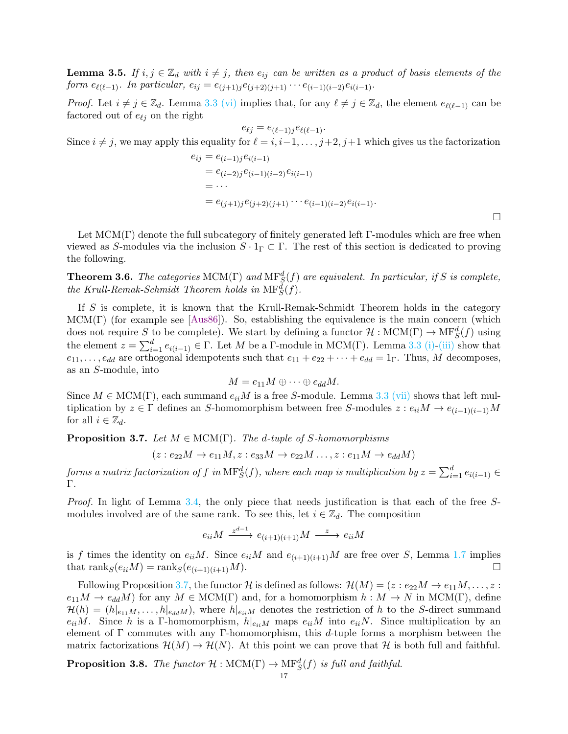<span id="page-16-1"></span>**Lemma 3.5.** *If*  $i, j \in \mathbb{Z}_d$  *with*  $i \neq j$ *, then*  $e_{ij}$  *can be written as a product of basis elements of the form*  $e_{\ell(\ell-1)}$ *. In particular,*  $e_{ij} = e_{(j+1)j}e_{(j+2)(j+1)} \cdots e_{(i-1)(i-2)}e_{i(i-1)}$ .

*Proof.* Let  $i \neq j \in \mathbb{Z}_d$ . Lemma [3.3](#page-15-0) [\(vi\)](#page-15-1) implies that, for any  $\ell \neq j \in \mathbb{Z}_d$ , the element  $e_{\ell(\ell-1)}$  can be factored out of  $e_{\ell j}$  on the right

 $e_{\ell j} = e_{(\ell-1)j}e_{\ell(\ell-1)}$ . Since  $i \neq j$ , we may apply this equality for  $\ell = i, i-1, \ldots, j+2, j+1$  which gives us the factorization

$$
e_{ij} = e_{(i-1)j}e_{i(i-1)}
$$
  
=  $e_{(i-2)j}e_{(i-1)(i-2)}e_{i(i-1)}$   
=  $\cdots$   
=  $e_{(j+1)j}e_{(j+2)(j+1)}\cdots e_{(i-1)(i-2)}e_{i(i-1)}$ .

Let  $MCM(\Gamma)$  denote the full subcategory of finitely generated left  $\Gamma$ -modules which are free when viewed as S-modules via the inclusion  $S \cdot 1_\Gamma \subset \Gamma$ . The rest of this section is dedicated to proving the following.

<span id="page-16-2"></span>**Theorem 3.6.** The categories  $MCM(\Gamma)$  and  $MF_S^d(f)$  are equivalent. In particular, if S is complete, the Krull-Remak-Schmidt Theorem holds in  $\text{MF}^d_S(f)$ .

If S is complete, it is known that the Krull-Remak-Schmidt Theorem holds in the category  $MCM(\Gamma)$  (for example see [\[Aus86\]](#page-35-12)). So, establishing the equivalence is the main concern (which does not require S to be complete). We start by defining a functor  $\mathcal{H}: \text{MCM}(\Gamma) \to \text{MF}^d_S(f)$  using the element  $z = \sum_{i=1}^{d} e_{i(i-1)} \in \Gamma$ . Let M be a  $\Gamma$ -module in MCM( $\Gamma$ ). Lemma [3.3](#page-15-0) [\(i\)](#page-15-2)[-\(iii\)](#page-15-3) show that  $e_{11}, \ldots, e_{dd}$  are orthogonal idempotents such that  $e_{11} + e_{22} + \cdots + e_{dd} = 1$ <sub>Γ</sub>. Thus, M decomposes, as an S-module, into

$$
M = e_{11}M \oplus \cdots \oplus e_{dd}M.
$$

Since  $M \in \text{MCM}(\Gamma)$ , each summand  $e_{ii}M$  is a free S-module. Lemma [3.3](#page-15-0) [\(vii\)](#page-15-4) shows that left multiplication by  $z \in \Gamma$  defines an S-homomorphism between free S-modules  $z : e_{ii}M \to e_{(i-1)(i-1)}M$ for all  $i \in \mathbb{Z}_d$ .

<span id="page-16-0"></span>Proposition 3.7. *Let* M ∈ MCM(Γ)*. The* d*-tuple of* S*-homomorphisms*

$$
(z: e_{22}M \rightarrow e_{11}M, z: e_{33}M \rightarrow e_{22}M \ldots, z: e_{11}M \rightarrow e_{dd}M)
$$

 $\emph{forms a matrix factorization of $f$ in $\mathrm{MF}^d_S(f)$, where each map is multiplication by $z=\sum_{i=1}^d e_{i(i-1)}\in\mathbb{R}^d$, $f$ is a finite number of elements of $f$ and $f$ is a finite number of elements of $g$ and $f$ is a finite number of elements of $g$ and $g$ is a finite number of elements of $g$ and $g$ is a finite number of elements of $g$ and $g$ is a finite number of elements of $g$ and $g$ is a finite number of elements of $g$ and $g$ is a finite number of elements of $g$ and $g$ is a finite number of elements of $g$ and $g$ is a finite number of elements of $g$ and $g$ is a finite number of elements of $g$ and $g$ is a finite$ Γ*.*

*Proof.* In light of Lemma [3.4,](#page-15-5) the only piece that needs justification is that each of the free Smodules involved are of the same rank. To see this, let  $i \in \mathbb{Z}_d$ . The composition

$$
e_{ii}M \xrightarrow{z^{d-1}} e_{(i+1)(i+1)}M \xrightarrow{z} e_{ii}M
$$

is f times the identity on  $e_{ii}M$ . Since  $e_{ii}M$  and  $e_{(i+1)(i+1)}M$  are free over S, Lemma [1.7](#page-3-2) implies that  $\text{rank}_S(e_{ii}M) = \text{rank}_S(e_{(i+1)(i+1)}M).$ 

Following Proposition [3.7,](#page-16-0) the functor H is defined as follows:  $\mathcal{H}(M) = (z : e_{22}M \to e_{11}M, \ldots, z :$  $e_{11}M \to e_{dd}M$  for any  $M \in \text{MCM}(\Gamma)$  and, for a homomorphism  $h : M \to N$  in  $\text{MCM}(\Gamma)$ , define  $\mathcal{H}(h) = (h|_{e_{11}M}, \ldots, h|_{e_{dd}M})$ , where  $h|_{e_{ii}M}$  denotes the restriction of h to the S-direct summand  $e_{ii}M$ . Since h is a Γ-homomorphism,  $h|_{e_{ii}M}$  maps  $e_{ii}M$  into  $e_{ii}N$ . Since multiplication by an element of  $\Gamma$  commutes with any  $\Gamma$ -homomorphism, this d-tuple forms a morphism between the matrix factorizations  $\mathcal{H}(M) \to \mathcal{H}(N)$ . At this point we can prove that H is both full and faithful.

<span id="page-16-3"></span>**Proposition 3.8.** *The functor*  $H : \text{MCM}(\Gamma) \to \text{MF}^d_S(f)$  *is full and faithful.*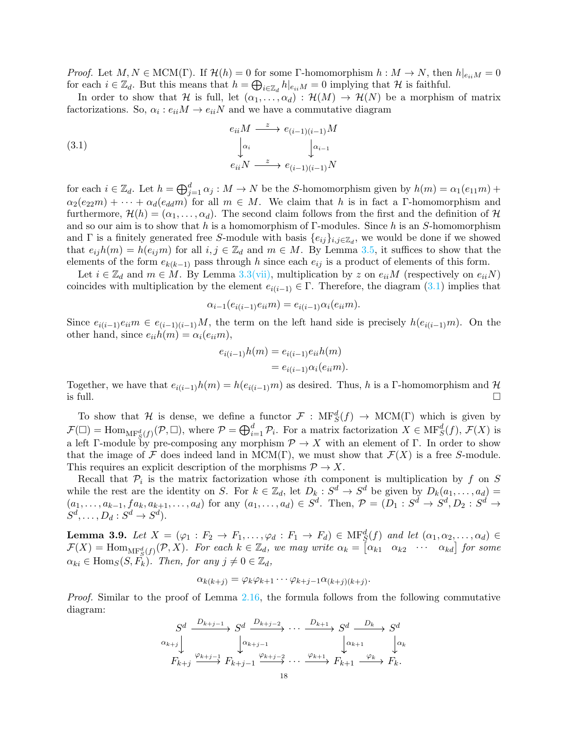*Proof.* Let  $M, N \in \text{MCM}(\Gamma)$ . If  $\mathcal{H}(h) = 0$  for some Γ-homomorphism  $h : M \to N$ , then  $h|_{e_i}M = 0$ for each  $i \in \mathbb{Z}_d$ . But this means that  $h = \bigoplus_{i \in \mathbb{Z}_d} h|_{e_{ii}M} = 0$  implying that  $\mathcal H$  is faithful.

In order to show that H is full, let  $(\alpha_1, \ldots, \alpha_d) : \mathcal{H}(M) \to \mathcal{H}(N)$  be a morphism of matrix factorizations. So,  $\alpha_i : e_{ii}M \to e_{ii}N$  and we have a commutative diagram

<span id="page-17-0"></span>(3.1) 
$$
e_{ii}M \xrightarrow{z} e_{(i-1)(i-1)}M
$$

$$
\downarrow_{\alpha_i} \qquad \qquad \downarrow_{\alpha_{i-1}}
$$

$$
e_{ii}N \xrightarrow{z} e_{(i-1)(i-1)}N
$$

for each  $i \in \mathbb{Z}_d$ . Let  $h = \bigoplus_{j=1}^d \alpha_j : M \to N$  be the S-homomorphism given by  $h(m) = \alpha_1(e_{11}m) +$  $\alpha_2(e_{22}m) + \cdots + \alpha_d(e_{dd}m)$  for all  $m \in M$ . We claim that h is in fact a Γ-homomorphism and furthermore,  $\mathcal{H}(h) = (\alpha_1, \dots, \alpha_d)$ . The second claim follows from the first and the definition of H and so our aim is to show that h is a homomorphism of  $\Gamma$ -modules. Since h is an S-homomorphism and  $\Gamma$  is a finitely generated free S-module with basis  $\{e_{ij}\}_{i,j\in\mathbb{Z}_d}$ , we would be done if we showed that  $e_{ij}h(m) = h(e_{ij}m)$  for all  $i, j \in \mathbb{Z}_d$  and  $m \in M$ . By Lemma [3.5,](#page-16-1) it suffices to show that the elements of the form  $e_{k(k-1)}$  pass through h since each  $e_{ij}$  is a product of elements of this form.

Let  $i \in \mathbb{Z}_d$  and  $m \in M$ . By Lemma [3.3](#page-15-0)[\(vii\),](#page-15-4) multiplication by z on  $e_{ii}M$  (respectively on  $e_{ii}N$ ) coincides with multiplication by the element  $e_{i(i-1)} \in \Gamma$ . Therefore, the diagram [\(3.1\)](#page-17-0) implies that

$$
\alpha_{i-1}(e_{i(i-1)}e_{ii}m) = e_{i(i-1)}\alpha_i(e_{ii}m).
$$

Since  $e_{i(i-1)}e_{ii}m \in e_{i-1(i-1)}M$ , the term on the left hand side is precisely  $h(e_{i(i-1)}m)$ . On the other hand, since  $e_{ii}h(m) = \alpha_i(e_{ii}m)$ ,

$$
e_{i(i-1)}h(m) = e_{i(i-1)}e_{ii}h(m)
$$
  
=  $e_{i(i-1)}\alpha_i(e_{ii}m)$ .

Together, we have that  $e_{i(i-1)}h(m) = h(e_{i(i-1)}m)$  as desired. Thus, h is a Γ-homomorphism and  $\mathcal{H}$  is full. is full.  $\square$ 

To show that H is dense, we define a functor  $\mathcal{F}: \mathcal{MF}^d_S(f) \to \mathcal{MCM}(\Gamma)$  which is given by  $\mathcal{F}(\Box) = \text{Hom}_{\text{MF}_{\mathcal{S}}^d(f)}(\mathcal{P}, \Box)$ , where  $\mathcal{P} = \bigoplus_{i=1}^d \mathcal{P}_i$ . For a matrix factorization  $X \in \text{MF}_{\mathcal{S}}^d(f)$ ,  $\mathcal{F}(X)$  is a left Γ-module by pre-composing any morphism  $\mathcal{P} \to X$  with an element of Γ. In order to show that the image of F does indeed land in MCM(Γ), we must show that  $\mathcal{F}(X)$  is a free S-module. This requires an explicit description of the morphisms  $\mathcal{P} \to X$ .

Recall that  $\mathcal{P}_i$  is the matrix factorization whose *i*th component is multiplication by f on S while the rest are the identity on S. For  $k \in \mathbb{Z}_d$ , let  $D_k : S^d \to S^d$  be given by  $D_k(a_1, \ldots, a_d) =$  $(a_1,\ldots,a_{k-1},fa_k,a_{k+1},\ldots,a_d)$  for any  $(a_1,\ldots,a_d)\in S^d$ . Then,  $\mathcal{P}=(D_1:S^d\to S^d, D_2:S^d\to S^d)$  $S^d, \ldots, D_d : S^d \to S^d$ .

<span id="page-17-1"></span>**Lemma 3.9.** Let  $X = (\varphi_1 : F_2 \to F_1, \ldots, \varphi_d : F_1 \to F_d) \in \text{MF}_{S}^d(f)$  and let  $(\alpha_1, \alpha_2, \ldots, \alpha_d) \in$  $\mathcal{F}(X) = \text{Hom}_{\text{MF}^d_S(f)}(\mathcal{P}, X)$ *. For each*  $k \in \mathbb{Z}_d$ *, we may write*  $\alpha_k = \begin{bmatrix} \alpha_{k1} & \alpha_{k2} & \cdots & \alpha_{kd} \end{bmatrix}$  for some  $\alpha_{ki} \in \text{Hom}_S(S, \overline{F_k})$ . Then, for any  $j \neq 0 \in \mathbb{Z}_d$ ,

$$
\alpha_{k(k+j)} = \varphi_k \varphi_{k+1} \cdots \varphi_{k+j-1} \alpha_{(k+j)(k+j)}.
$$

*Proof.* Similar to the proof of Lemma [2.16,](#page-13-0) the formula follows from the following commutative diagram:

$$
S^d \xrightarrow{D_{k+j-1}} S^d \xrightarrow{D_{k+j-2}} \cdots \xrightarrow{D_{k+1}} S^d \xrightarrow{D_k} S^d
$$
  
\n
$$
\downarrow \alpha_{k+j} \qquad \downarrow \alpha_{k+j-1} \qquad \downarrow \alpha_{k+1} \qquad \downarrow \alpha_k
$$
  
\n
$$
F_{k+j} \xrightarrow{\varphi_{k+j-1}} F_{k+j-1} \xrightarrow{\varphi_{k+j-2}} \cdots \xrightarrow{\varphi_{k+1}} F_{k+1} \xrightarrow{\varphi_k} F_k.
$$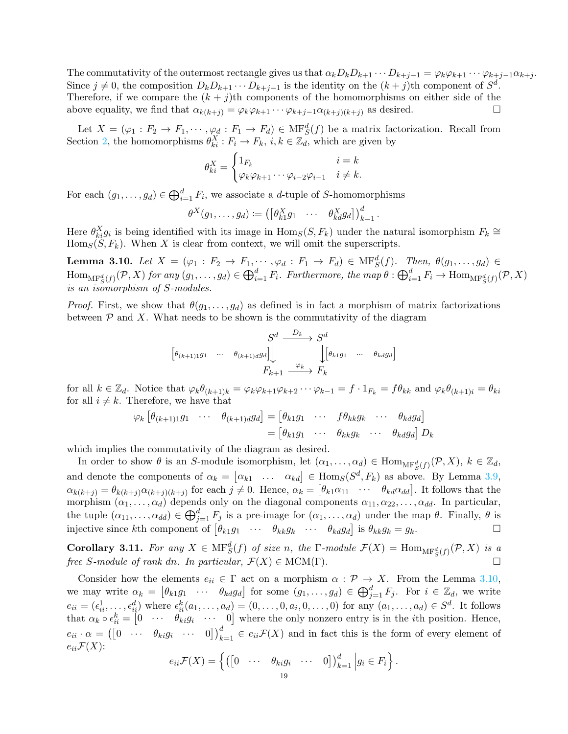The commutativity of the outermost rectangle gives us that  $\alpha_k D_k D_{k+1} \cdots D_{k+j-1} = \varphi_k \varphi_{k+1} \cdots \varphi_{k+j-1} \alpha_{k+j}$ . Since  $j \neq 0$ , the composition  $D_k D_{k+1} \cdots D_{k+j-1}$  is the identity on the  $(k+j)$ th component of  $S^d$ . Therefore, if we compare the  $(k + j)$ th components of the homomorphisms on either side of the above equality, we find that  $\alpha_{k(k+j)} = \varphi_k \varphi_{k+1} \cdots \varphi_{k+j-1} \alpha_{(k+j)(k+j)}$  as desired.

Let  $X = (\varphi_1 : F_2 \to F_1, \cdots, \varphi_d : F_1 \to F_d) \in \text{MF}^d_S(f)$  be a matrix factorization. Recall from Section [2,](#page-3-0) the homomorphisms  $\theta_{ki}^X : F_i \to F_k$ ,  $i, k \in \mathbb{Z}_d$ , which are given by

$$
\theta_{ki}^X = \begin{cases} 1_{F_k} & i = k \\ \varphi_k \varphi_{k+1} \cdots \varphi_{i-2} \varphi_{i-1} & i \neq k. \end{cases}
$$

For each  $(g_1, \ldots, g_d) \in \bigoplus_{i=1}^d F_i$ , we associate a *d*-tuple of *S*-homomorphisms

$$
\theta^X(g_1,\ldots,g_d) \coloneqq \left(\begin{bmatrix} \theta^X_{k1}g_1 & \cdots & \theta^X_{kd}g_d \end{bmatrix}\right)_{k=1}^d.
$$

Here  $\theta_{ki}^X g_i$  is being identified with its image in  $\text{Hom}_S(S, F_k)$  under the natural isomorphism  $F_k \cong$  $\text{Hom}_S(S, F_k)$ . When X is clear from context, we will omit the superscripts.

<span id="page-18-0"></span>**Lemma 3.10.** *Let*  $X = (\varphi_1 : F_2 \to F_1, \dots, \varphi_d : F_1 \to F_d) \in \text{MF}^d_S(f)$ *. Then,*  $\theta(g_1, \dots, g_d) \in$  $\text{Hom}_{\text{MF}^d_S(f)}(\mathcal{P}, X)$  for any  $(g_1, \ldots, g_d) \in \bigoplus_{i=1}^d F_i$ . Furthermore, the map  $\theta : \bigoplus_{i=1}^d F_i \to \text{Hom}_{\text{MF}^d_S(f)}(\mathcal{P}, X)$ *is an isomorphism of* S*-modules.*

*Proof.* First, we show that  $\theta(g_1, \ldots, g_d)$  as defined is in fact a morphism of matrix factorizations between  $P$  and X. What needs to be shown is the commutativity of the diagram

$$
\begin{bmatrix}\nS^d & \xrightarrow{D_k} S^d \\
\begin{bmatrix}\n\theta_{(k+1)1}g_1 & \cdots & \theta_{(k+1)d}g_d\n\end{bmatrix}\n\end{bmatrix}
$$
\n
$$
F_{k+1} \xrightarrow{\varphi_k} F_k
$$
\n
$$
(B_{k+1}g_1 \xrightarrow{\varphi_k} F_k)
$$

for all  $k \in \mathbb{Z}_d$ . Notice that  $\varphi_k \theta_{(k+1)k} = \varphi_k \varphi_{k+1} \varphi_{k+2} \cdots \varphi_{k-1} = f \cdot 1_{F_k} = f \theta_{kk}$  and  $\varphi_k \theta_{(k+1)k} = \theta_{ki}$ for all  $i \neq k$ . Therefore, we have that

$$
\varphi_k \left[ \theta_{(k+1)1} g_1 \cdots \theta_{(k+1) d} g_d \right] = \left[ \theta_{k1} g_1 \cdots \theta_{k k} g_k \cdots \theta_{k d} g_d \right]
$$

$$
= \left[ \theta_{k1} g_1 \cdots \theta_{k k} g_k \cdots \theta_{k d} g_d \right] D_k
$$

which implies the commutativity of the diagram as desired.

In order to show  $\theta$  is an S-module isomorphism, let  $(\alpha_1, \ldots, \alpha_d) \in \text{Hom}_{\text{MF}^d_S(f)}(\mathcal{P}, X)$ ,  $k \in \mathbb{Z}_d$ , and denote the components of  $\alpha_k = [\alpha_{k1} \dots \alpha_{kd}] \in \text{Hom}_S(S^d, F_k)$  as above. By Lemma [3.9,](#page-17-1)  $\alpha_{k(k+j)} = \theta_{k(k+j)} \alpha_{(k+j)(k+j)}$  for each  $j \neq 0$ . Hence,  $\alpha_k = [\theta_{k1} \alpha_{11} \cdots \theta_{kd} \alpha_{dd}]$ . It follows that the morphism  $(\alpha_1, \ldots, \alpha_d)$  depends only on the diagonal components  $\alpha_{11}, \alpha_{22}, \ldots, \alpha_{dd}$ . In particular, the tuple  $(\alpha_{11},\ldots,\alpha_{dd})\in\bigoplus_{j=1}^d F_j$  is a pre-image for  $(\alpha_1,\ldots,\alpha_d)$  under the map  $\theta$ . Finally,  $\theta$  is injective since kth component of  $\begin{bmatrix} \theta_{k1}g_1 & \cdots & \theta_{kk}g_k & \cdots & \theta_{kd}g_d \end{bmatrix}$  is  $\theta_{kk}g_k = g_k$ .

**Corollary 3.11.** For any  $X \in \text{MF}^d_S(f)$  of size n, the  $\Gamma$ -module  $\mathcal{F}(X) = \text{Hom}_{\text{MF}^d_S(f)}(\mathcal{P}, X)$  is a *free* S-module of rank dn. In particular,  $\mathcal{F}(X) \in \text{MCM}(\Gamma)$ .

Consider how the elements  $e_{ii} \in \Gamma$  act on a morphism  $\alpha : \mathcal{P} \to X$ . From the Lemma [3.10,](#page-18-0) we may write  $\alpha_k = \begin{bmatrix} \theta_{k1}g_1 & \cdots & \theta_{kd}g_d \end{bmatrix}$  for some  $(g_1, \ldots, g_d) \in \bigoplus_{j=1}^d F_j$ . For  $i \in \mathbb{Z}_d$ , we write  $e_{ii} = (\epsilon_{ii}^1, \ldots, \epsilon_{ii}^d)$  where  $\epsilon_{ii}^k(a_1, \ldots, a_d) = (0, \ldots, 0, a_i, 0, \ldots, 0)$  for any  $(a_1, \ldots, a_d) \in S^d$ . It follows that  $\alpha_k \circ \epsilon_{ii}^k = \begin{bmatrix} 0 & \cdots & \theta_{ki} g_i & \cdots & 0 \end{bmatrix}$  where the only nonzero entry is in the *i*th position. Hence,  $e_{ii} \cdot \alpha = ([0 \cdots \theta_{ki}g_i \cdots 0])_{k=1}^d \in e_{ii} \mathcal{F}(X)$  and in fact this is the form of every element of  $e_{ii} \mathcal{F}(X)$ :

$$
e_{ii}\mathcal{F}(X) = \left\{ \begin{pmatrix} \begin{bmatrix} 0 & \cdots & \theta_{ki}g_i & \cdots & 0 \end{bmatrix} \end{pmatrix}_{k=1}^d \middle| g_i \in F_i \right\}.
$$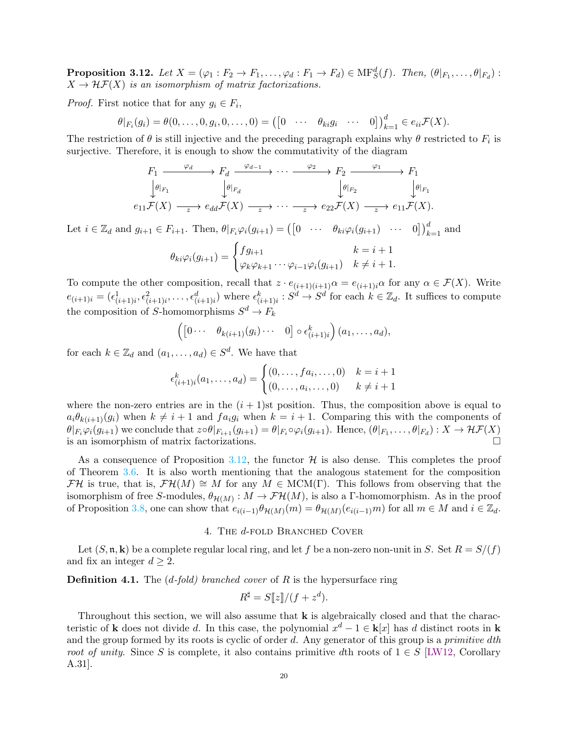<span id="page-19-1"></span>**Proposition 3.12.** Let  $X = (\varphi_1 : F_2 \to F_1, \ldots, \varphi_d : F_1 \to F_d) \in \text{MF}^d_S(f)$ . Then,  $(\theta|_{F_1}, \ldots, \theta|_{F_d})$ :  $X \to \mathcal{H}\mathcal{F}(X)$  *is an isomorphism of matrix factorizations.* 

*Proof.* First notice that for any  $g_i \in F_i$ ,

$$
\theta|_{F_i}(g_i) = \theta(0,\ldots,0,g_i,0,\ldots,0) = ([0 \cdots \theta_{ki}g_i \cdots 0])_{k=1}^d \in e_{ii}\mathcal{F}(X).
$$

The restriction of  $\theta$  is still injective and the preceding paragraph explains why  $\theta$  restricted to  $F_i$  is surjective. Therefore, it is enough to show the commutativity of the diagram

$$
F_1 \xrightarrow{\varphi_d} F_d \xrightarrow{\varphi_{d-1}} \cdots \xrightarrow{\varphi_2} F_2 \xrightarrow{\varphi_1} F_1
$$
  
\n
$$
\downarrow \theta|_{F_1} \qquad \qquad \downarrow \theta|_{F_d} \qquad \qquad \downarrow \theta|_{F_2} \qquad \qquad \downarrow \theta|_{F_1}
$$
  
\n
$$
e_{11} \mathcal{F}(X) \xrightarrow{z} e_{dd} \mathcal{F}(X) \xrightarrow{z} \cdots \xrightarrow{z} e_{22} \mathcal{F}(X) \xrightarrow{z} e_{11} \mathcal{F}(X).
$$

Let  $i \in \mathbb{Z}_d$  and  $g_{i+1} \in F_{i+1}$ . Then,  $\theta|_{F_i} \varphi_i(g_{i+1}) = ([0 \cdots \theta_{ki} \varphi_i(g_{i+1}) \cdots 0])_{k=1}^d$  and

$$
\theta_{ki}\varphi_i(g_{i+1}) = \begin{cases} fg_{i+1} & k = i+1 \\ \varphi_k \varphi_{k+1} \cdots \varphi_{i-1} \varphi_i(g_{i+1}) & k \neq i+1. \end{cases}
$$

To compute the other composition, recall that  $z \cdot e_{(i+1)(i+1)} \alpha = e_{(i+1)i} \alpha$  for any  $\alpha \in \mathcal{F}(X)$ . Write  $e_{(i+1)i} = (\epsilon_{(i+1)i}^1, \epsilon_{(i+1)i}^2, \ldots, \epsilon_{(i+1)i}^d)$  where  $\epsilon_{(i+1)i}^k : S^d \to S^d$  for each  $k \in \mathbb{Z}_d$ . It suffices to compute the composition of S-homomorphisms  $S^d \to F_k$ 

$$
\left(\begin{bmatrix}0\cdots & \theta_{k(i+1)}(g_i)\cdots & 0\end{bmatrix}\circ \epsilon_{(i+1)i}^k\right)(a_1,\ldots,a_d),
$$

for each  $k \in \mathbb{Z}_d$  and  $(a_1, \ldots, a_d) \in S^d$ . We have that

$$
\epsilon_{(i+1)i}^k(a_1, \ldots, a_d) = \begin{cases} (0, \ldots, fa_i, \ldots, 0) & k = i+1 \\ (0, \ldots, a_i, \ldots, 0) & k \neq i+1 \end{cases}
$$

where the non-zero entries are in the  $(i + 1)$ st position. Thus, the composition above is equal to  $a_i\theta_{k(i+1)}(g_i)$  when  $k \neq i+1$  and  $fa_ig_i$  when  $k = i+1$ . Comparing this with the components of  $\theta|_{F_i}\varphi_i(g_{i+1})$  we conclude that  $z \circ \theta|_{F_{i+1}}(g_{i+1}) = \theta|_{F_i} \circ \varphi_i(g_{i+1})$ . Hence,  $(\theta|_{F_1}, \ldots, \theta|_{F_d}) : X \to \mathcal{HF}(X)$ is an isomorphism of matrix factorizations.  $\Box$ 

As a consequence of Proposition [3.12,](#page-19-1) the functor  $\mathcal{H}$  is also dense. This completes the proof of Theorem [3.6.](#page-16-2) It is also worth mentioning that the analogous statement for the composition FH is true, that is,  $\mathcal{F}\mathcal{H}(M) \cong M$  for any  $M \in \text{MCM}(\Gamma)$ . This follows from observing that the isomorphism of free S-modules,  $\theta_{\mathcal{H}(M)} : M \to \mathcal{FH}(M)$ , is also a  $\Gamma$ -homomorphism. As in the proof of Proposition [3.8,](#page-16-3) one can show that  $e_{i(i-1)}\theta_{\mathcal{H}(M)}(m) = \theta_{\mathcal{H}(M)}(e_{i(i-1)}m)$  for all  $m \in M$  and  $i \in \mathbb{Z}_d$ .

#### 4. THE d-FOLD BRANCHED COVER

<span id="page-19-0"></span>Let  $(S, \mathfrak{n}, \mathbf{k})$  be a complete regular local ring, and let f be a non-zero non-unit in S. Set  $R = S/(f)$ and fix an integer  $d \geq 2$ .

Definition 4.1. The (d*-fold) branched cover* of R is the hypersurface ring

$$
R^{\sharp} = S[\![z]\!]/(f + z^d).
$$

Throughout this section, we will also assume that  $k$  is algebraically closed and that the characteristic of k does not divide d. In this case, the polynomial  $x^d - 1 \in \mathbf{k}[x]$  has d distinct roots in k and the group formed by its roots is cyclic of order d. Any generator of this group is a *primitive* d*th root of unity*. Since S is complete, it also contains primitive dth roots of  $1 \in S$  [\[LW12,](#page-35-13) Corollary A.31].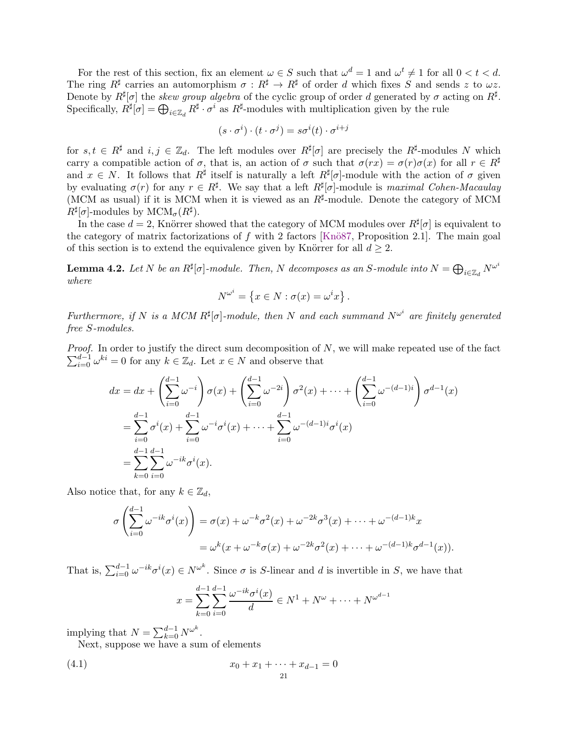For the rest of this section, fix an element  $\omega \in S$  such that  $\omega^d = 1$  and  $\omega^t \neq 1$  for all  $0 < t < d$ . The ring  $R^{\sharp}$  carries an automorphism  $\sigma: R^{\sharp} \to R^{\sharp}$  of order d which fixes S and sends z to  $\omega z$ . Denote by  $R^{\sharp}[\sigma]$  the *skew group algebra* of the cyclic group of order d generated by  $\sigma$  acting on  $R^{\sharp}$ . Specifically,  $R^{\sharp}[\sigma] = \bigoplus_{i \in \mathbb{Z}_d} R^{\sharp} \cdot \sigma^i$  as  $R^{\sharp}$ -modules with multiplication given by the rule

$$
(s \cdot \sigma^i) \cdot (t \cdot \sigma^j) = s\sigma^i(t) \cdot \sigma^{i+j}
$$

for  $s, t \in R^{\sharp}$  and  $i, j \in \mathbb{Z}_d$ . The left modules over  $R^{\sharp}[\sigma]$  are precisely the  $R^{\sharp}$ -modules N which carry a compatible action of  $\sigma$ , that is, an action of  $\sigma$  such that  $\sigma(rx) = \sigma(r)\sigma(x)$  for all  $r \in R^{\sharp}$ and  $x \in N$ . It follows that  $R^{\sharp}$  itself is naturally a left  $R^{\sharp}[\sigma]$ -module with the action of  $\sigma$  given by evaluating  $\sigma(r)$  for any  $r \in R^{\sharp}$ . We say that a left  $R^{\sharp}[\sigma]$ -module is *maximal Cohen-Macaulay* (MCM as usual) if it is MCM when it is viewed as an  $R^{\sharp}$ -module. Denote the category of MCM  $R^{\sharp}[\sigma]$ -modules by  $\text{MCM}_{\sigma}(R^{\sharp}).$ 

In the case  $d = 2$ , Knörrer showed that the category of MCM modules over  $R^{\sharp}[\sigma]$  is equivalent to the category of matrix factorizations of f with 2 factors [Knö87, Proposition 2.1]. The main goal of this section is to extend the equivalence given by Knörrer for all  $d \geq 2$ .

<span id="page-20-1"></span>**Lemma 4.2.** Let N be an  $R^{\sharp}[\sigma]$ -module. Then, N decomposes as an S-module into  $N = \bigoplus_{i \in \mathbb{Z}_d} N^{\omega^i}$ *where*

$$
N^{\omega^i} = \left\{ x \in N : \sigma(x) = \omega^i x \right\}.
$$

*Furthermore, if* N *is a MCM*  $R^{\sharp}[\sigma]$ -module, then N and each summand  $N^{\omega^i}$  are finitely generated *free* S*-modules.*

 $\sum_{i=0}^{d-1} \omega^{ki} = 0$  for any  $k \in \mathbb{Z}_d$ . Let  $x \in N$  and observe that *Proof.* In order to justify the direct sum decomposition of N, we will make repeated use of the fact

$$
dx = dx + \left(\sum_{i=0}^{d-1} \omega^{-i}\right) \sigma(x) + \left(\sum_{i=0}^{d-1} \omega^{-2i}\right) \sigma^2(x) + \cdots + \left(\sum_{i=0}^{d-1} \omega^{-(d-1)i}\right) \sigma^{d-1}(x)
$$
  
= 
$$
\sum_{i=0}^{d-1} \sigma^i(x) + \sum_{i=0}^{d-1} \omega^{-i} \sigma^i(x) + \cdots + \sum_{i=0}^{d-1} \omega^{-(d-1)i} \sigma^i(x)
$$
  
= 
$$
\sum_{k=0}^{d-1} \sum_{i=0}^{d-1} \omega^{-ik} \sigma^i(x).
$$

Also notice that, for any  $k \in \mathbb{Z}_d$ ,

$$
\sigma\left(\sum_{i=0}^{d-1} \omega^{-ik}\sigma^i(x)\right) = \sigma(x) + \omega^{-k}\sigma^2(x) + \omega^{-2k}\sigma^3(x) + \dots + \omega^{-(d-1)k}x
$$

$$
= \omega^k(x + \omega^{-k}\sigma(x) + \omega^{-2k}\sigma^2(x) + \dots + \omega^{-(d-1)k}\sigma^{d-1}(x)).
$$

That is,  $\sum_{i=0}^{d-1} \omega^{-ik} \sigma^i(x) \in N^{\omega^k}$ . Since  $\sigma$  is S-linear and d is invertible in S, we have that

<span id="page-20-0"></span>
$$
x = \sum_{k=0}^{d-1} \sum_{i=0}^{d-1} \frac{\omega^{-ik} \sigma^i(x)}{d} \in N^1 + N^{\omega} + \dots + N^{\omega^{d-1}}
$$

implying that  $N = \sum_{k=0}^{d-1} N^{\omega^k}$ .

Next, suppose we have a sum of elements

$$
(4.1) \t\t\t x_0 + x_1 + \dots + x_{d-1} = 0
$$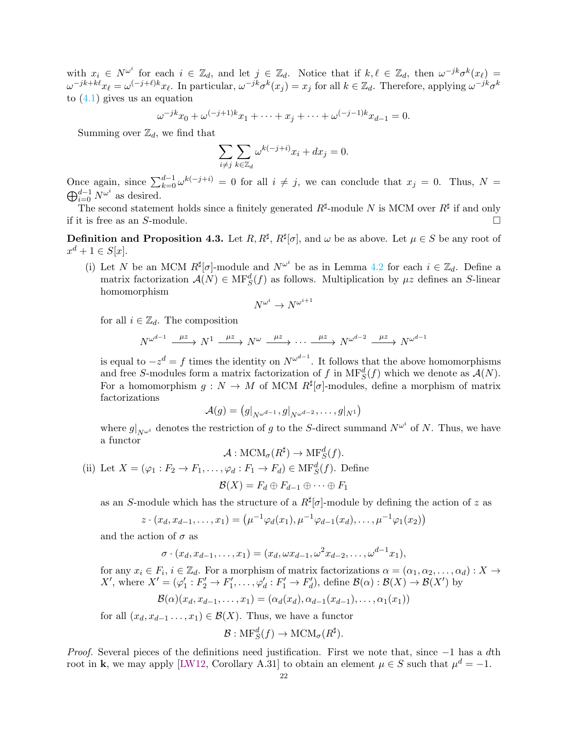with  $x_i \in N^{\omega^i}$  for each  $i \in \mathbb{Z}_d$ , and let  $j \in \mathbb{Z}_d$ . Notice that if  $k, \ell \in \mathbb{Z}_d$ , then  $\omega^{-jk}\sigma^k(x_\ell) =$  $\omega^{-jk+k\ell}x_{\ell} = \omega^{(-j+\ell)k}x_{\ell}$ . In particular,  $\omega^{-jk}\sigma^{k}(x_{j}) = x_{j}$  for all  $k \in \mathbb{Z}_{d}$ . Therefore, applying  $\omega^{-jk}\sigma^{k}$ to  $(4.1)$  gives us an equation

$$
\omega^{-jk}x_0 + \omega^{(-j+1)k}x_1 + \dots + x_j + \dots + \omega^{(-j-1)k}x_{d-1} = 0.
$$

Summing over  $\mathbb{Z}_d$ , we find that

$$
\sum_{i\neq j}\sum_{k\in\mathbb{Z}_d}\omega^{k(-j+i)}x_i+dx_j=0.
$$

Once again, since  $\sum_{k=0}^{d-1} \omega^{k(-j+i)} = 0$  for all  $i \neq j$ , we can conclude that  $x_j = 0$ . Thus,  $N =$  $\bigoplus_{i=0}^{d-1} N^{\omega^i}$  as desired.

The second statement holds since a finitely generated  $R^{\sharp}$ -module N is MCM over  $R^{\sharp}$  if and only if it is free as an  $S$ -module.  $\Box$ 

<span id="page-21-0"></span>**Definition and Proposition 4.3.** Let  $R, R^{\sharp}, R^{\sharp}[\sigma]$ , and  $\omega$  be as above. Let  $\mu \in S$  be any root of  $x^d + 1 \in S[x]$ .

(i) Let N be an MCM  $R^{\sharp}[\sigma]$ -module and  $N^{\omega^i}$  be as in Lemma [4.2](#page-20-1) for each  $i \in \mathbb{Z}_d$ . Define a matrix factorization  $\mathcal{A}(N) \in \text{MF}^d_{S}(f)$  as follows. Multiplication by  $\mu z$  defines an S-linear homomorphism

$$
V^{\omega^i} \to N^{\omega^{i+1}}
$$

N

for all  $i \in \mathbb{Z}_d$ . The composition

$$
N^{\omega^{d-1}} \xrightarrow{\mu z} N^1 \xrightarrow{\mu z} N^{\omega} \xrightarrow{\mu z} \cdots \xrightarrow{\mu z} N^{\omega^{d-2}} \xrightarrow{\mu z} N^{\omega^{d-1}}
$$

is equal to  $-z^d = f$  times the identity on  $N^{\omega^{d-1}}$ . It follows that the above homomorphisms and free S-modules form a matrix factorization of f in  $\mathrm{MF}^d_S(f)$  which we denote as  $\mathcal{A}(N)$ . For a homomorphism  $g: N \to M$  of MCM  $R^{\sharp}[\sigma]$ -modules, define a morphism of matrix factorizations

$$
\mathcal{A}(g) = \left(g|_{N^{\omega^{d-1}}}, g|_{N^{\omega^{d-2}}}, \ldots, g|_{N^1}\right)
$$

where  $g|_{N^{\omega^i}}$  denotes the restriction of g to the S-direct summand  $N^{\omega^i}$  of N. Thus, we have a functor

$$
\mathcal{A} : \text{MCM}_{\sigma}(R^{\sharp}) \to \text{MF}^d_S(f).
$$

(ii) Let  $X = (\varphi_1 : F_2 \to F_1, \ldots, \varphi_d : F_1 \to F_d) \in \text{MF}^d_S(f)$ . Define

$$
\mathcal{B}(X) = F_d \oplus F_{d-1} \oplus \cdots \oplus F_1
$$

as an S-module which has the structure of a  $R^{\sharp}[\sigma]$ -module by defining the action of z as

$$
z \cdot (x_d, x_{d-1}, \dots, x_1) = (\mu^{-1} \varphi_d(x_1), \mu^{-1} \varphi_{d-1}(x_d), \dots, \mu^{-1} \varphi_1(x_2))
$$

and the action of  $\sigma$  as

$$
\sigma \cdot (x_d, x_{d-1}, \dots, x_1) = (x_d, \omega x_{d-1}, \omega^2 x_{d-2}, \dots, \omega^{d-1} x_1),
$$

for any  $x_i \in F_i$ ,  $i \in \mathbb{Z}_d$ . For a morphism of matrix factorizations  $\alpha = (\alpha_1, \alpha_2, \dots, \alpha_d) : X \to Y$ X', where  $X' = (\varphi_1' : F_2' \to F_1', \ldots, \varphi_d' : F_1' \to F_d')$ , define  $\mathcal{B}(\alpha) : \mathcal{B}(X) \to \mathcal{B}(X')$  by

$$
\mathcal{B}(\alpha)(x_d, x_{d-1}, \dots, x_1) = (\alpha_d(x_d), \alpha_{d-1}(x_{d-1}), \dots, \alpha_1(x_1))
$$

for all  $(x_d, x_{d-1}, \ldots, x_1) \in \mathcal{B}(X)$ . Thus, we have a functor

$$
\mathcal{B}: \text{MF}^d_S(f) \to \text{MCM}_{\sigma}(R^{\sharp}).
$$

*Proof.* Several pieces of the definitions need justification. First we note that, since −1 has a dth root in k, we may apply [\[LW12,](#page-35-13) Corollary A.31] to obtain an element  $\mu \in S$  such that  $\mu^d = -1$ .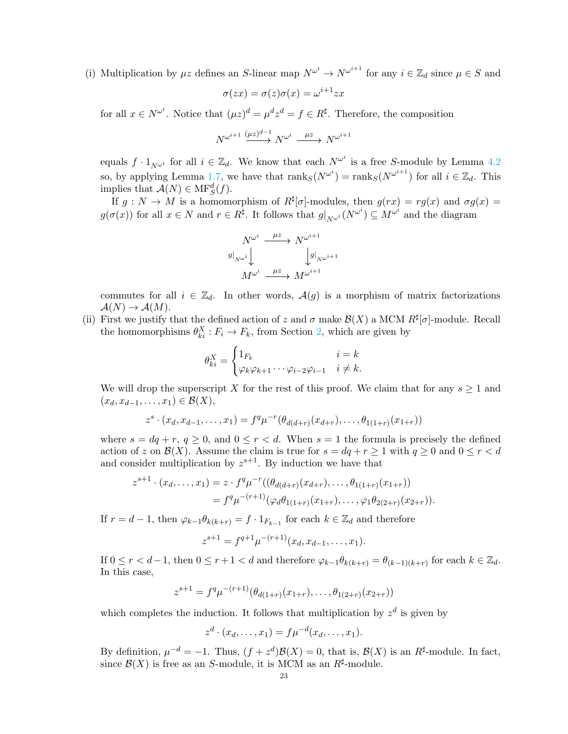(i) Multiplication by  $\mu z$  defines an S-linear map  $N^{\omega^i} \to N^{\omega^{i+1}}$  for any  $i \in \mathbb{Z}_d$  since  $\mu \in S$  and

$$
\sigma(zx) = \sigma(z)\sigma(x) = \omega^{i+1}zx
$$

for all  $x \in N^{\omega^i}$ . Notice that  $(\mu z)^d = \mu^d z^d = f \in R^{\sharp}$ . Therefore, the composition

$$
N^{\omega^{i+1}} \stackrel{(\mu z)^{d-1}}{\longrightarrow} N^{\omega^i} \stackrel{\mu z}{\longrightarrow} N^{\omega^{i+1}}
$$

equals  $f \cdot 1_{N^{\omega^i}}$  for all  $i \in \mathbb{Z}_d$ . We know that each  $N^{\omega^i}$  is a free S-module by Lemma [4.2](#page-20-1) so, by applying Lemma [1.7,](#page-3-2) we have that  $\text{rank}_S(N^{\omega^i}) = \text{rank}_S(N^{\omega^{i+1}})$  for all  $i \in \mathbb{Z}_d$ . This implies that  $\mathcal{A}(N) \in \text{MF}^d_S(f)$ .

If  $g: N \to M$  is a homomorphism of  $R^{\sharp}[\sigma]$ -modules, then  $g(rx) = rg(x)$  and  $\sigma g(x) =$  $g(\sigma(x))$  for all  $x \in N$  and  $r \in R^{\sharp}$ . It follows that  $g|_{N^{\omega_i}}(N^{\omega_i}) \subseteq M^{\omega_i}$  and the diagram

$$
N^{\omega^i} \xrightarrow{\mu z} N^{\omega^{i+1}}
$$
  
\n
$$
g|_{N^{\omega^i}} \downarrow \qquad \qquad g|_{N^{\omega^{i+1}}}
$$
  
\n
$$
M^{\omega^i} \xrightarrow{\mu z} M^{\omega^{i+1}}
$$

commutes for all  $i \in \mathbb{Z}_d$ . In other words,  $\mathcal{A}(g)$  is a morphism of matrix factorizations  $\mathcal{A}(N) \to \mathcal{A}(M)$ .

(ii) First we justify that the defined action of z and  $\sigma$  make  $\mathcal{B}(X)$  a MCM  $R^{\sharp}[\sigma]$ -module. Recall the homomorphisms  $\theta_{ki}^X : F_i \to F_k$ , from Section [2,](#page-3-0) which are given by

$$
\theta_{ki}^X = \begin{cases} 1_{F_k} & i = k \\ \varphi_k \varphi_{k+1} \cdots \varphi_{i-2} \varphi_{i-1} & i \neq k. \end{cases}
$$

We will drop the superscript X for the rest of this proof. We claim that for any  $s \geq 1$  and  $(x_d, x_{d-1}, \ldots, x_1) \in \mathcal{B}(X),$ 

$$
z^{s} \cdot (x_{d}, x_{d-1}, \ldots, x_{1}) = f^{q} \mu^{-r} (\theta_{d(d+r)}(x_{d+r}), \ldots, \theta_{1(1+r)}(x_{1+r}))
$$

where  $s = dq + r$ ,  $q \ge 0$ , and  $0 \le r < d$ . When  $s = 1$  the formula is precisely the defined action of z on  $\mathcal{B}(X)$ . Assume the claim is true for  $s = dq + r \geq 1$  with  $q \geq 0$  and  $0 \leq r < d$ and consider multiplication by  $z^{s+1}$ . By induction we have that

$$
z^{s+1} \cdot (x_d, \dots, x_1) = z \cdot f^q \mu^{-r}((\theta_{d(d+r)}(x_{d+r}), \dots, \theta_{1(1+r)}(x_{1+r}))
$$
  
=  $f^q \mu^{-(r+1)}(\varphi_d \theta_{1(1+r)}(x_{1+r}), \dots, \varphi_1 \theta_{2(2+r)}(x_{2+r})).$ 

If  $r = d - 1$ , then  $\varphi_{k-1} \theta_{k(k+r)} = f \cdot 1_{F_{k-1}}$  for each  $k \in \mathbb{Z}_d$  and therefore

$$
z^{s+1} = f^{q+1} \mu^{-(r+1)}(x_d, x_{d-1}, \dots, x_1).
$$

If  $0 \leq r < d-1$ , then  $0 \leq r+1 < d$  and therefore  $\varphi_{k-1}\theta_{k(k+r)} = \theta_{(k-1)(k+r)}$  for each  $k \in \mathbb{Z}_d$ . In this case,

$$
z^{s+1} = f^q \mu^{-(r+1)}(\theta_{d(1+r)}(x_{1+r}), \dots, \theta_{1(2+r)}(x_{2+r}))
$$

which completes the induction. It follows that multiplication by  $z<sup>d</sup>$  is given by

$$
z^d \cdot (x_d, \ldots, x_1) = f\mu^{-d}(x_d, \ldots, x_1).
$$

By definition,  $\mu^{-d} = -1$ . Thus,  $(f + z^d)\mathcal{B}(X) = 0$ , that is,  $\mathcal{B}(X)$  is an  $R^{\sharp}$ -module. In fact, since  $\mathcal{B}(X)$  is free as an S-module, it is MCM as an  $R^{\sharp}$ -module.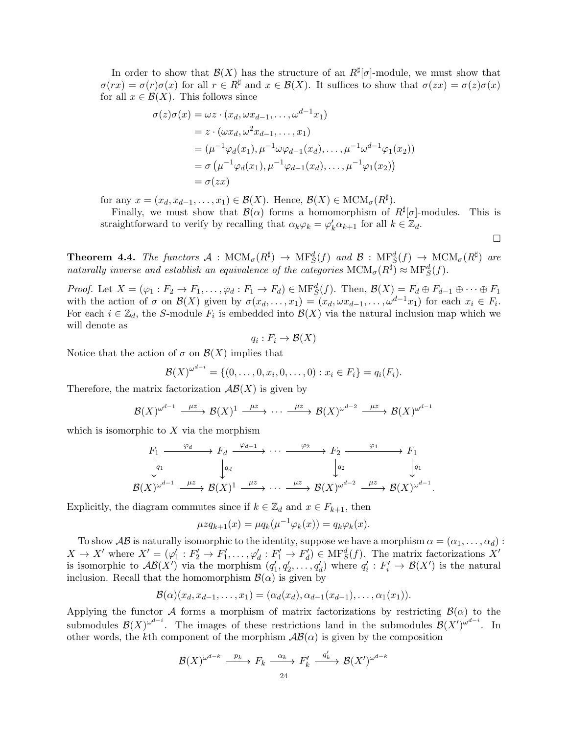In order to show that  $\mathcal{B}(X)$  has the structure of an  $R^{\sharp}[\sigma]$ -module, we must show that  $\sigma(rx) = \sigma(r)\sigma(x)$  for all  $r \in R^{\sharp}$  and  $x \in \mathcal{B}(X)$ . It suffices to show that  $\sigma(zx) = \sigma(z)\sigma(x)$ for all  $x \in \mathcal{B}(X)$ . This follows since

$$
\sigma(z)\sigma(x) = \omega z \cdot (x_d, \omega x_{d-1}, \dots, \omega^{d-1} x_1)
$$
  
=  $z \cdot (\omega x_d, \omega^2 x_{d-1}, \dots, x_1)$   
=  $(\mu^{-1} \varphi_d(x_1), \mu^{-1} \omega \varphi_{d-1}(x_d), \dots, \mu^{-1} \omega^{d-1} \varphi_1(x_2))$   
=  $\sigma (\mu^{-1} \varphi_d(x_1), \mu^{-1} \varphi_{d-1}(x_d), \dots, \mu^{-1} \varphi_1(x_2))$   
=  $\sigma(zx)$ 

for any  $x = (x_d, x_{d-1}, \ldots, x_1) \in \mathcal{B}(X)$ . Hence,  $\mathcal{B}(X) \in \text{MCM}_{\sigma}(R^{\sharp})$ .

Finally, we must show that  $\mathcal{B}(\alpha)$  forms a homomorphism of  $R^{\sharp}[\sigma]$ -modules. This is straightforward to verify by recalling that  $\alpha_k \varphi_k = \varphi'_k \alpha_{k+1}$  for all  $k \in \mathbb{Z}_d$ .

 $\Box$ 

<span id="page-23-0"></span>**Theorem 4.4.** The functors  $\mathcal{A}$  :  $MCM_{\sigma}(R^{\sharp}) \to MF_S^d(f)$  and  $\mathcal{B}$  :  $MF_S^d(f) \to MCM_{\sigma}(R^{\sharp})$  are *naturally inverse and establish an equivalence of the categories*  $MCM_{\sigma}(R^{\sharp}) \approx MF_S^d(f)$ .

*Proof.* Let  $X = (\varphi_1 : F_2 \to F_1, \ldots, \varphi_d : F_1 \to F_d) \in \text{MF}^d_S(f)$ . Then,  $\mathcal{B}(X) = F_d \oplus F_{d-1} \oplus \cdots \oplus F_1$ with the action of  $\sigma$  on  $\mathcal{B}(X)$  given by  $\sigma(x_d, \ldots, x_1) = (x_d, \omega x_{d-1}, \ldots, \omega^{d-1} x_1)$  for each  $x_i \in F_i$ . For each  $i \in \mathbb{Z}_d$ , the S-module  $F_i$  is embedded into  $\mathcal{B}(X)$  via the natural inclusion map which we will denote as

$$
q_i:F_i\to\mathcal{B}(X)
$$

Notice that the action of  $\sigma$  on  $\mathcal{B}(X)$  implies that

$$
\mathcal{B}(X)^{\omega^{d-i}} = \{ (0, \ldots, 0, x_i, 0, \ldots, 0) : x_i \in F_i \} = q_i(F_i).
$$

Therefore, the matrix factorization  $\mathcal{AB}(X)$  is given by

$$
\mathcal{B}(X)^{\omega^{d-1}} \xrightarrow{\mu z} \mathcal{B}(X)^1 \xrightarrow{\mu z} \cdots \xrightarrow{\mu z} \mathcal{B}(X)^{\omega^{d-2}} \xrightarrow{\mu z} \mathcal{B}(X)^{\omega^{d-1}}
$$

which is isomorphic to  $X$  via the morphism

$$
F_1 \xrightarrow{\varphi_d} F_d \xrightarrow{\varphi_{d-1}} \cdots \xrightarrow{\varphi_2} F_2 \xrightarrow{\varphi_1} F_1
$$
  
\n
$$
\downarrow q_1 \qquad \qquad \downarrow q_d \qquad \qquad \downarrow q_2 \qquad \qquad \downarrow q_1
$$
  
\n
$$
\mathcal{B}(X)^{\omega^{d-1}} \xrightarrow{\mu z} \mathcal{B}(X)^1 \xrightarrow{\mu z} \cdots \xrightarrow{\mu z} \mathcal{B}(X)^{\omega^{d-2}} \xrightarrow{\mu z} \mathcal{B}(X)^{\omega^{d-1}}.
$$

Explicitly, the diagram commutes since if  $k \in \mathbb{Z}_d$  and  $x \in F_{k+1}$ , then

$$
\mu z q_{k+1}(x) = \mu q_k(\mu^{-1} \varphi_k(x)) = q_k \varphi_k(x).
$$

To show  $\mathcal{AB}$  is naturally isomorphic to the identity, suppose we have a morphism  $\alpha = (\alpha_1, \ldots, \alpha_d)$ :  $X \to X'$  where  $X' = (\varphi_1' : F_2' \to F_1', \ldots, \varphi_d' : F_1' \to F_d') \in \text{MF}^d_S(f)$ . The matrix factorizations  $X'$ is isomorphic to  $\mathcal{AB}(X')$  via the morphism  $(q'_1, q'_2, \ldots, q'_d)$  where  $q'_i : F'_i \to \mathcal{B}(X')$  is the natural inclusion. Recall that the homomorphism  $\mathcal{B}(\alpha)$  is given by

$$
\mathcal{B}(\alpha)(x_d, x_{d-1}, \ldots, x_1) = (\alpha_d(x_d), \alpha_{d-1}(x_{d-1}), \ldots, \alpha_1(x_1)).
$$

Applying the functor A forms a morphism of matrix factorizations by restricting  $\mathcal{B}(\alpha)$  to the submodules  $\mathcal{B}(X)^{\omega^{d-i}}$ . The images of these restrictions land in the submodules  $\mathcal{B}(X')^{\omega^{d-i}}$ . In other words, the kth component of the morphism  $AB(\alpha)$  is given by the composition

$$
\mathcal{B}(X)^{\omega^{d-k}} \xrightarrow{\quad p_k \quad} F_k \xrightarrow{\quad \alpha_k \quad} F'_k \xrightarrow{\quad q'_k \quad} \mathcal{B}(X')^{\omega^{d-k}}
$$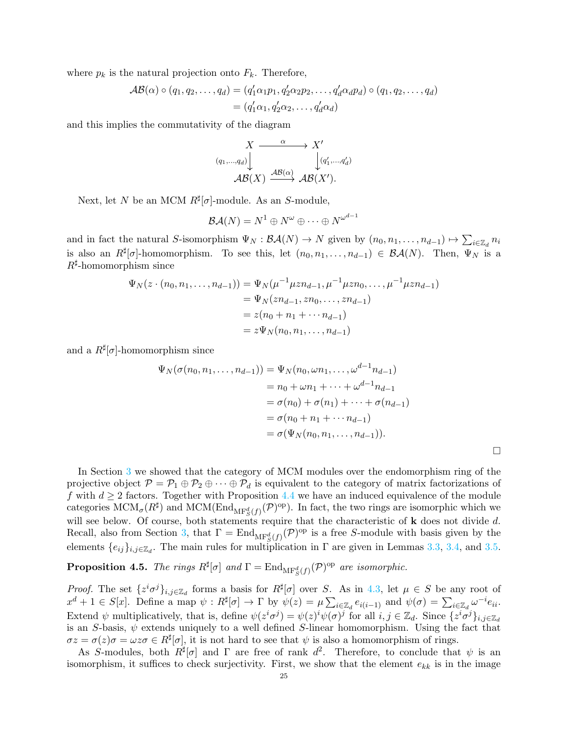where  $p_k$  is the natural projection onto  $F_k$ . Therefore,

$$
\mathcal{AB}(\alpha) \circ (q_1, q_2, \dots, q_d) = (q'_1 \alpha_1 p_1, q'_2 \alpha_2 p_2, \dots, q'_d \alpha_d p_d) \circ (q_1, q_2, \dots, q_d)
$$
  
=  $(q'_1 \alpha_1, q'_2 \alpha_2, \dots, q'_d \alpha_d)$ 

and this implies the commutativity of the diagram

$$
(q_1,...,q_d) \downarrow \qquad \qquad X' \downarrow
$$
  

$$
\mathcal{AB}(X) \xrightarrow{\mathcal{AB}(\alpha)} \mathcal{AB}(X').
$$

Next, let N be an MCM  $R^{\sharp}[\sigma]$ -module. As an S-module,

$$
\mathcal{B}\mathcal{A}(N)=N^1\oplus N^\omega\oplus\cdots\oplus N^{\omega^{d-1}}
$$

and in fact the natural S-isomorphism  $\Psi_N : \mathcal{BA}(N) \to N$  given by  $(n_0, n_1, \ldots, n_{d-1}) \mapsto \sum_{i \in \mathbb{Z}_d} n_i$ is also an  $R^{\sharp}[\sigma]$ -homomorphism. To see this, let  $(n_0, n_1, \ldots, n_{d-1}) \in \mathcal{BA}(N)$ . Then,  $\Psi_N$  is a  $R^{\sharp}$ -homomorphism since

$$
\Psi_N(z \cdot (n_0, n_1, \dots, n_{d-1})) = \Psi_N(\mu^{-1} \mu z n_{d-1}, \mu^{-1} \mu z n_0, \dots, \mu^{-1} \mu z n_{d-1})
$$
  
=  $\Psi_N(z n_{d-1}, z n_0, \dots, z n_{d-1})$   
=  $z(n_0 + n_1 + \dots + n_{d-1})$   
=  $z \Psi_N(n_0, n_1, \dots, n_{d-1})$ 

and a  $R^{\sharp}[\sigma]$ -homomorphism since

$$
\Psi_N(\sigma(n_0, n_1, \dots, n_{d-1})) = \Psi_N(n_0, \omega n_1, \dots, \omega^{d-1} n_{d-1})
$$
  
=  $n_0 + \omega n_1 + \dots + \omega^{d-1} n_{d-1}$   
=  $\sigma(n_0) + \sigma(n_1) + \dots + \sigma(n_{d-1})$   
=  $\sigma(n_0 + n_1 + \dots + n_{d-1})$   
=  $\sigma(\Psi_N(n_0, n_1, \dots, n_{d-1})).$ 

 $\Box$ 

In Section [3](#page-14-0) we showed that the category of MCM modules over the endomorphism ring of the projective object  $\mathcal{P} = \mathcal{P}_1 \oplus \mathcal{P}_2 \oplus \cdots \oplus \mathcal{P}_d$  is equivalent to the category of matrix factorizations of f with  $d \geq 2$  factors. Together with Proposition [4.4](#page-23-0) we have an induced equivalence of the module categories  $MCM_{\sigma}(R^{\sharp})$  and  $MCM(End_{MF_S^d(f)}(\mathcal{P})^{\text{op}})$ . In fact, the two rings are isomorphic which we will see below. Of course, both statements require that the characteristic of  $\bf{k}$  does not divide d. Recall, also from Section [3,](#page-14-0) that  $\Gamma = \text{End}_{\text{MF}^d_S(f)}(\mathcal{P})^{\text{op}}$  is a free S-module with basis given by the elements  $\{e_{ij}\}_{i,j\in\mathbb{Z}_d}$ . The main rules for multiplication in  $\Gamma$  are given in Lemmas [3.3,](#page-15-0) [3.4,](#page-15-5) and [3.5.](#page-16-1)

**Proposition 4.5.** *The rings*  $R^{\sharp}[\sigma]$  and  $\Gamma = \text{End}_{\text{MF}^d_S(f)}(\mathcal{P})^{\text{op}}$  are isomorphic.

*Proof.* The set  $\{z^i\sigma^j\}_{i,j\in\mathbb{Z}_d}$  forms a basis for  $R^{\sharp}[\sigma]$  over S. As in [4.3,](#page-21-0) let  $\mu \in S$  be any root of  $x^d + 1 \in S[x]$ . Define a map  $\psi : R^{\sharp}[\sigma] \to \Gamma$  by  $\psi(z) = \mu \sum_{i \in \mathbb{Z}_d} e_{i(i-1)}$  and  $\psi(\sigma) = \sum_{i \in \mathbb{Z}_d} \omega^{-i} e_{ii}$ . Extend  $\psi$  multiplicatively, that is, define  $\psi(z^i\sigma^j) = \psi(z)^i \psi(\sigma)^j$  for all  $i, j \in \mathbb{Z}_d$ . Since  $\{z^i\sigma^j\}_{i,j \in \mathbb{Z}_d}$ is an S-basis,  $\psi$  extends uniquely to a well defined S-linear homomorphism. Using the fact that  $\sigma z = \sigma(z)\sigma = \omega z\sigma \in R^{\sharp}[\sigma],$  it is not hard to see that  $\psi$  is also a homomorphism of rings.

As S-modules, both  $R^{\sharp}[\sigma]$  and  $\Gamma$  are free of rank  $d^2$ . Therefore, to conclude that  $\psi$  is an isomorphism, it suffices to check surjectivity. First, we show that the element  $e_{kk}$  is in the image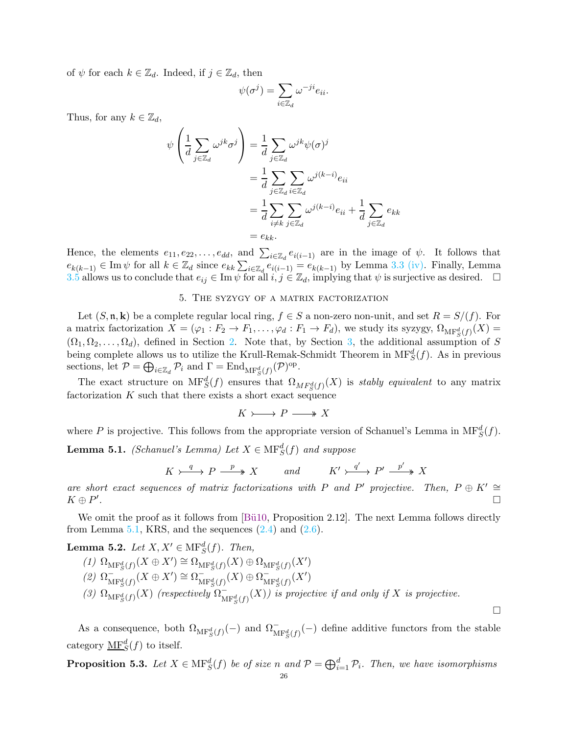of  $\psi$  for each  $k \in \mathbb{Z}_d$ . Indeed, if  $j \in \mathbb{Z}_d$ , then

$$
\psi(\sigma^j) = \sum_{i \in \mathbb{Z}_d} \omega^{-ji} e_{ii}.
$$

Thus, for any  $k \in \mathbb{Z}_d$ ,

$$
\psi\left(\frac{1}{d}\sum_{j\in\mathbb{Z}_d}\omega^{jk}\sigma^j\right) = \frac{1}{d}\sum_{j\in\mathbb{Z}_d}\omega^{jk}\psi(\sigma)^j
$$

$$
= \frac{1}{d}\sum_{j\in\mathbb{Z}_d}\sum_{i\in\mathbb{Z}_d}\omega^{j(k-i)}e_{ii}
$$

$$
= \frac{1}{d}\sum_{i\neq k}\sum_{j\in\mathbb{Z}_d}\omega^{j(k-i)}e_{ii} + \frac{1}{d}\sum_{j\in\mathbb{Z}_d}e_{kk}
$$

$$
= e_{kk}.
$$

Hence, the elements  $e_{11}, e_{22}, \ldots, e_{dd}$ , and  $\sum_{i \in \mathbb{Z}_d} e_{i(i-1)}$  are in the image of  $\psi$ . It follows that  $e_{k(k-1)} \in \text{Im } \psi$  for all  $k \in \mathbb{Z}_d$  since  $e_{kk} \sum_{i \in \mathbb{Z}_d} e_{i(i-1)} = e_{k(k-1)}$  by Lemma [3.3](#page-15-0) [\(iv\).](#page-15-6) Finally, Lemma [3.5](#page-16-1) allows us to conclude that  $e_{ij} \in \text{Im }\psi$  for all  $i, j \in \mathbb{Z}_d$ , implying that  $\psi$  is surjective as desired.  $\Box$ 

### 5. The syzygy of a matrix factorization

<span id="page-25-0"></span>Let  $(S, \mathfrak{n}, \mathbf{k})$  be a complete regular local ring,  $f \in S$  a non-zero non-unit, and set  $R = S/(f)$ . For a matrix factorization  $X = (\varphi_1 : F_2 \to F_1, \ldots, \varphi_d : F_1 \to F_d)$ , we study its syzygy,  $\Omega_{\text{MF}_S^d(f)}(X) =$  $(\Omega_1, \Omega_2, \ldots, \Omega_d)$ , defined in Section [2.](#page-3-0) Note that, by Section [3,](#page-14-0) the additional assumption of S being complete allows us to utilize the Krull-Remak-Schmidt Theorem in  $\text{MF}^d_S(f)$ . As in previous sections, let  $P = \bigoplus_{i \in \mathbb{Z}_d} P_i$  and  $\Gamma = \text{End}_{\text{MF}_S^d(f)}(P)^{\text{op}}$ .

The exact structure on  $\mathrm{MF}^d_S(f)$  ensures that  $\Omega_{MF^d_S(f)}(X)$  is *stably equivalent* to any matrix factorization  $K$  such that there exists a short exact sequence

 $K \rightarrow P \rightarrow X$ 

<span id="page-25-1"></span>where P is projective. This follows from the appropriate version of Schanuel's Lemma in  $\text{MF}^d_S(f)$ . **Lemma 5.1.** *(Schanuel's Lemma)* Let  $X \in \text{MF}^d_S(f)$  and suppose

$$
K \rightarrow \xrightarrow{q} P \xrightarrow{p} X \qquad \text{and} \qquad K' \rightarrow \xrightarrow{q'} P' \xrightarrow{p'} X
$$

*are short exact sequences of matrix factorizations with* P and P' projective. Then,  $P \oplus K' \cong$  $K \oplus P'$ *.*

We omit the proof as it follows from  $[\text{Bü10}, \text{Proposition 2.12}]$ . The next Lemma follows directly from Lemma [5.1,](#page-25-1) KRS, and the sequences  $(2.4)$  and  $(2.6)$ .

<span id="page-25-3"></span>**Lemma 5.2.** *Let*  $X, X' \in \text{MF}_{S}^{d}(f)$ *. Then,* 

- $(1)$   $\Omega_{\text{MF}^d_S(f)}(X \oplus X') \cong \Omega_{\text{MF}^d_S(f)}(X) \oplus \Omega_{\text{MF}^d_S(f)}(X')$
- $\lim_{\text{MHS}} g(f)$   $(X \oplus X') \cong \Omega_{\text{MHS}}^{-1}(X) \oplus \Omega_{\text{MHS}}^{-1}$  $\overline{\mathrm{M}\mathrm{F}^{d}_{S}(f)}(X\oplus X')\cong \Omega_{\mathrm{M}}^{-1}$  $\overline{\mathrm{MF}^d_S(f)}(X) \oplus \Omega_{\mathrm{M}}^ \overline{\mathrm{MF}^d_S(f)}(X')$
- (3)  $\Omega_{\text{MF}^d_S(f)}(X)$  *(respectively*  $\Omega_{\text{M}}^ \int_{\mathrm{MF}^d_S(f)}^{\cdot}(X)$  *is projective if and only if* X *is projective.*

 $\Box$ 

As a consequence, both  $\Omega_{\text{MF}^d_S(f)}(-)$  and  $\Omega_{\text{MF}^d_S(f)}^-(-)$  define additive functors from the stable category  $\underline{\text{MF}}^d_S(f)$  to itself.

<span id="page-25-2"></span>**Proposition 5.3.** Let  $X \in \text{MF}^d_S(f)$  be of size n and  $\mathcal{P} = \bigoplus_{i=1}^d \mathcal{P}_i$ . Then, we have isomorphisms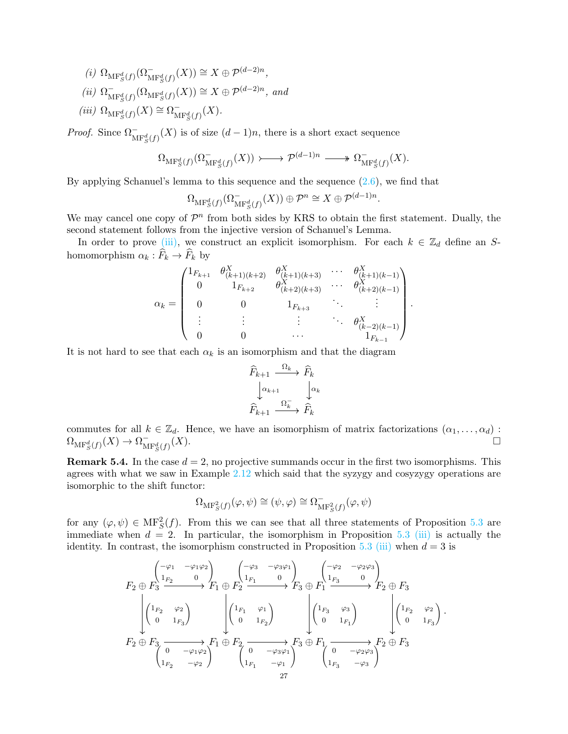- $(i)$   $\Omega_{\text{MF}^d_S(f)}(\Omega_{\text{MF}^d_S(f)}^-(X)) \cong X \oplus \mathcal{P}^{(d-2)n}$ ,
- $(ii)$   $\Omega_{\rm M}^ \bigcap_{\mathrm{MF}_S^d(f)} (\Omega_{\mathrm{MF}_S^d(f)}(X)) \cong X \oplus \mathcal{P}^{(d-2)n}$ , and
- <span id="page-26-0"></span> $(iii)$   $\Omega_{\mathrm{MF}^{d}_S(f)}(X) \cong \Omega_{\mathrm{M}}^{-}$  $^{-}_{{\rm MF}^d_S(f)}(X).$

*Proof.* Since  $\Omega_{\text{MF}^d_S(f)}^-(X)$  is of size  $(d-1)n$ , there is a short exact sequence

$$
\Omega_{\mathrm{MF}^d_S(f)}(\Omega_{\mathrm{MF}^d_S(f)}^-(X)) \longrightarrow \mathcal{P}^{(d-1)n} \longrightarrow \Omega_{\mathrm{MF}^d_S(f)}^-(X).
$$

By applying Schanuel's lemma to this sequence and the sequence  $(2.6)$ , we find that

$$
\Omega_{\mathrm{MF}^d_S(f)}(\Omega_{\mathrm{MF}^d_S(f)}^-(X)) \oplus \mathcal{P}^n \cong X \oplus \mathcal{P}^{(d-1)n}.
$$

We may cancel one copy of  $\mathcal{P}^n$  from both sides by KRS to obtain the first statement. Dually, the second statement follows from the injective version of Schanuel's Lemma.

In order to prove [\(iii\),](#page-26-0) we construct an explicit isomorphism. For each  $k \in \mathbb{Z}_d$  define an Shomomorphism  $\alpha_k : F_k \to F_k$  by

$$
\alpha_k = \begin{pmatrix} 1_{F_{k+1}} & \theta_{(k+1)(k+2)}^X & \theta_{(k+1)(k+3)}^X & \cdots & \theta_{(k+1)(k-1)}^X \\ 0 & 1_{F_{k+2}} & \theta_{(k+2)(k+3)}^X & \cdots & \theta_{(k+2)(k-1)}^X \\ 0 & 0 & 1_{F_{k+3}} & & \vdots \\ \vdots & \vdots & \vdots & \ddots & \theta_{(k-2)(k-1)}^X \\ 0 & 0 & \cdots & 1_{F_{k-1}} \end{pmatrix}.
$$

It is not hard to see that each  $\alpha_k$  is an isomorphism and that the diagram

$$
\widehat{F}_{k+1} \xrightarrow{\Omega_k} \widehat{F}_k
$$
\n
$$
\downarrow^{\alpha_{k+1}} \qquad \downarrow^{\alpha_k}
$$
\n
$$
\widehat{F}_{k+1} \xrightarrow{\Omega_k^-} \widehat{F}_k
$$

commutes for all  $k \in \mathbb{Z}_d$ . Hence, we have an isomorphism of matrix factorizations  $(\alpha_1, \ldots, \alpha_d)$ :  $\Omega_{\mathrm{MF}^d_S(f)}(X) \to \Omega_{\mathrm{M}}^{-1}$  $\mathrm{MF}^d_S(f)$  $(X).$ 

**Remark 5.4.** In the case  $d = 2$ , no projective summands occur in the first two isomorphisms. This agrees with what we saw in Example [2.12](#page-11-0) which said that the syzygy and cosyzygy operations are isomorphic to the shift functor:

$$
\Omega_{\mathrm{MF}^2_S(f)}(\varphi,\psi)\cong (\psi,\varphi)\cong \Omega_{\mathrm{MF}^2_S(f)}^-(\varphi,\psi)
$$

for any  $(\varphi, \psi) \in \text{MF}^2_S(f)$ . From this we can see that all three statements of Proposition [5.3](#page-25-2) are immediate when  $d = 2$ . In particular, the isomorphism in Proposition [5.3](#page-25-2) [\(iii\)](#page-26-0) is actually the identity. In contrast, the isomorphism constructed in Proposition [5.3](#page-25-2) [\(iii\)](#page-26-0) when  $d = 3$  is

$$
F_2 \oplus F_3 \xrightarrow{\begin{pmatrix} -\varphi_1 & -\varphi_1\varphi_2 \\ 1_{F_2} & 0 \end{pmatrix}} F_1 \oplus F_2 \xrightarrow{\begin{pmatrix} -\varphi_3 & -\varphi_3\varphi_1 \\ 1_{F_1} & 0 \end{pmatrix}} F_3 \oplus F_1 \xrightarrow{\begin{pmatrix} -\varphi_2 & -\varphi_2\varphi_3 \\ 1_{F_3} & 0 \end{pmatrix}} F_2 \oplus F_3
$$
  
\n
$$
\downarrow \begin{pmatrix} 1_{F_2} & \varphi_2 \\ 0 & 1_{F_3} \end{pmatrix} \qquad \qquad \downarrow \begin{pmatrix} 1_{F_1} & \varphi_1 \\ 0 & 1_{F_2} \end{pmatrix} \qquad \qquad \downarrow \begin{pmatrix} 1_{F_3} & \varphi_3 \\ 0 & 1_{F_1} \end{pmatrix} \qquad \qquad \downarrow \begin{pmatrix} 1_{F_2} & \varphi_2 \\ 0 & 1_{F_3} \end{pmatrix}.
$$
  
\n
$$
F_2 \oplus F_3 \xrightarrow{\begin{pmatrix} 0 & -\varphi_1\varphi_2 \\ 0 & -\varphi_1\varphi_2 \end{pmatrix}} F_1 \oplus F_2 \xrightarrow{\begin{pmatrix} 0 & -\varphi_3\varphi_1 \\ 0 & -\varphi_1 \end{pmatrix}} F_3 \oplus F_1 \xrightarrow{\begin{pmatrix} 0 & -\varphi_2\varphi_3 \\ 0 & -\varphi_2\varphi_3 \end{pmatrix}} F_2 \oplus F_3
$$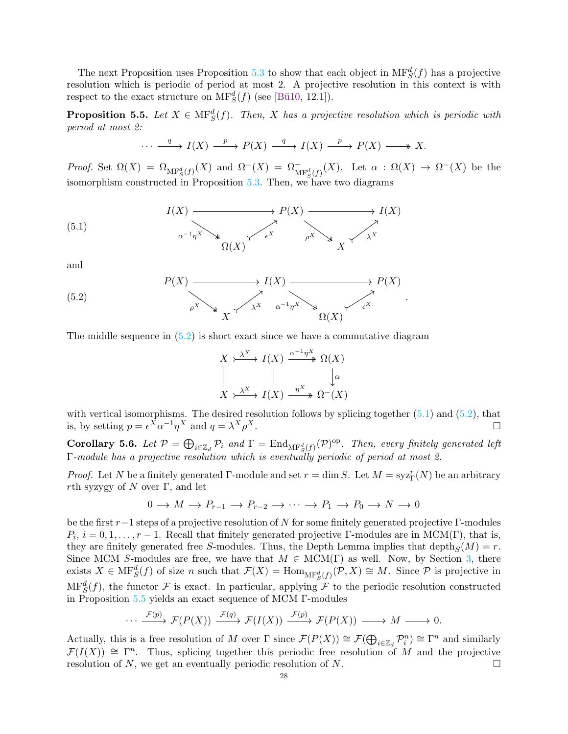The next Proposition uses Proposition [5.3](#page-25-2) to show that each object in  $\text{MF}^d_S(f)$  has a projective resolution which is periodic of period at most 2. A projective resolution in this context is with respect to the exact structure on  $\mathrm{MF}^d_S(f)$  (see [Bü10, 12.1]).

<span id="page-27-2"></span>**Proposition 5.5.** Let  $X \in \text{MF}^d_S(f)$ . Then, X has a projective resolution which is periodic with *period at most 2:*

<span id="page-27-1"></span>
$$
\cdots \xrightarrow{q} I(X) \xrightarrow{p} P(X) \xrightarrow{q} I(X) \xrightarrow{p} P(X) \longrightarrow X.
$$

*Proof.* Set  $\Omega(X) = \Omega_{\text{MF}_S^d(f)}(X)$  and  $\Omega^-(X) = \Omega_{\text{MF}_S^d(f)}^-(X)$ . Let  $\alpha : \Omega(X) \to \Omega^-(X)$  be the isomorphism constructed in Proposition [5.3.](#page-25-2) Then, we have two diagrams

(5.1) 
$$
I(X) \xrightarrow{\alpha^{-1}\eta^X} \qquad \qquad P(X) \xrightarrow{\gamma} I(X)
$$
\n
$$
\alpha^{-1}\eta^X \qquad \qquad \beta(X) \xrightarrow{\gamma} \qquad \qquad \beta(X) \xrightarrow{\gamma} X
$$

and

(5.2) 
$$
P(X) \xrightarrow{\qquad} I(X) \xrightarrow{\qquad} P(X)
$$

$$
\downarrow^{\chi} \qquad \qquad \downarrow^{\chi} \qquad \qquad \downarrow^{\chi} \qquad \qquad \downarrow^{\chi} \qquad \qquad \downarrow^{\chi} \qquad \qquad \downarrow^{\chi} \qquad \qquad \downarrow^{\chi} \qquad \qquad \downarrow^{\chi} \qquad \qquad \downarrow^{\chi} \qquad \qquad \downarrow^{\chi} \qquad \qquad \downarrow^{\chi} \qquad \qquad \downarrow^{\chi} \qquad \qquad \downarrow^{\chi} \qquad \qquad \downarrow^{\chi} \qquad \qquad \downarrow^{\chi} \qquad \qquad \downarrow^{\chi} \qquad \qquad \downarrow^{\chi} \qquad \qquad \downarrow^{\chi} \qquad \qquad \downarrow^{\chi} \qquad \qquad \downarrow^{\chi} \qquad \qquad \downarrow^{\chi} \qquad \qquad \downarrow^{\chi} \qquad \qquad \downarrow^{\chi} \qquad \qquad \downarrow^{\chi} \qquad \qquad \downarrow^{\chi} \qquad \qquad \downarrow^{\chi} \qquad \qquad \downarrow^{\chi} \qquad \qquad \downarrow^{\chi} \qquad \qquad \downarrow^{\chi} \qquad \qquad \downarrow^{\chi} \qquad \qquad \downarrow^{\chi} \qquad \qquad \downarrow^{\chi} \qquad \qquad \downarrow^{\chi} \qquad \qquad \downarrow^{\chi} \qquad \qquad \downarrow^{\chi} \qquad \qquad \downarrow^{\chi} \qquad \qquad \downarrow^{\chi} \qquad \qquad \downarrow^{\chi} \qquad \qquad \downarrow^{\chi} \qquad \qquad \downarrow^{\chi} \qquad \qquad \downarrow^{\chi} \qquad \qquad \downarrow^{\chi} \qquad \qquad \downarrow^{\chi} \qquad \qquad \downarrow^{\chi} \qquad \qquad \downarrow^{\chi} \qquad \qquad \downarrow^{\chi} \qquad \qquad \downarrow^{\chi} \qquad \qquad \downarrow^{\chi} \qquad \qquad \downarrow^{\chi} \qquad \qquad \downarrow^{\chi} \qquad \qquad \downarrow^{\chi} \qquad \qquad \downarrow^{\chi} \qquad \qquad \downarrow^{\chi} \qquad \qquad \downarrow^{\chi} \qquad \qquad \downarrow^{\chi} \qquad \qquad \downarrow^{\chi} \qquad
$$

The middle sequence in  $(5.2)$  is short exact since we have a commutative diagram

<span id="page-27-0"></span>
$$
X \xrightarrow{\lambda^X} I(X) \xrightarrow{\alpha^{-1}\eta^X} \Omega(X)
$$
  

$$
\parallel \qquad \qquad \downarrow \alpha
$$
  

$$
X \xrightarrow{\lambda^X} I(X) \xrightarrow{\eta^X} \Omega^{-}(X)
$$

.

with vertical isomorphisms. The desired resolution follows by splicing together  $(5.1)$  and  $(5.2)$ , that is, by setting  $p = \epsilon^X \alpha^{-1} \eta^X$  and  $q = \lambda^X \rho$  $X$ .

<span id="page-27-3"></span>**Corollary 5.6.** Let  $\mathcal{P} = \bigoplus_{i \in \mathbb{Z}_d} \mathcal{P}_i$  and  $\Gamma = \text{End}_{\text{MF}^d_S(f)}(\mathcal{P})^{\text{op}}$ . Then, every finitely generated left Γ*-module has a projective resolution which is eventually periodic of period at most 2.*

*Proof.* Let N be a finitely generated  $\Gamma$ -module and set  $r = \dim S$ . Let  $M = \text{syz}^r_{\Gamma}(N)$  be an arbitrary rth syzygy of N over  $\Gamma$ , and let

$$
0 \to M \to P_{r-1} \to P_{r-2} \to \cdots \to P_1 \to P_0 \to N \to 0
$$

be the first  $r-1$  steps of a projective resolution of N for some finitely generated projective Γ-modules  $P_i$ ,  $i = 0, 1, \ldots, r - 1$ . Recall that finitely generated projective Γ-modules are in MCM(Γ), that is, they are finitely generated free S-modules. Thus, the Depth Lemma implies that  $depth_S(M) = r$ . Since MCM S-modules are free, we have that  $M \in MCM(\Gamma)$  as well. Now, by Section [3,](#page-14-0) there exists  $X \in \text{MF}^d_S(f)$  of size n such that  $\mathcal{F}(X) = \text{Hom}_{\text{MF}^d_S(f)}(\mathcal{P}, X) \cong M$ . Since  $\mathcal{P}$  is projective in  $\text{MF}^d_S(f)$ , the functor F is exact. In particular, applying F to the periodic resolution constructed in Proposition [5.5](#page-27-2) yields an exact sequence of MCM Γ-modules

$$
\cdots \xrightarrow{\mathcal{F}(p)} \mathcal{F}(P(X)) \xrightarrow{\mathcal{F}(q)} \mathcal{F}(I(X)) \xrightarrow{\mathcal{F}(p)} \mathcal{F}(P(X)) \longrightarrow M \longrightarrow 0.
$$

Actually, this is a free resolution of M over  $\Gamma$  since  $\mathcal{F}(P(X)) \cong \mathcal{F}(\bigoplus_{i \in \mathbb{Z}_d} \mathcal{P}_i^n) \cong \Gamma^n$  and similarly  $\mathcal{F}(I(X)) \cong \Gamma^n$ . Thus, splicing together this periodic free resolution of M and the projective resolution of N, we get an eventually periodic resolution of N.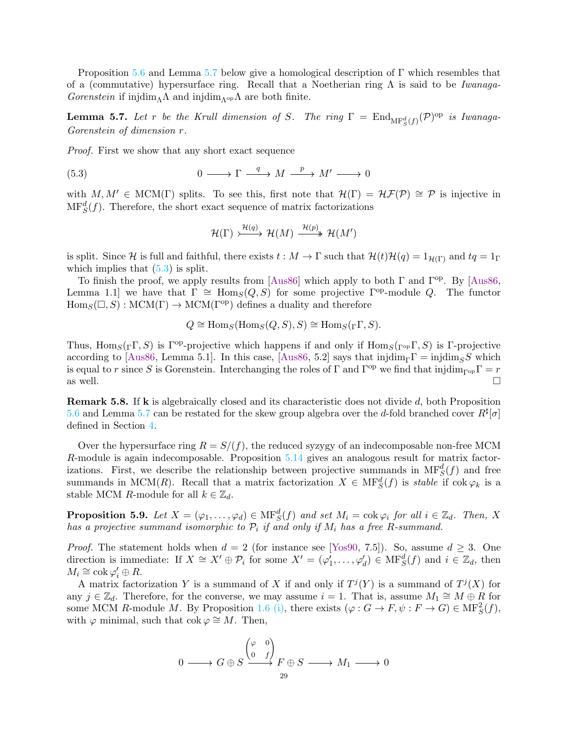Proposition [5.6](#page-27-3) and Lemma [5.7](#page-28-0) below give a homological description of  $\Gamma$  which resembles that of a (commutative) hypersurface ring. Recall that a Noetherian ring Λ is said to be *Iwanaga-Gorenstein* if injdim<sub>Λ</sub>Λ and injdim<sub>Λop</sub>Λ are both finite.

<span id="page-28-0"></span>**Lemma 5.7.** Let r be the Krull dimension of S. The ring  $\Gamma = \text{End}_{\text{MF}_S^d(f)}(\mathcal{P})^{\text{op}}$  is Iwanaga-*Gorenstein of dimension* r*.*

*Proof.* First we show that any short exact sequence

(5.3) 
$$
0 \longrightarrow \Gamma \stackrel{q}{\longrightarrow} M \stackrel{p}{\longrightarrow} M' \longrightarrow 0
$$

with  $M, M' \in \text{MCM}(\Gamma)$  splits. To see this, first note that  $\mathcal{H}(\Gamma) = \mathcal{H}\mathcal{F}(\mathcal{P}) \cong \mathcal{P}$  is injective in  $\text{MF}^d_S(f)$ . Therefore, the short exact sequence of matrix factorizations

<span id="page-28-1"></span>
$$
\mathcal{H}(\Gamma) \xrightarrow{\mathcal{H}(q)} \mathcal{H}(M) \xrightarrow{\mathcal{H}(p)} \mathcal{H}(M')
$$

is split. Since H is full and faithful, there exists  $t : M \to \Gamma$  such that  $\mathcal{H}(t)\mathcal{H}(q) = 1_{\mathcal{H}(\Gamma)}$  and  $tq = 1_{\Gamma}$ which implies that  $(5.3)$  is split.

To finish the proof, we apply results from [\[Aus86\]](#page-35-12) which apply to both  $\Gamma$  and  $\Gamma^{op}$ . By [\[Aus86,](#page-35-12) Lemma 1.1] we have that  $\Gamma \cong \text{Hom}_S(Q, S)$  for some projective  $\Gamma^{\text{op}}$ -module Q. The functor  $Hom_S(\square, S) : MCM(\Gamma) \to MCM(\Gamma^{\text{op}})$  defines a duality and therefore

$$
Q \cong \text{Hom}_S(\text{Hom}_S(Q, S), S) \cong \text{Hom}_S({}_{\Gamma}\Gamma, S).
$$

Thus, Hom<sub>S</sub>( $_\Gamma$ Γ, S) is Γ<sup>op</sup>-projective which happens if and only if Hom<sub>S</sub>( $_\Gamma$ <sub>op</sub> Γ, S) is Γ-projective according to [\[Aus86,](#page-35-12) Lemma 5.1]. In this case, [Aus86, 5.2] says that injdim<sub>Γ</sub>Γ = injdim<sub>S</sub>S which is equal to r since S is Gorenstein. Interchanging the roles of  $\Gamma$  and  $\Gamma^{\text{op}}$  we find that injdim<sub>Γ<sup>op</sub>Γ = r as well.</sub></sup> as well.  $\square$ 

**Remark 5.8.** If **k** is algebraically closed and its characteristic does not divide  $d$ , both Proposition [5.6](#page-27-3) and Lemma [5.7](#page-28-0) can be restated for the skew group algebra over the d-fold branched cover  $R^{\sharp}[\sigma]$ defined in Section [4.](#page-19-0)

Over the hypersurface ring  $R = S/(f)$ , the reduced syzygy of an indecomposable non-free MCM R-module is again indecomposable. Proposition [5.14](#page-31-1) gives an analogous result for matrix factorizations. First, we describe the relationship between projective summands in  $\text{MF}^d_S(f)$  and free summands in MCM(R). Recall that a matrix factorization  $X \in \text{MF}^d_S(f)$  is *stable* if  $\text{cok } \varphi_k$  is a stable MCM R-module for all  $k \in \mathbb{Z}_d$ .

<span id="page-28-2"></span>**Proposition 5.9.** Let  $X = (\varphi_1, \ldots, \varphi_d) \in \text{MF}^d_S(f)$  and set  $M_i = \text{cok } \varphi_i$  for all  $i \in \mathbb{Z}_d$ . Then, X *has a projective summand isomorphic to*  $\mathcal{P}_i$  *if and only if*  $M_i$  *has a free* R-summand.

*Proof.* The statement holds when  $d = 2$  (for instance see [\[Yos90,](#page-35-14) 7.5]). So, assume  $d \geq 3$ . One direction is immediate: If  $X \cong X' \oplus \mathcal{P}_i$  for some  $X' = (\varphi'_1, \ldots, \varphi'_d) \in \text{MF}^d_S(f)$  and  $i \in \mathbb{Z}_d$ , then  $M_i \cong \operatorname{cok} \varphi_i' \oplus R.$ 

A matrix factorization Y is a summand of X if and only if  $T^{j}(Y)$  is a summand of  $T^{j}(X)$  for any  $j \in \mathbb{Z}_d$ . Therefore, for the converse, we may assume  $i = 1$ . That is, assume  $M_1 \cong M \oplus R$  for some MCM R-module M. By Proposition [1.6](#page-2-0) [\(i\),](#page-3-3) there exists  $(\varphi : G \to F, \psi : F \to G) \in \text{MF}^2_S(f)$ , with  $\varphi$  minimal, such that cok  $\varphi \cong M$ . Then,

$$
0 \longrightarrow G \oplus S \xrightarrow{\begin{pmatrix} \varphi & 0 \\ 0 & f \end{pmatrix}} F \oplus S \longrightarrow M_1 \longrightarrow 0
$$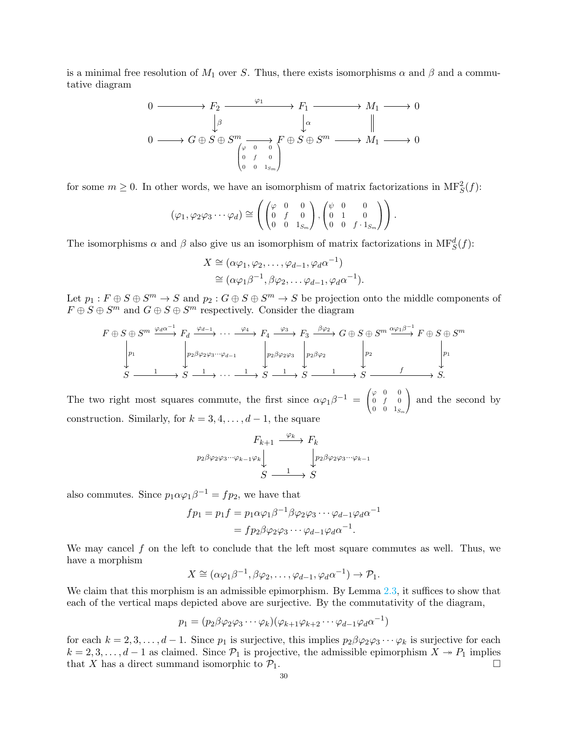is a minimal free resolution of  $M_1$  over S. Thus, there exists isomorphisms  $\alpha$  and  $\beta$  and a commutative diagram

0 F<sup>2</sup> F<sup>1</sup> M<sup>1</sup> 0 0 G ⊕ S ⊕ S <sup>m</sup> F ⊕ S ⊕ S <sup>m</sup> M<sup>1</sup> 0 β ϕ<sup>1</sup> α ϕ 0 0 0 f 0 0 0 1Sm 

for some  $m \geq 0$ . In other words, we have an isomorphism of matrix factorizations in  $\text{MF}^2_S(f)$ :

$$
(\varphi_1, \varphi_2 \varphi_3 \cdots \varphi_d) \cong \left( \begin{pmatrix} \varphi & 0 & 0 \\ 0 & f & 0 \\ 0 & 0 & 1_{S_m} \end{pmatrix}, \begin{pmatrix} \psi & 0 & 0 \\ 0 & 1 & 0 \\ 0 & 0 & f \cdot 1_{S_m} \end{pmatrix} \right).
$$

The isomorphisms  $\alpha$  and  $\beta$  also give us an isomorphism of matrix factorizations in  $\text{MF}^d_S(f)$ :

$$
X \cong (\alpha \varphi_1, \varphi_2, \dots, \varphi_{d-1}, \varphi_d \alpha^{-1})
$$
  
\n
$$
\cong (\alpha \varphi_1 \beta^{-1}, \beta \varphi_2, \dots \varphi_{d-1}, \varphi_d \alpha^{-1}).
$$

Let  $p_1: F \oplus S \oplus S^m \to S$  and  $p_2: G \oplus S \oplus S^m \to S$  be projection onto the middle components of  $F \oplus S \oplus S^m$  and  $G \oplus S \oplus S^m$  respectively. Consider the diagram

$$
F \oplus S \oplus S^{m} \xrightarrow{\varphi_d \alpha^{-1}} F_d \xrightarrow{\varphi_{d-1}} \cdots \xrightarrow{\varphi_4} F_4 \xrightarrow{\varphi_3} F_3 \xrightarrow{\beta \varphi_2} G \oplus S \oplus S^{m} \xrightarrow{\alpha \varphi_1 \beta^{-1}} F \oplus S \oplus S^{m}
$$

$$
\downarrow p_1
$$

$$
S \xrightarrow{\qquad 1} S \xrightarrow{\qquad 1} \cdots \xrightarrow{\qquad 1} S \xrightarrow{\qquad 1} S \xrightarrow{\qquad 1} S \xrightarrow{\qquad 1} S \xrightarrow{\qquad 1} S \xrightarrow{\qquad 1} S \xrightarrow{\qquad 1} S \xrightarrow{\qquad 1} S \xrightarrow{\qquad 1} S \xrightarrow{\qquad 1} S \xrightarrow{\qquad 1} S \xrightarrow{\qquad 1} S \xrightarrow{\qquad 1} S \xrightarrow{\qquad 1} S \xrightarrow{\qquad 1} S \xrightarrow{\qquad 1} S \xrightarrow{\qquad 1} S \xrightarrow{\qquad 1} S \xrightarrow{\qquad 1} S \xrightarrow{\qquad 1} S \xrightarrow{\qquad 1} S \xrightarrow{\qquad 1} S \xrightarrow{\qquad 1} S \xrightarrow{\qquad 1} S \xrightarrow{\qquad 1} S \xrightarrow{\qquad 1} S \xrightarrow{\qquad 1} S \xrightarrow{\qquad 1} S \xrightarrow{\qquad 1} S \xrightarrow{\qquad 1} S \xrightarrow{\qquad 1} S \xrightarrow{\qquad 1} S \xrightarrow{\qquad 1} S \xrightarrow{\qquad 1} S \xrightarrow{\qquad 1} S \xrightarrow{\qquad 1} S \xrightarrow{\qquad 1} S \xrightarrow{\qquad 1} S \xrightarrow{\qquad 1} S \xrightarrow{\qquad 1} S \xrightarrow{\qquad 1} S \xrightarrow{\qquad 1} S \xrightarrow{\qquad 1} S \xrightarrow{\qquad 1} S \xrightarrow{\qquad 1} S \xrightarrow{\qquad 1} S \xrightarrow{\qquad 1} S \xrightarrow{\qquad 1} S \xrightarrow{\qquad 1} S \xrightarrow{\qquad 1} S \xrightarrow{\qquad 1} S \xrightarrow{\qquad 1} S \xrightarrow{\qquad 1} S \xrightarrow{\qquad 1} S \xrightarrow{\qquad 1} S \xrightarrow{\qquad 1} S \xrightarrow{\qquad 1} S \xrightarrow{\qquad 1} S \xrightarrow{\qquad 1} S \xrightarrow{\qquad 1} S \x
$$

The two right most squares commute, the first since  $\alpha\varphi_1\beta^{-1} = \left( \begin{array}{c} 1 \end{array} \right)$  $\mathbf{I}$  $\varphi$  0 0  $0 \t f \t 0$  $0 \t 0 \t 1_{S_m}$  $\setminus$  and the second by construction. Similarly, for  $k = 3, 4, \ldots, d - 1$ , the square

$$
F_{k+1} \xrightarrow{\varphi_k} F_k
$$
  

$$
p_2 \beta \varphi_2 \varphi_3 \cdots \varphi_{k-1} \varphi_k \downarrow \qquad \qquad \downarrow p_2 \beta \varphi_2 \varphi_3 \cdots \varphi_{k-1}
$$
  

$$
S \xrightarrow{\qquad \qquad 1 \qquad \qquad } S
$$

also commutes. Since  $p_1 \alpha \varphi_1 \beta^{-1} = f p_2$ , we have that

$$
fp_1 = p_1 f = p_1 \alpha \varphi_1 \beta^{-1} \beta \varphi_2 \varphi_3 \cdots \varphi_{d-1} \varphi_d \alpha^{-1}
$$
  
= 
$$
fp_2 \beta \varphi_2 \varphi_3 \cdots \varphi_{d-1} \varphi_d \alpha^{-1}.
$$

We may cancel  $f$  on the left to conclude that the left most square commutes as well. Thus, we have a morphism

$$
X \cong (\alpha \varphi_1 \beta^{-1}, \beta \varphi_2, \dots, \varphi_{d-1}, \varphi_d \alpha^{-1}) \to \mathcal{P}_1.
$$

We claim that this morphism is an admissible epimorphism. By Lemma [2.3,](#page-4-0) it suffices to show that each of the vertical maps depicted above are surjective. By the commutativity of the diagram,

$$
p_1 = (p_2 \beta \varphi_2 \varphi_3 \cdots \varphi_k)(\varphi_{k+1} \varphi_{k+2} \cdots \varphi_{d-1} \varphi_d \alpha^{-1})
$$

for each  $k = 2, 3, \ldots, d - 1$ . Since  $p_1$  is surjective, this implies  $p_2 \beta \varphi_2 \varphi_3 \cdots \varphi_k$  is surjective for each  $k = 2, 3, \ldots, d - 1$  as claimed. Since  $\mathcal{P}_1$  is projective, the admissible epimorphism  $X \rightarrow P_1$  implies that X has a direct summand isomorphic to  $\mathcal{P}_1$ .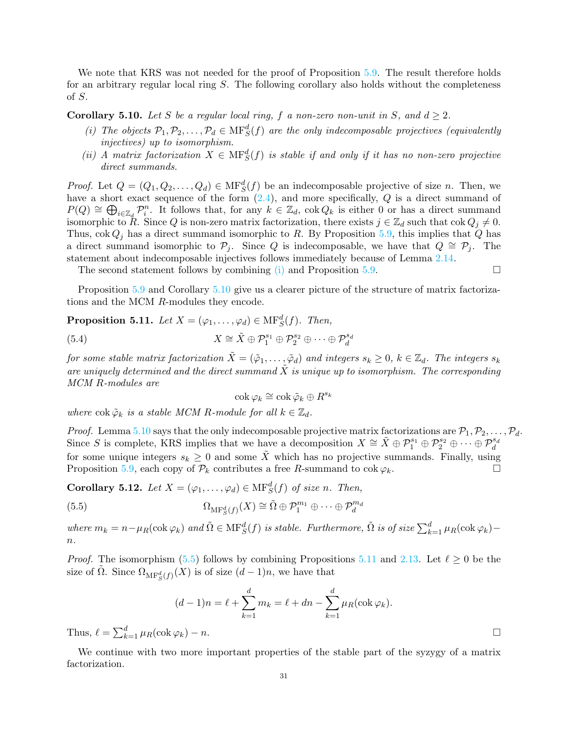We note that KRS was not needed for the proof of Proposition [5.9.](#page-28-2) The result therefore holds for an arbitrary regular local ring S. The following corollary also holds without the completeness of S.

<span id="page-30-1"></span><span id="page-30-0"></span>**Corollary 5.10.** Let S be a regular local ring, f a non-zero non-unit in S, and  $d \geq 2$ .

- (*i*) The objects  $P_1, P_2, \ldots, P_d \in \text{MF}^d_S(f)$  are the only indecomposable projectives (equivalently *injectives) up to isomorphism.*
- <span id="page-30-6"></span>(*ii*) *A matrix factorization*  $X \in \text{MF}^d_S(f)$  *is stable if and only if it has no non-zero projective direct summands.*

*Proof.* Let  $Q = (Q_1, Q_2, \ldots, Q_d) \in \text{MF}^d_S(f)$  be an indecomposable projective of size n. Then, we have a short exact sequence of the form  $(2.4)$ , and more specifically,  $Q$  is a direct summand of  $P(Q) \cong \bigoplus_{i\in \mathbb{Z}_d} \mathcal{P}_i^n$ . It follows that, for any  $k \in \mathbb{Z}_d$ ,  $\operatorname{cok} Q_k$  is either 0 or has a direct summand isomorphic to R. Since Q is non-zero matrix factorization, there exists  $j \in \mathbb{Z}_d$  such that  $\cos Q_j \neq 0$ . Thus,  $\cot Q_i$  has a direct summand isomorphic to R. By Proposition [5.9,](#page-28-2) this implies that Q has a direct summand isomorphic to  $\mathcal{P}_j$ . Since Q is indecomposable, we have that  $Q \cong \mathcal{P}_j$ . The statement about indecomposable injectives follows immediately because of Lemma [2.14.](#page-12-1)

The second statement follows by combining [\(i\)](#page-30-1) and Proposition [5.9.](#page-28-2)

Proposition [5.9](#page-28-2) and Corollary [5.10](#page-30-0) give us a clearer picture of the structure of matrix factorizations and the MCM R-modules they encode.

<span id="page-30-3"></span>**Proposition 5.11.** *Let*  $X = (\varphi_1, \ldots, \varphi_d) \in \text{MF}^d_S(f)$ *. Then,* 

(5.4) 
$$
X \cong \tilde{X} \oplus \mathcal{P}_1^{s_1} \oplus \mathcal{P}_2^{s_2} \oplus \cdots \oplus \mathcal{P}_d^{s_d}
$$

*for some stable matrix factorization*  $\tilde{X} = (\tilde{\varphi}_1, \ldots, \tilde{\varphi}_d)$  *and integers*  $s_k \geq 0$ ,  $k \in \mathbb{Z}_d$ . The integers  $s_k$ are uniquely determined and the direct summand  $\tilde{X}$  is unique up to isomorphism. The corresponding *MCM* R*-modules are*

<span id="page-30-4"></span><span id="page-30-2"></span>
$$
\operatorname{cok}\varphi_k\cong\operatorname{cok}\tilde{\varphi}_k\oplus R^{s_k}
$$

*where*  $\text{cok } \tilde{\varphi}_k$  *is a stable MCM* R-module for all  $k \in \mathbb{Z}_d$ .

*Proof.* Lemma [5.10](#page-30-0) says that the only indecomposable projective matrix factorizations are  $P_1, P_2, \ldots, P_d$ . Since S is complete, KRS implies that we have a decomposition  $X \cong \tilde{X} \oplus \mathcal{P}_1^{s_1} \oplus \mathcal{P}_2^{s_2} \oplus \cdots \oplus \mathcal{P}_d^{s_d}$ for some unique integers  $s_k \geq 0$  and some  $\tilde{X}$  which has no projective summands. Finally, using Proposition [5.9,](#page-28-2) each copy of  $\mathcal{P}_k$  contributes a free R-summand to  $\cot \varphi_k$ .

<span id="page-30-5"></span>**Corollary 5.12.** *Let*  $X = (\varphi_1, \ldots, \varphi_d) \in \text{MF}^d_S(f)$  *of size n. Then,* 

(5.5) 
$$
\Omega_{\text{MF}^d_S(f)}(X) \cong \tilde{\Omega} \oplus \mathcal{P}_1^{m_1} \oplus \cdots \oplus \mathcal{P}_d^{m_d}
$$

 $where m_k = n - \mu_R(\text{cok }\varphi_k)$  and  $\tilde{\Omega} \in \text{MF}^d_S(f)$  *is stable. Furthermore,*  $\tilde{\Omega}$  *is of size*  $\sum_{k=1}^d \mu_R(\text{cok }\varphi_k)$  – n*.*

*Proof.* The isomorphism [\(5.5\)](#page-30-2) follows by combining Propositions [5.11](#page-30-3) and [2.13.](#page-11-1) Let  $\ell \geq 0$  be the size of  $\tilde{\Omega}$ . Since  $\Omega_{\mathrm{MF}^d_S(f)}(X)$  is of size  $(d-1)n$ , we have that

$$
(d-1)n = \ell + \sum_{k=1}^{d} m_k = \ell + dn - \sum_{k=1}^{d} \mu_R(\text{cok }\varphi_k).
$$
  
Thus,  $\ell = \sum_{k=1}^{d} \mu_R(\text{cok }\varphi_k) - n.$ 

We continue with two more important properties of the stable part of the syzygy of a matrix factorization.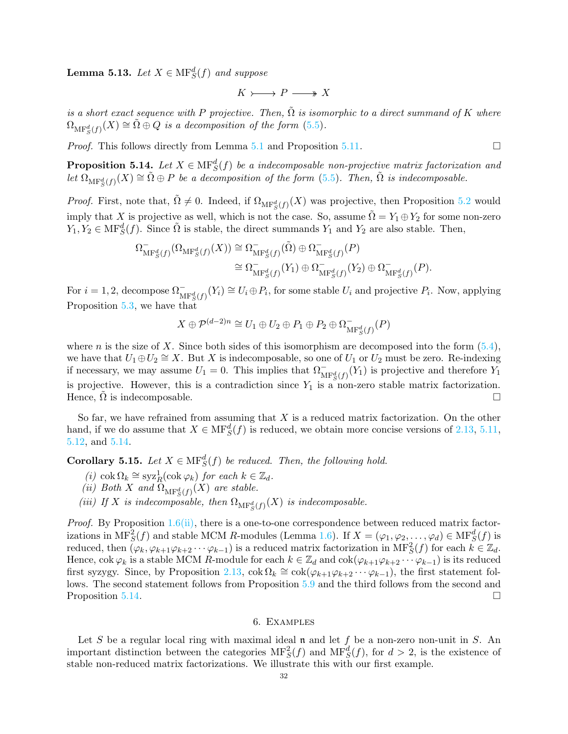**Lemma 5.13.** *Let*  $X \in \mathrm{MF}^d_S(f)$  *and suppose* 

$$
K \rightarrowtail P \longrightarrow X
$$

*is a short exact sequence with* P *projective. Then,* Ω˜ *is isomorphic to a direct summand of* K *where*  $\Omega_{\mathrm{MF}^d_S(f)}(X) \cong \tilde{\Omega} \oplus Q$  *is a decomposition of the form* [\(5.5\)](#page-30-2).

*Proof.* This follows directly from Lemma [5.1](#page-25-1) and Proposition [5.11.](#page-30-3) □

<span id="page-31-1"></span>**Proposition 5.14.** Let  $X \in \text{MF}^d_S(f)$  be a indecomposable non-projective matrix factorization and  $let \ \Omega_{\mathrm{MF}^d_S(f)}(X) \cong \tilde{\Omega} \oplus P$  *be a decomposition of the form* [\(5.5\)](#page-30-2). Then,  $\tilde{\Omega}$  *is indecomposable.* 

*Proof.* First, note that,  $\tilde{\Omega} \neq 0$ . Indeed, if  $\Omega_{\text{MF}^d_S(f)}(X)$  was projective, then Proposition [5.2](#page-25-3) would imply that X is projective as well, which is not the case. So, assume  $\tilde{\Omega} = Y_1 \oplus Y_2$  for some non-zero  $Y_1, Y_2 \in \text{MF}^d_S(f)$ . Since  $\tilde{\Omega}$  is stable, the direct summands  $Y_1$  and  $Y_2$  are also stable. Then,

$$
\Omega_{\mathrm{MF}^d_S(f)}^{-}(\Omega_{\mathrm{MF}^d_S(f)}(X)) \cong \Omega_{\mathrm{MF}^d_S(f)}^{-}(\tilde{\Omega}) \oplus \Omega_{\mathrm{MF}^d_S(f)}^{-}(P)
$$
  

$$
\cong \Omega_{\mathrm{MF}^d_S(f)}^{-}(Y_1) \oplus \Omega_{\mathrm{MF}^d_S(f)}^{-}(Y_2) \oplus \Omega_{\mathrm{MF}^d_S(f)}^{-}(P).
$$

For  $i = 1, 2$ , decompose  $\Omega_{\text{MF}^d_S(f)}^{\bullet}(Y_i) \cong U_i \oplus P_i$ , for some stable  $U_i$  and projective  $P_i$ . Now, applying Proposition [5.3,](#page-25-2) we have that

$$
X \oplus \mathcal{P}^{(d-2)n} \cong U_1 \oplus U_2 \oplus P_1 \oplus P_2 \oplus \Omega_{\mathrm{MF}^d_S(f)}^{-}(P)
$$

where n is the size of X. Since both sides of this isomorphism are decomposed into the form  $(5.4)$ , we have that  $U_1 \oplus U_2 \cong X$ . But X is indecomposable, so one of  $U_1$  or  $U_2$  must be zero. Re-indexing if necessary, we may assume  $U_1 = 0$ . This implies that  $\Omega_{\text{MF}^d_S(f)}^-(Y_1)$  is projective and therefore  $Y_1$ is projective. However, this is a contradiction since  $Y_1$  is a non-zero stable matrix factorization. Hence,  $\hat{\Omega}$  is indecomposable.

So far, we have refrained from assuming that  $X$  is a reduced matrix factorization. On the other hand, if we do assume that  $X \in \text{MF}^d_S(f)$  is reduced, we obtain more concise versions of [2.13,](#page-11-1) [5.11,](#page-30-3) [5.12,](#page-30-5) and [5.14.](#page-31-1)

<span id="page-31-2"></span>**Corollary 5.15.** *Let*  $X \in \text{MF}^d_S(f)$  *be reduced. Then, the following hold.* 

- *(i)* cok  $\Omega_k \cong \mathrm{syz}^1_R(\mathrm{cok}\, \varphi_k)$  *for each*  $k \in \mathbb{Z}_d$ .
- (*ii*) Both X and  $\Omega_{\text{MF}^d_S(f)}(X)$  are stable.
- (*iii*) If X is indecomposable, then  $\Omega_{\text{MF}^d_S(f)}(X)$  is indecomposable.

*Proof.* By Proposition  $1.6$ [\(ii\),](#page-3-1) there is a one-to-one correspondence between reduced matrix factorizations in  $\text{MF}^2_S(f)$  and stable MCM R-modules (Lemma [1.6\)](#page-2-0). If  $X = (\varphi_1, \varphi_2, \dots, \varphi_d) \in \text{MF}^d_S(f)$  is reduced, then  $(\varphi_k, \varphi_{k+1}\varphi_{k+2}\cdots\varphi_{k-1})$  is a reduced matrix factorization in  $\text{MF}^2_S(f)$  for each  $k \in \mathbb{Z}_d$ . Hence, cok  $\varphi_k$  is a stable MCM R-module for each  $k \in \mathbb{Z}_d$  and  $\text{cok}(\varphi_{k+1}\varphi_{k+2}\cdots\varphi_{k-1})$  is its reduced first syzygy. Since, by Proposition [2.13,](#page-11-1)  $\cot \Omega_k \cong \cot(\varphi_{k+1}\varphi_{k+2}\cdots \varphi_{k-1})$ , the first statement follows. The second statement follows from Proposition [5.9](#page-28-2) and the third follows from the second and Proposition [5.14.](#page-31-1)

## 6. Examples

<span id="page-31-0"></span>Let S be a regular local ring with maximal ideal  $\mathfrak n$  and let f be a non-zero non-unit in S. An important distinction between the categories  $\text{MF}^2_S(f)$  and  $\text{MF}^d_S(f)$ , for  $d > 2$ , is the existence of stable non-reduced matrix factorizations. We illustrate this with our first example.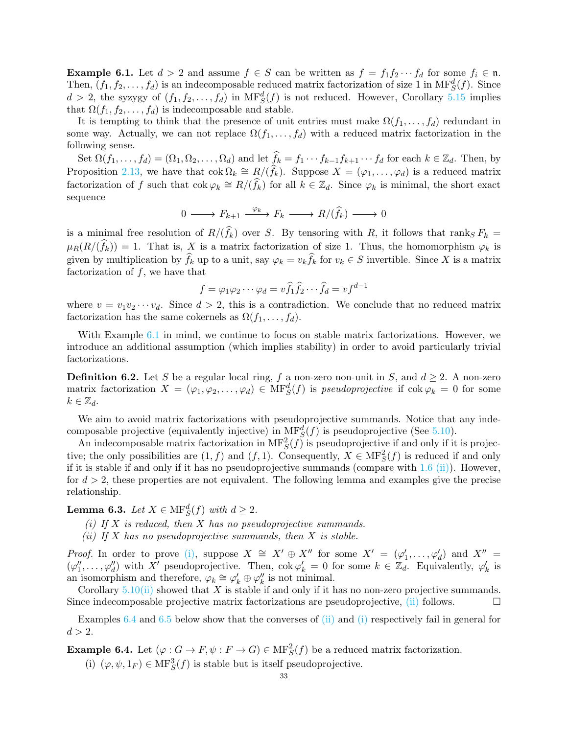<span id="page-32-0"></span>**Example 6.1.** Let  $d > 2$  and assume  $f \in S$  can be written as  $f = f_1 f_2 \cdots f_d$  for some  $f_i \in \mathfrak{n}$ . Then,  $(f_1, f_2, \ldots, f_d)$  is an indecomposable reduced matrix factorization of size 1 in  $\text{MF}^d_S(f)$ . Since  $d > 2$ , the syzygy of  $(f_1, f_2, \ldots, f_d)$  in  $\text{MF}^d_S(f)$  is not reduced. However, Corollary [5.15](#page-31-2) implies that  $\Omega(f_1, f_2, \ldots, f_d)$  is indecomposable and stable.

It is tempting to think that the presence of unit entries must make  $\Omega(f_1,\ldots,f_d)$  redundant in some way. Actually, we can not replace  $\Omega(f_1, \ldots, f_d)$  with a reduced matrix factorization in the following sense.

Set  $\Omega(f_1,\ldots,f_d)=(\Omega_1,\Omega_2,\ldots,\Omega_d)$  and let  $\widehat{f}_k=f_1\cdots f_{k-1}f_{k+1}\cdots f_d$  for each  $k\in\mathbb{Z}_d$ . Then, by Proposition [2.13,](#page-11-1) we have that  $\text{cok } \Omega_k \cong R/(\hat{f}_k)$ . Suppose  $X = (\varphi_1, \ldots, \varphi_d)$  is a reduced matrix factorization of f such that  $\text{cok } \varphi_k \cong R/(\hat{f}_k)$  for all  $k \in \mathbb{Z}_d$ . Since  $\varphi_k$  is minimal, the short exact sequence

$$
0 \longrightarrow F_{k+1} \xrightarrow{\varphi_k} F_k \longrightarrow R/(\widehat{f}_k) \longrightarrow 0
$$

is a minimal free resolution of  $R/(f_k)$  over S. By tensoring with R, it follows that ranks  $F_k =$  $\mu_R(R/(f_k)) = 1$ . That is, X is a matrix factorization of size 1. Thus, the homomorphism  $\varphi_k$  is given by multiplication by  $f_k$  up to a unit, say  $\varphi_k = v_k f_k$  for  $v_k \in S$  invertible. Since X is a matrix factorization of  $f$ , we have that

$$
f = \varphi_1 \varphi_2 \cdots \varphi_d = v \widehat{f}_1 \widehat{f}_2 \cdots \widehat{f}_d = v f^{d-1}
$$

where  $v = v_1v_2\cdots v_d$ . Since  $d > 2$ , this is a contradiction. We conclude that no reduced matrix factorization has the same cokernels as  $\Omega(f_1, \ldots, f_d)$ .

With Example [6.1](#page-32-0) in mind, we continue to focus on stable matrix factorizations. However, we introduce an additional assumption (which implies stability) in order to avoid particularly trivial factorizations.

**Definition 6.2.** Let S be a regular local ring, f a non-zero non-unit in S, and  $d \ge 2$ . A non-zero matrix factorization  $X = (\varphi_1, \varphi_2, \dots, \varphi_d) \in \text{MF}^d_S(f)$  is *pseudoprojective* if  $\text{cok } \varphi_k = 0$  for some  $k \in \mathbb{Z}_d$ .

We aim to avoid matrix factorizations with pseudoprojective summands. Notice that any indecomposable projective (equivalently injective) in  $M F_S^d(f)$  is pseudoprojective (See [5.10\)](#page-30-0).

An indecomposable matrix factorization in  $\text{MF}^2_S(f)$  is pseudoprojective if and only if it is projective; the only possibilities are  $(1, f)$  and  $(f, 1)$ . Consequently,  $X \in \text{MF}^2_S(f)$  is reduced if and only if it is stable if and only if it has no pseudoprojective summands (compare with  $1.6$  [\(ii\)\)](#page-3-1). However, for  $d > 2$ , these properties are not equivalent. The following lemma and examples give the precise relationship.

<span id="page-32-4"></span><span id="page-32-2"></span><span id="page-32-1"></span>**Lemma 6.3.** *Let*  $X \in \text{MF}^d_S(f)$  *with*  $d \geq 2$ *.* 

- *(i) If* X *is reduced, then* X *has no pseudoprojective summands.*
- *(ii) If* X *has no pseudoprojective summands, then* X *is stable.*

*Proof.* In order to prove [\(i\),](#page-32-1) suppose  $X \cong X' \oplus X''$  for some  $X' = (\varphi'_1, \ldots, \varphi'_d)$  and  $X'' =$  $(\varphi''_1,\ldots,\varphi''_d)$  with X' pseudoprojective. Then,  $\operatorname{cok}\varphi'_k=0$  for some  $k \in \mathbb{Z}_d$ . Equivalently,  $\varphi'_k$  is an isomorphism and therefore,  $\varphi_k \cong \varphi'_k \oplus \varphi''_k$  is not minimal.

Corollary  $5.10(i)$  $5.10(i)$  showed that X is stable if and only if it has no non-zero projective summands. Since indecomposable projective matrix factorizations are pseudoprojective,  $(i)$  follows.

Examples [6.4](#page-32-3) and [6.5](#page-33-0) below show that the converses of [\(ii\)](#page-32-2) and [\(i\)](#page-32-1) respectively fail in general for  $d > 2$ .

<span id="page-32-3"></span>**Example 6.4.** Let  $(\varphi : G \to F, \psi : F \to G) \in MF_S^2(f)$  be a reduced matrix factorization.

(i)  $(\varphi, \psi, 1_F) \in \mathbf{MF}^3_S(f)$  is stable but is itself pseudoprojective.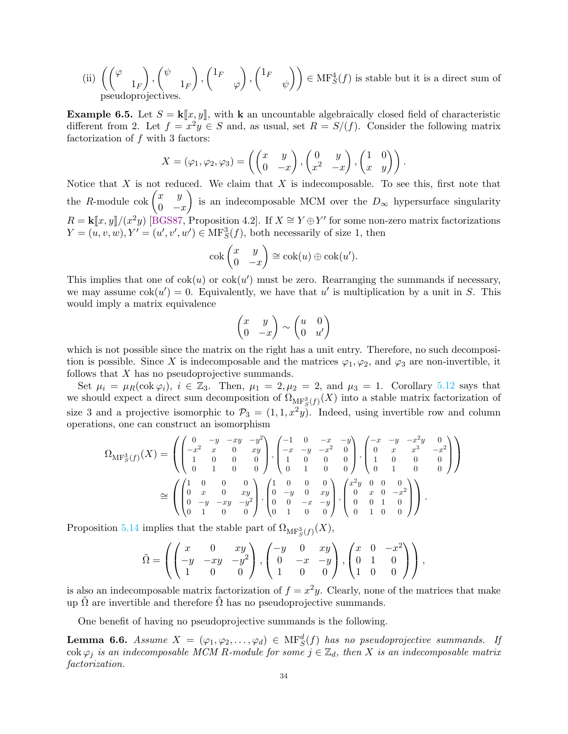(ii) 
$$
\left(\begin{pmatrix} \varphi & 1 \\ 1_F \end{pmatrix}, \begin{pmatrix} \psi & 1 \\ 1_F \end{pmatrix}, \begin{pmatrix} 1_F & 0 \\ 0 \end{pmatrix}, \begin{pmatrix} 1_F & 0 \\ 0 \end{pmatrix} \right) \in MF_S^4(f)
$$
 is stable but it is a direct sum of pseudoprojectives.

<span id="page-33-0"></span>**Example 6.5.** Let  $S = \mathbf{k}[\![x, y]\!]$ , with **k** an uncountable algebraically closed field of characteristic different from 2. Let  $f = x^2y \in S$  and, as usual, set  $R = S/(f)$ . Consider the following matrix factorization of  $f$  with 3 factors:

$$
X = (\varphi_1, \varphi_2, \varphi_3) = \left( \begin{pmatrix} x & y \\ 0 & -x \end{pmatrix}, \begin{pmatrix} 0 & y \\ x^2 & -x \end{pmatrix}, \begin{pmatrix} 1 & 0 \\ x & y \end{pmatrix} \right).
$$

Notice that X is not reduced. We claim that X is indecomposable. To see this, first note that the *R*-module cok  $\begin{pmatrix} x & y \\ 0 & y \end{pmatrix}$  $0 -x$  $\setminus$ is an indecomposable MCM over the  $D_{\infty}$  hypersurface singularity  $R = \mathbf{k}[\![x, y]\!]/(x^2y)$  [\[BGS87,](#page-35-15) Proposition 4.2]. If  $X \cong Y \oplus Y'$  for some non-zero matrix factorizations  $Y = (u, v, w), Y' = (u', v', w') \in \text{MF}^3_S(f)$ , both necessarily of size 1, then

$$
\operatorname{cok}\begin{pmatrix} x & y \\ 0 & -x \end{pmatrix} \cong \operatorname{cok}(u) \oplus \operatorname{cok}(u').
$$

This implies that one of  $\text{cok}(u)$  or  $\text{cok}(u')$  must be zero. Rearranging the summands if necessary, we may assume  $\text{cok}(u') = 0$ . Equivalently, we have that u' is multiplication by a unit in S. This would imply a matrix equivalence

$$
\begin{pmatrix} x & y \\ 0 & -x \end{pmatrix} \sim \begin{pmatrix} u & 0 \\ 0 & u' \end{pmatrix}
$$

which is not possible since the matrix on the right has a unit entry. Therefore, no such decomposition is possible. Since X is indecomposable and the matrices  $\varphi_1, \varphi_2$ , and  $\varphi_3$  are non-invertible, it follows that  $X$  has no pseudoprojective summands.

Set  $\mu_i = \mu_R(\text{cok } \varphi_i), i \in \mathbb{Z}_3$ . Then,  $\mu_1 = 2, \mu_2 = 2$ , and  $\mu_3 = 1$ . Corollary [5.12](#page-30-5) says that we should expect a direct sum decomposition of  $\Omega_{\mathrm{MF}^3_S(f)}(X)$  into a stable matrix factorization of size 3 and a projective isomorphic to  $\mathcal{P}_3 = (1, 1, x^2y)$ . Indeed, using invertible row and column operations, one can construct an isomorphism

$$
\Omega_{\mathrm{MF}^3_S(f)}(X) = \left( \begin{pmatrix} 0 & -y & -xy & -y^2 \\ -x^2 & x & 0 & xy \\ 1 & 0 & 0 & 0 \\ 0 & 1 & 0 & 0 \end{pmatrix}, \begin{pmatrix} -1 & 0 & -x & -y \\ -x & -y & -x^2 & 0 \\ 1 & 0 & 0 & 0 \\ 0 & 1 & 0 & 0 \end{pmatrix}, \begin{pmatrix} -x & -y & -x^2y & 0 \\ 0 & x & x^3 & -x^2 \\ 1 & 0 & 0 & 0 \\ 0 & 1 & 0 & 0 \end{pmatrix} \right)
$$

$$
\cong \left( \begin{pmatrix} 1 & 0 & 0 & 0 \\ 0 & x & 0 & xy \\ 0 & -y & -xy & -y^2 \\ 0 & 1 & 0 & 0 \end{pmatrix}, \begin{pmatrix} 1 & 0 & 0 & 0 \\ 0 & -y & 0 & xy \\ 0 & 0 & -x & -y \\ 0 & 1 & 0 & 0 \end{pmatrix}, \begin{pmatrix} x^2y & 0 & 0 & 0 \\ 0 & x & 0 & -x^2 \\ 0 & 0 & 1 & 0 \\ 0 & 1 & 0 & 0 \end{pmatrix} \right).
$$

Proposition [5.14](#page-31-1) implies that the stable part of  $\Omega_{\text{MF}^3_S(f)}(X)$ ,

$$
\tilde{\Omega} = \left( \begin{pmatrix} x & 0 & xy \\ -y & -xy & -y^2 \\ 1 & 0 & 0 \end{pmatrix}, \begin{pmatrix} -y & 0 & xy \\ 0 & -x & -y \\ 1 & 0 & 0 \end{pmatrix}, \begin{pmatrix} x & 0 & -x^2 \\ 0 & 1 & 0 \\ 1 & 0 & 0 \end{pmatrix} \right),
$$

is also an indecomposable matrix factorization of  $f = x^2y$ . Clearly, none of the matrices that make up  $\Omega$  are invertible and therefore  $\Omega$  has no pseudoprojective summands.

One benefit of having no pseudoprojective summands is the following.

<span id="page-33-1"></span>**Lemma 6.6.** *Assume*  $X = (\varphi_1, \varphi_2, \ldots, \varphi_d) \in \text{MF}^d_S(f)$  *has no pseudoprojective summands.* If cok  $\varphi_j$  *is an indecomposable MCM R-module for some*  $j \in \mathbb{Z}_d$ *, then* X *is an indecomposable matrix factorization.*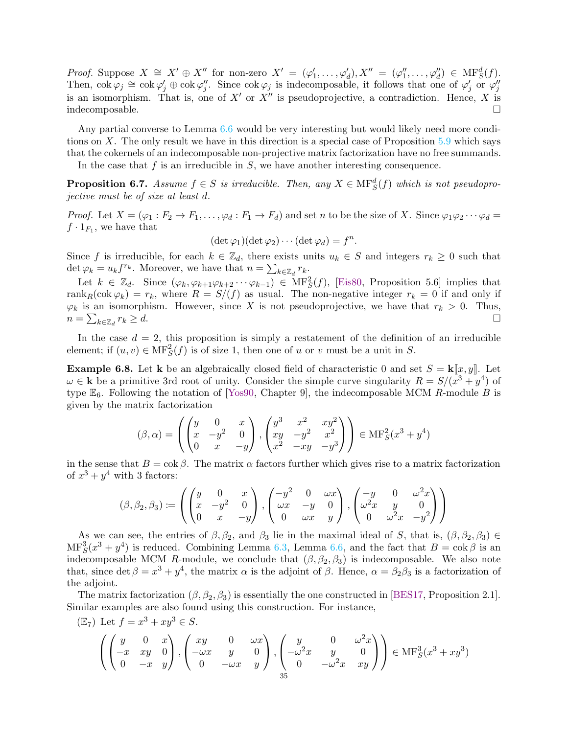*Proof.* Suppose  $X \cong X' \oplus X''$  for non-zero  $X' = (\varphi'_1, \ldots, \varphi'_d), X'' = (\varphi''_1, \ldots, \varphi''_d) \in \text{MF}^d_S(f)$ . Then,  $\cot \varphi_j \cong \cot \varphi'_j \oplus \cot \varphi''_j$ . Since  $\cot \varphi_j$  is indecomposable, it follows that one of  $\varphi'_j$  or  $\varphi''_j$ is an isomorphism. That is, one of  $X'$  or  $X''$  is pseudoprojective, a contradiction. Hence, X is indecomposable.

Any partial converse to Lemma [6.6](#page-33-1) would be very interesting but would likely need more conditions on X. The only result we have in this direction is a special case of Proposition  $5.9$  which says that the cokernels of an indecomposable non-projective matrix factorization have no free summands.

In the case that  $f$  is an irreducible in  $S$ , we have another interesting consequence.

**Proposition 6.7.** Assume  $f \in S$  is irreducible. Then, any  $X \in \text{MF}^d_S(f)$  which is not pseudopro*jective must be of size at least* d*.*

*Proof.* Let  $X = (\varphi_1 : F_2 \to F_1, \ldots, \varphi_d : F_1 \to F_d)$  and set n to be the size of X. Since  $\varphi_1 \varphi_2 \cdots \varphi_d =$  $f \cdot 1_{F_1}$ , we have that

 $(\det \varphi_1)(\det \varphi_2) \cdots (\det \varphi_d) = f^n.$ 

Since f is irreducible, for each  $k \in \mathbb{Z}_d$ , there exists units  $u_k \in S$  and integers  $r_k \geq 0$  such that det  $\varphi_k = u_k f^{r_k}$ . Moreover, we have that  $n = \sum_{k \in \mathbb{Z}_d} r_k$ .

Let  $k \in \mathbb{Z}_d$ . Since  $(\varphi_k, \varphi_{k+1}\varphi_{k+2}\cdots \varphi_{k-1}) \in \mathrm{MF}^2_S(f)$ , [\[Eis80,](#page-35-0) Proposition 5.6] implies that rank<sub>R</sub>(cok  $\varphi_k$ ) =  $r_k$ , where  $R = S/(f)$  as usual. The non-negative integer  $r_k = 0$  if and only if  $\varphi_k$  is an isomorphism. However, since X is not pseudoprojective, we have that  $r_k > 0$ . Thus,  $n = \sum_{k \in \mathbb{Z}_d}$  $r_k \geq d.$ 

In the case  $d = 2$ , this proposition is simply a restatement of the definition of an irreducible element; if  $(u, v) \in \text{MF}^2_S(f)$  is of size 1, then one of u or v must be a unit in S.

**Example 6.8.** Let **k** be an algebraically closed field of characteristic 0 and set  $S = \mathbf{k}[\![x, y]\!]$ . Let  $\omega \in \mathbf{k}$  be a primitive 3rd root of unity. Consider the simple curve singularity  $R = S/(x^3 + y^4)$  of type  $\mathbb{E}_6$ . Following the notation of [\[Yos90,](#page-35-14) Chapter 9], the indecomposable MCM R-module B is given by the matrix factorization

$$
(\beta, \alpha) = \left( \begin{pmatrix} y & 0 & x \\ x & -y^2 & 0 \\ 0 & x & -y \end{pmatrix}, \begin{pmatrix} y^3 & x^2 & xy^2 \\ xy & -y^2 & x^2 \\ x^2 & -xy & -y^3 \end{pmatrix} \right) \in \text{MF}_S^2(x^3 + y^4)
$$

in the sense that  $B = \cos \beta$ . The matrix  $\alpha$  factors further which gives rise to a matrix factorization of  $x^3 + y^4$  with 3 factors:

$$
(\beta, \beta_2, \beta_3) := \left( \begin{pmatrix} y & 0 & x \\ x & -y^2 & 0 \\ 0 & x & -y \end{pmatrix}, \begin{pmatrix} -y^2 & 0 & \omega x \\ \omega x & -y & 0 \\ 0 & \omega x & y \end{pmatrix}, \begin{pmatrix} -y & 0 & \omega^2 x \\ \omega^2 x & y & 0 \\ 0 & \omega^2 x & -y^2 \end{pmatrix} \right)
$$

As we can see, the entries of  $\beta$ ,  $\beta_2$ , and  $\beta_3$  lie in the maximal ideal of S, that is,  $(\beta, \beta_2, \beta_3) \in$  $\text{MF}_S^3(x^3+y^4)$  is reduced. Combining Lemma [6.3,](#page-32-4) Lemma [6.6,](#page-33-1) and the fact that  $B = \text{cok }\beta$  is an indecomposable MCM R-module, we conclude that  $(\beta, \beta_2, \beta_3)$  is indecomposable. We also note that, since det  $\beta = x^3 + y^4$ , the matrix  $\alpha$  is the adjoint of  $\beta$ . Hence,  $\alpha = \beta_2 \beta_3$  is a factorization of the adjoint.

The matrix factorization  $(\beta, \beta_2, \beta_3)$  is essentially the one constructed in [\[BES17,](#page-35-4) Proposition 2.1]. Similar examples are also found using this construction. For instance,

$$
\begin{pmatrix}\n\mathbb{E}_7 & \text{Let } f = x^3 + xy^3 \in S. \\
\begin{pmatrix}\ny & 0 & x \\
-x & xy & 0 \\
0 & -x & y\n\end{pmatrix}, \begin{pmatrix}\nxy & 0 & \omega x \\
-\omega x & y & 0 \\
0 & -\omega x & y\n\end{pmatrix}, \begin{pmatrix}\ny & 0 & \omega^2 x \\
-\omega^2 x & y & 0 \\
0 & -\omega^2 x & xy\n\end{pmatrix}\n\end{pmatrix} \in \text{MF}_S^3(x^3 + xy^3)
$$